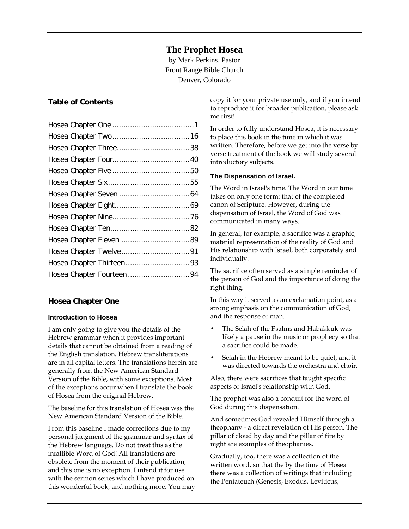# **The Prophet Hosea**

by Mark Perkins, Pastor Front Range Bible Church Denver, Colorado

# <span id="page-0-0"></span>**Table of Contents**

# **Hosea Chapter One**

# **Introduction to Hosea**

I am only going to give you the details of the Hebrew grammar when it provides important details that cannot be obtained from a reading of the English translation. Hebrew transliterations are in all capital letters. The translations herein are generally from the New American Standard Version of the Bible, with some exceptions. Most of the exceptions occur when I translate the book of Hosea from the original Hebrew.

The baseline for this translation of Hosea was the New American Standard Version of the Bible.

From this baseline I made corrections due to my personal judgment of the grammar and syntax of the Hebrew language. Do not treat this as the infallible Word of God! All translations are obsolete from the moment of their publication, and this one is no exception. I intend it for use with the sermon series which I have produced on this wonderful book, and nothing more. You may copy it for your private use only, and if you intend to reproduce it for broader publication, please ask me first!

In order to fully understand Hosea, it is necessary to place this book in the time in which it was written. Therefore, before we get into the verse by verse treatment of the book we will study several introductory subjects.

#### **The Dispensation of Israel.**

The Word in Israel's time. The Word in our time takes on only one form: that of the completed canon of Scripture. However, during the dispensation of Israel, the Word of God was communicated in many ways.

In general, for example, a sacrifice was a graphic, material representation of the reality of God and His relationship with Israel, both corporately and individually.

The sacrifice often served as a simple reminder of the person of God and the importance of doing the right thing.

In this way it served as an exclamation point, as a strong emphasis on the communication of God, and the response of man.

- The Selah of the Psalms and Habakkuk was likely a pause in the music or prophecy so that a sacrifice could be made.
- Selah in the Hebrew meant to be quiet, and it was directed towards the orchestra and choir.

Also, there were sacrifices that taught specific aspects of Israel's relationship with God.

The prophet was also a conduit for the word of God during this dispensation.

And sometimes God revealed Himself through a theophany - a direct revelation of His person. The pillar of cloud by day and the pillar of fire by night are examples of theophanies.

Gradually, too, there was a collection of the written word, so that the by the time of Hosea there was a collection of writings that including the Pentateuch (Genesis, Exodus, Leviticus,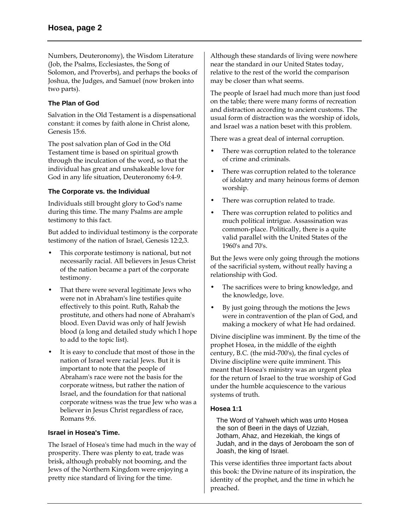Numbers, Deuteronomy), the Wisdom Literature (Job, the Psalms, Ecclesiastes, the Song of Solomon, and Proverbs), and perhaps the books of Joshua, the Judges, and Samuel (now broken into two parts).

# **The Plan of God**

Salvation in the Old Testament is a dispensational constant: it comes by faith alone in Christ alone, Genesis 15:6.

The post salvation plan of God in the Old Testament time is based on spiritual growth through the inculcation of the word, so that the individual has great and unshakeable love for God in any life situation, Deuteronomy 6:4-9.

# **The Corporate vs. the Individual**

Individuals still brought glory to God's name during this time. The many Psalms are ample testimony to this fact.

But added to individual testimony is the corporate testimony of the nation of Israel, Genesis 12:2,3.

- This corporate testimony is national, but not necessarily racial. All believers in Jesus Christ of the nation became a part of the corporate testimony.
- That there were several legitimate Jews who were not in Abraham's line testifies quite effectively to this point. Ruth, Rahab the prostitute, and others had none of Abraham's blood. Even David was only of half Jewish blood (a long and detailed study which I hope to add to the topic list).
- It is easy to conclude that most of those in the nation of Israel were racial Jews. But it is important to note that the people of Abraham's race were not the basis for the corporate witness, but rather the nation of Israel, and the foundation for that national corporate witness was the true Jew who was a believer in Jesus Christ regardless of race, Romans 9:6.

#### **Israel in Hosea's Time.**

The Israel of Hosea's time had much in the way of prosperity. There was plenty to eat, trade was brisk, although probably not booming, and the Jews of the Northern Kingdom were enjoying a pretty nice standard of living for the time.

Although these standards of living were nowhere near the standard in our United States today, relative to the rest of the world the comparison may be closer than what seems.

The people of Israel had much more than just food on the table; there were many forms of recreation and distraction according to ancient customs. The usual form of distraction was the worship of idols, and Israel was a nation beset with this problem.

There was a great deal of internal corruption.

- There was corruption related to the tolerance of crime and criminals.
- There was corruption related to the tolerance of idolatry and many heinous forms of demon worship.
- There was corruption related to trade.
- There was corruption related to politics and much political intrigue. Assassination was common-place. Politically, there is a quite valid parallel with the United States of the 1960's and 70's.

But the Jews were only going through the motions of the sacrificial system, without really having a relationship with God.

- The sacrifices were to bring knowledge, and the knowledge, love.
- By just going through the motions the Jews were in contravention of the plan of God, and making a mockery of what He had ordained.

Divine discipline was imminent. By the time of the prophet Hosea, in the middle of the eighth century, B.C. (the mid-700's), the final cycles of Divine discipline were quite imminent. This meant that Hosea's ministry was an urgent plea for the return of Israel to the true worship of God under the humble acquiescence to the various systems of truth.

# **Hosea 1:1**

The Word of Yahweh which was unto Hosea the son of Beeri in the days of Uzziah, Jotham, Ahaz, and Hezekiah, the kings of Judah, and in the days of Jeroboam the son of Joash, the king of Israel.

This verse identifies three important facts about this book: the Divine nature of its inspiration, the identity of the prophet, and the time in which he preached.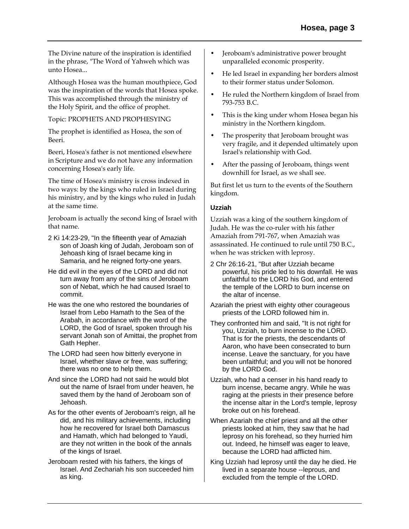The Divine nature of the inspiration is identified in the phrase, "The Word of Yahweh which was unto Hosea...

Although Hosea was the human mouthpiece, God was the inspiration of the words that Hosea spoke. This was accomplished through the ministry of the Holy Spirit, and the office of prophet.

Topic: PROPHETS AND PROPHESYING

The prophet is identified as Hosea, the son of Beeri.

Beeri, Hosea's father is not mentioned elsewhere in Scripture and we do not have any information concerning Hosea's early life.

The time of Hosea's ministry is cross indexed in two ways: by the kings who ruled in Israel during his ministry, and by the kings who ruled in Judah at the same time.

Jeroboam is actually the second king of Israel with that name.

- 2 Ki 14:23-29, "In the fifteenth year of Amaziah son of Joash king of Judah, Jeroboam son of Jehoash king of Israel became king in Samaria, and he reigned forty-one years.
- He did evil in the eyes of the LORD and did not turn away from any of the sins of Jeroboam son of Nebat, which he had caused Israel to commit.
- He was the one who restored the boundaries of Israel from Lebo Hamath to the Sea of the Arabah, in accordance with the word of the LORD, the God of Israel, spoken through his servant Jonah son of Amittai, the prophet from Gath Hepher.
- The LORD had seen how bitterly everyone in Israel, whether slave or free, was suffering; there was no one to help them.
- And since the LORD had not said he would blot out the name of Israel from under heaven, he saved them by the hand of Jeroboam son of Jehoash.
- As for the other events of Jeroboam's reign, all he did, and his military achievements, including how he recovered for Israel both Damascus and Hamath, which had belonged to Yaudi, are they not written in the book of the annals of the kings of Israel.
- Jeroboam rested with his fathers, the kings of Israel. And Zechariah his son succeeded him as king.
- Jeroboam's administrative power brought unparalleled economic prosperity.
- He led Israel in expanding her borders almost to their former status under Solomon.
- He ruled the Northern kingdom of Israel from 793-753 B.C.
- This is the king under whom Hosea began his ministry in the Northern kingdom.
- The prosperity that Jeroboam brought was very fragile, and it depended ultimately upon Israel's relationship with God.
- After the passing of Jeroboam, things went downhill for Israel, as we shall see.

But first let us turn to the events of the Southern kingdom.

# **Uzziah**

Uzziah was a king of the southern kingdom of Judah. He was the co-ruler with his father Amaziah from 791-767, when Amaziah was assassinated. He continued to rule until 750 B.C., when he was stricken with leprosy.

- 2 Chr 26:16-21, "But after Uzziah became powerful, his pride led to his downfall. He was unfaithful to the LORD his God, and entered the temple of the LORD to burn incense on the altar of incense.
- Azariah the priest with eighty other courageous priests of the LORD followed him in.
- They confronted him and said, "It is not right for you, Uzziah, to burn incense to the LORD. That is for the priests, the descendants of Aaron, who have been consecrated to burn incense. Leave the sanctuary, for you have been unfaithful; and you will not be honored by the LORD God.
- Uzziah, who had a censer in his hand ready to burn incense, became angry. While he was raging at the priests in their presence before the incense altar in the Lord's temple, leprosy broke out on his forehead.
- When Azariah the chief priest and all the other priests looked at him, they saw that he had leprosy on his forehead, so they hurried him out. Indeed, he himself was eager to leave, because the LORD had afflicted him.
- King Uzziah had leprosy until the day he died. He lived in a separate house --leprous, and excluded from the temple of the LORD.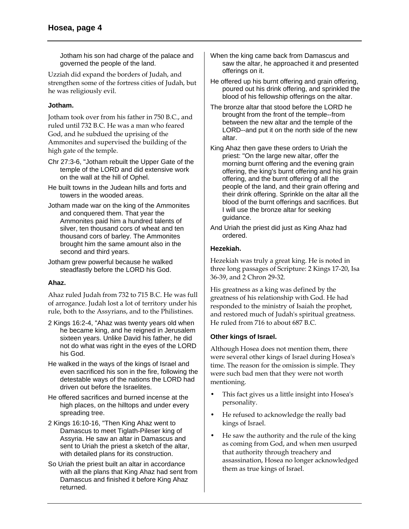Jotham his son had charge of the palace and governed the people of the land.

Uzziah did expand the borders of Judah, and strengthen some of the fortress cities of Judah, but he was religiously evil.

# **Jotham.**

Jotham took over from his father in 750 B.C., and ruled until 732 B.C. He was a man who feared God, and he subdued the uprising of the Ammonites and supervised the building of the high gate of the temple.

- Chr 27:3-6, "Jotham rebuilt the Upper Gate of the temple of the LORD and did extensive work on the wall at the hill of Ophel.
- He built towns in the Judean hills and forts and towers in the wooded areas.
- Jotham made war on the king of the Ammonites and conquered them. That year the Ammonites paid him a hundred talents of silver, ten thousand cors of wheat and ten thousand cors of barley. The Ammonites brought him the same amount also in the second and third years.
- Jotham grew powerful because he walked steadfastly before the LORD his God.

#### **Ahaz.**

Ahaz ruled Judah from 732 to 715 B.C. He was full of arrogance. Judah lost a lot of territory under his rule, both to the Assyrians, and to the Philistines.

- 2 Kings 16:2-4, "Ahaz was twenty years old when he became king, and he reigned in Jerusalem sixteen years. Unlike David his father, he did not do what was right in the eyes of the LORD his God.
- He walked in the ways of the kings of Israel and even sacrificed his son in the fire, following the detestable ways of the nations the LORD had driven out before the Israelites.
- He offered sacrifices and burned incense at the high places, on the hilltops and under every spreading tree.
- 2 Kings 16:10-16, "Then King Ahaz went to Damascus to meet Tiglath-Pileser king of Assyria. He saw an altar in Damascus and sent to Uriah the priest a sketch of the altar, with detailed plans for its construction.
- So Uriah the priest built an altar in accordance with all the plans that King Ahaz had sent from Damascus and finished it before King Ahaz returned.
- When the king came back from Damascus and saw the altar, he approached it and presented offerings on it.
- He offered up his burnt offering and grain offering, poured out his drink offering, and sprinkled the blood of his fellowship offerings on the altar.
- The bronze altar that stood before the LORD he brought from the front of the temple--from between the new altar and the temple of the LORD--and put it on the north side of the new altar.
- King Ahaz then gave these orders to Uriah the priest: "On the large new altar, offer the morning burnt offering and the evening grain offering, the king's burnt offering and his grain offering, and the burnt offering of all the people of the land, and their grain offering and their drink offering. Sprinkle on the altar all the blood of the burnt offerings and sacrifices. But I will use the bronze altar for seeking guidance.
- And Uriah the priest did just as King Ahaz had ordered.

#### **Hezekiah.**

Hezekiah was truly a great king. He is noted in three long passages of Scripture: 2 Kings 17-20, Isa 36-39, and 2 Chron 29-32.

His greatness as a king was defined by the greatness of his relationship with God. He had responded to the ministry of Isaiah the prophet, and restored much of Judah's spiritual greatness. He ruled from 716 to about 687 B.C.

#### **Other kings of Israel.**

Although Hosea does not mention them, there were several other kings of Israel during Hosea's time. The reason for the omission is simple. They were such bad men that they were not worth mentioning.

- This fact gives us a little insight into Hosea's personality.
- He refused to acknowledge the really bad kings of Israel.
- He saw the authority and the rule of the king as coming from God, and when men usurped that authority through treachery and assassination, Hosea no longer acknowledged them as true kings of Israel.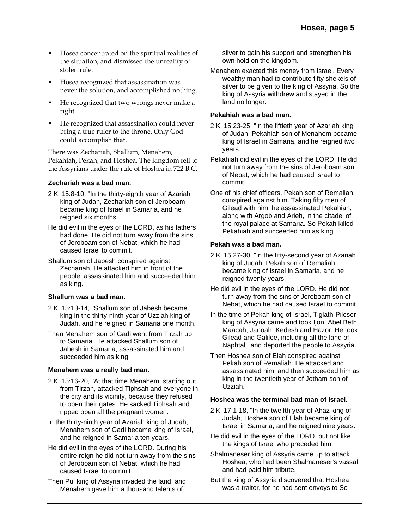- Hosea concentrated on the spiritual realities of the situation, and dismissed the unreality of stolen rule.
- Hosea recognized that assassination was never the solution, and accomplished nothing.
- He recognized that two wrongs never make a right.
- He recognized that assassination could never bring a true ruler to the throne. Only God could accomplish that.

There was Zechariah, Shallum, Menahem, Pekahiah, Pekah, and Hoshea. The kingdom fell to the Assyrians under the rule of Hoshea in 722 B.C.

# **Zechariah was a bad man.**

- 2 Ki 15:8-10, "In the thirty-eighth year of Azariah king of Judah, Zechariah son of Jeroboam became king of Israel in Samaria, and he reigned six months.
- He did evil in the eyes of the LORD, as his fathers had done. He did not turn away from the sins of Jeroboam son of Nebat, which he had caused Israel to commit.
- Shallum son of Jabesh conspired against Zechariah. He attacked him in front of the people, assassinated him and succeeded him as king.

# **Shallum was a bad man.**

- 2 Ki 15:13-14, "Shallum son of Jabesh became king in the thirty-ninth year of Uzziah king of Judah, and he reigned in Samaria one month.
- Then Menahem son of Gadi went from Tirzah up to Samaria. He attacked Shallum son of Jabesh in Samaria, assassinated him and succeeded him as king.

# **Menahem was a really bad man.**

- 2 Ki 15:16-20, "At that time Menahem, starting out from Tirzah, attacked Tiphsah and everyone in the city and its vicinity, because they refused to open their gates. He sacked Tiphsah and ripped open all the pregnant women.
- In the thirty-ninth year of Azariah king of Judah, Menahem son of Gadi became king of Israel, and he reigned in Samaria ten years.
- He did evil in the eyes of the LORD. During his entire reign he did not turn away from the sins of Jeroboam son of Nebat, which he had caused Israel to commit.
- Then Pul king of Assyria invaded the land, and Menahem gave him a thousand talents of

silver to gain his support and strengthen his own hold on the kingdom.

Menahem exacted this money from Israel. Every wealthy man had to contribute fifty shekels of silver to be given to the king of Assyria. So the king of Assyria withdrew and stayed in the land no longer.

#### **Pekahiah was a bad man.**

- 2 Ki 15:23-25, "In the fiftieth year of Azariah king of Judah, Pekahiah son of Menahem became king of Israel in Samaria, and he reigned two years.
- Pekahiah did evil in the eyes of the LORD. He did not turn away from the sins of Jeroboam son of Nebat, which he had caused Israel to commit.
- One of his chief officers, Pekah son of Remaliah, conspired against him. Taking fifty men of Gilead with him, he assassinated Pekahiah, along with Argob and Arieh, in the citadel of the royal palace at Samaria. So Pekah killed Pekahiah and succeeded him as king.

#### **Pekah was a bad man.**

- 2 Ki 15:27-30, "In the fifty-second year of Azariah king of Judah, Pekah son of Remaliah became king of Israel in Samaria, and he reigned twenty years.
- He did evil in the eyes of the LORD. He did not turn away from the sins of Jeroboam son of Nebat, which he had caused Israel to commit.
- In the time of Pekah king of Israel, Tiglath-Pileser king of Assyria came and took Ijon, Abel Beth Maacah, Janoah, Kedesh and Hazor. He took Gilead and Galilee, including all the land of Naphtali, and deported the people to Assyria.
- Then Hoshea son of Elah conspired against Pekah son of Remaliah. He attacked and assassinated him, and then succeeded him as king in the twentieth year of Jotham son of Uzziah.

# **Hoshea was the terminal bad man of Israel.**

- 2 Ki 17:1-18, "In the twelfth year of Ahaz king of Judah, Hoshea son of Elah became king of Israel in Samaria, and he reigned nine years.
- He did evil in the eyes of the LORD, but not like the kings of Israel who preceded him.
- Shalmaneser king of Assyria came up to attack Hoshea, who had been Shalmaneser's vassal and had paid him tribute.
- But the king of Assyria discovered that Hoshea was a traitor, for he had sent envoys to So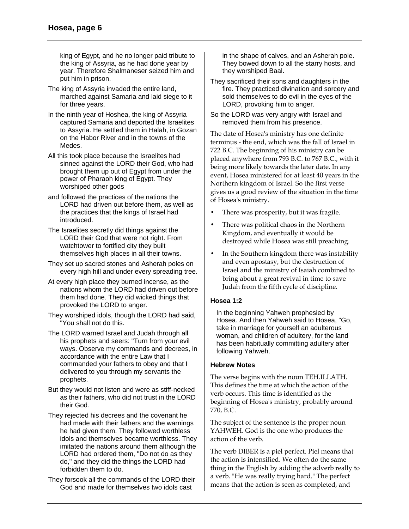king of Egypt, and he no longer paid tribute to the king of Assyria, as he had done year by year. Therefore Shalmaneser seized him and put him in prison.

- The king of Assyria invaded the entire land, marched against Samaria and laid siege to it for three years.
- In the ninth year of Hoshea, the king of Assyria captured Samaria and deported the Israelites to Assyria. He settled them in Halah, in Gozan on the Habor River and in the towns of the Medes.
- All this took place because the Israelites had sinned against the LORD their God, who had brought them up out of Egypt from under the power of Pharaoh king of Egypt. They worshiped other gods
- and followed the practices of the nations the LORD had driven out before them, as well as the practices that the kings of Israel had introduced.
- The Israelites secretly did things against the LORD their God that were not right. From watchtower to fortified city they built themselves high places in all their towns.
- They set up sacred stones and Asherah poles on every high hill and under every spreading tree.
- At every high place they burned incense, as the nations whom the LORD had driven out before them had done. They did wicked things that provoked the LORD to anger.
- They worshiped idols, though the LORD had said, "You shall not do this.
- The LORD warned Israel and Judah through all his prophets and seers: "Turn from your evil ways. Observe my commands and decrees, in accordance with the entire Law that I commanded your fathers to obey and that I delivered to you through my servants the prophets.
- But they would not listen and were as stiff-necked as their fathers, who did not trust in the LORD their God.
- They rejected his decrees and the covenant he had made with their fathers and the warnings he had given them. They followed worthless idols and themselves became worthless. They imitated the nations around them although the LORD had ordered them, "Do not do as they do," and they did the things the LORD had forbidden them to do.
- They forsook all the commands of the LORD their God and made for themselves two idols cast

in the shape of calves, and an Asherah pole. They bowed down to all the starry hosts, and they worshiped Baal.

- They sacrificed their sons and daughters in the fire. They practiced divination and sorcery and sold themselves to do evil in the eyes of the LORD, provoking him to anger.
- So the LORD was very angry with Israel and removed them from his presence.

The date of Hosea's ministry has one definite terminus - the end, which was the fall of Israel in 722 B.C. The beginning of his ministry can be placed anywhere from 793 B.C. to 767 B.C., with it being more likely towards the later date. In any event, Hosea ministered for at least 40 years in the Northern kingdom of Israel. So the first verse gives us a good review of the situation in the time of Hosea's ministry.

- There was prosperity, but it was fragile.
- There was political chaos in the Northern Kingdom, and eventually it would be destroyed while Hosea was still preaching.
- In the Southern kingdom there was instability and even apostasy, but the destruction of Israel and the ministry of Isaiah combined to bring about a great revival in time to save Judah from the fifth cycle of discipline.

# **Hosea 1:2**

In the beginning Yahweh prophesied by Hosea. And then Yahweh said to Hosea, "Go, take in marriage for yourself an adulterous woman, and children of adultery, for the land has been habitually committing adultery after following Yahweh.

#### **Hebrew Notes**

The verse begins with the noun TEH.ILLATH. This defines the time at which the action of the verb occurs. This time is identified as the beginning of Hosea's ministry, probably around 770, B.C.

The subject of the sentence is the proper noun YAHWEH. God is the one who produces the action of the verb.

The verb DIBER is a piel perfect. Piel means that the action is intensified. We often do the same thing in the English by adding the adverb really to a verb. "He was really trying hard." The perfect means that the action is seen as completed, and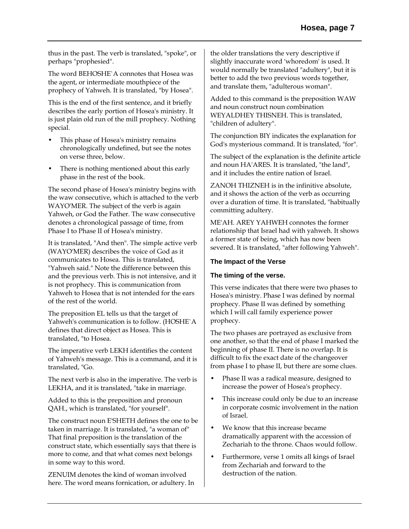thus in the past. The verb is translated, "spoke", or perhaps "prophesied".

The word BEHOSHE`A connotes that Hosea was the agent, or intermediate mouthpiece of the prophecy of Yahweh. It is translated, "by Hosea".

This is the end of the first sentence, and it briefly describes the early portion of Hosea's ministry. It is just plain old run of the mill prophecy. Nothing special.

- This phase of Hosea's ministry remains chronologically undefined, but see the notes on verse three, below.
- There is nothing mentioned about this early phase in the rest of the book.

The second phase of Hosea's ministry begins with the waw consecutive, which is attached to the verb WAYO'MER. The subject of the verb is again Yahweh, or God the Father. The waw consecutive denotes a chronological passage of time, from Phase I to Phase II of Hosea's ministry.

It is translated, "And then". The simple active verb (WAYO'MER) describes the voice of God as it communicates to Hosea. This is translated, "Yahweh said." Note the difference between this and the previous verb. This is not intensive, and it is not prophecy. This is communication from Yahweh to Hosea that is not intended for the ears of the rest of the world.

The preposition EL tells us that the target of Yahweh's communication is to follow. (HOSHE`A defines that direct object as Hosea. This is translated, "to Hosea.

The imperative verb LEKH identifies the content of Yahweh's message. This is a command, and it is translated, "Go.

The next verb is also in the imperative. The verb is LEKHA, and it is translated, "take in marriage.

Added to this is the preposition and pronoun QAH., which is translated, "for yourself".

The construct noun E'SHETH defines the one to be taken in marriage. It is translated, "a woman of" That final preposition is the translation of the construct state, which essentially says that there is more to come, and that what comes next belongs in some way to this word.

ZENUIM denotes the kind of woman involved here. The word means fornication, or adultery. In

the older translations the very descriptive if slightly inaccurate word 'whoredom' is used. It would normally be translated "adultery", but it is better to add the two previous words together, and translate them, "adulterous woman".

Added to this command is the preposition WAW and noun construct noun combination WEYALDHEY THISNEH. This is translated, "children of adultery".

The conjunction BIY indicates the explanation for God's mysterious command. It is translated, "for".

The subject of the explanation is the definite article and noun HA'ARES. It is translated, "the land", and it includes the entire nation of Israel.

ZANOH THIZNEH is in the infinitive absolute, and it shows the action of the verb as occurring over a duration of time. It is translated, "habitually committing adultery.

ME'AH. AREY YAHWEH connotes the former relationship that Israel had with yahweh. It shows a former state of being, which has now been severed. It is translated, "after following Yahweh".

#### **The Impact of the Verse**

#### **The timing of the verse.**

This verse indicates that there were two phases to Hosea's ministry. Phase I was defined by normal prophecy. Phase II was defined by something which I will call family experience power prophecy.

The two phases are portrayed as exclusive from one another, so that the end of phase I marked the beginning of phase II. There is no overlap. It is difficult to fix the exact date of the changeover from phase I to phase II, but there are some clues.

- Phase II was a radical measure, designed to increase the power of Hosea's prophecy.
- This increase could only be due to an increase in corporate cosmic involvement in the nation of Israel.
- We know that this increase became dramatically apparent with the accession of Zechariah to the throne. Chaos would follow.
- Furthermore, verse 1 omits all kings of Israel from Zechariah and forward to the destruction of the nation.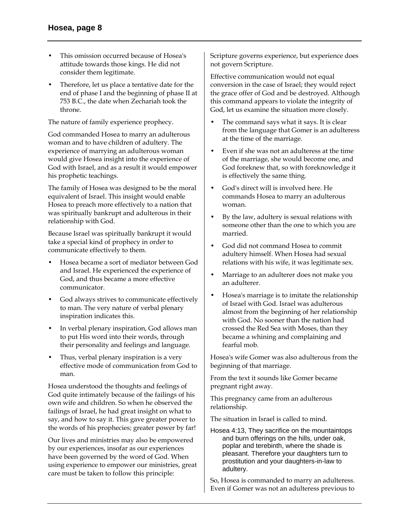- This omission occurred because of Hosea's attitude towards those kings. He did not consider them legitimate.
- Therefore, let us place a tentative date for the end of phase I and the beginning of phase II at 753 B.C., the date when Zechariah took the throne.

The nature of family experience prophecy.

God commanded Hosea to marry an adulterous woman and to have children of adultery. The experience of marrying an adulterous woman would give Hosea insight into the experience of God with Israel, and as a result it would empower his prophetic teachings.

The family of Hosea was designed to be the moral equivalent of Israel. This insight would enable Hosea to preach more effectively to a nation that was spiritually bankrupt and adulterous in their relationship with God.

Because Israel was spiritually bankrupt it would take a special kind of prophecy in order to communicate effectively to them.

- Hosea became a sort of mediator between God and Israel. He experienced the experience of God, and thus became a more effective communicator.
- God always strives to communicate effectively to man. The very nature of verbal plenary inspiration indicates this.
- In verbal plenary inspiration, God allows man to put His word into their words, through their personality and feelings and language.
- Thus, verbal plenary inspiration is a very effective mode of communication from God to man.

Hosea understood the thoughts and feelings of God quite intimately because of the failings of his own wife and children. So when he observed the failings of Israel, he had great insight on what to say, and how to say it. This gave greater power to the words of his prophecies; greater power by far!

Our lives and ministries may also be empowered by our experiences, insofar as our experiences have been governed by the word of God. When using experience to empower our ministries, great care must be taken to follow this principle:

Scripture governs experience, but experience does not govern Scripture.

Effective communication would not equal conversion in the case of Israel; they would reject the grace offer of God and be destroyed. Although this command appears to violate the integrity of God, let us examine the situation more closely.

- The command says what it says. It is clear from the language that Gomer is an adulteress at the time of the marriage.
- Even if she was not an adulteress at the time of the marriage, she would become one, and God foreknew that, so with foreknowledge it is effectively the same thing.
- God's direct will is involved here. He commands Hosea to marry an adulterous woman.
- By the law, adultery is sexual relations with someone other than the one to which you are married.
- God did not command Hosea to commit adultery himself. When Hosea had sexual relations with his wife, it was legitimate sex.
- Marriage to an adulterer does not make you an adulterer.
- Hosea's marriage is to imitate the relationship of Israel with God. Israel was adulterous almost from the beginning of her relationship with God. No sooner than the nation had crossed the Red Sea with Moses, than they became a whining and complaining and fearful mob.

Hosea's wife Gomer was also adulterous from the beginning of that marriage.

From the text it sounds like Gomer became pregnant right away.

This pregnancy came from an adulterous relationship.

The situation in Israel is called to mind.

Hosea 4:13, They sacrifice on the mountaintops and burn offerings on the hills, under oak, poplar and terebinth, where the shade is pleasant. Therefore your daughters turn to prostitution and your daughters-in-law to adultery.

So, Hosea is commanded to marry an adulteress. Even if Gomer was not an adulteress previous to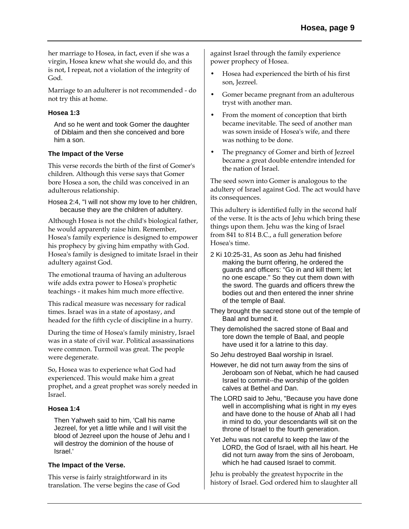her marriage to Hosea, in fact, even if she was a virgin, Hosea knew what she would do, and this is not, I repeat, not a violation of the integrity of God.

Marriage to an adulterer is not recommended - do not try this at home.

# **Hosea 1:3**

And so he went and took Gomer the daughter of Diblaim and then she conceived and bore him a son.

# **The Impact of the Verse**

This verse records the birth of the first of Gomer's children. Although this verse says that Gomer bore Hosea a son, the child was conceived in an adulterous relationship.

Hosea 2:4, "I will not show my love to her children, because they are the children of adultery.

Although Hosea is not the child's biological father, he would apparently raise him. Remember, Hosea's family experience is designed to empower his prophecy by giving him empathy with God. Hosea's family is designed to imitate Israel in their adultery against God.

The emotional trauma of having an adulterous wife adds extra power to Hosea's prophetic teachings - it makes him much more effective.

This radical measure was necessary for radical times. Israel was in a state of apostasy, and headed for the fifth cycle of discipline in a hurry.

During the time of Hosea's family ministry, Israel was in a state of civil war. Political assassinations were common. Turmoil was great. The people were degenerate.

So, Hosea was to experience what God had experienced. This would make him a great prophet, and a great prophet was sorely needed in Israel.

# **Hosea 1:4**

Then Yahweh said to him, 'Call his name Jezreel, for yet a little while and I will visit the blood of Jezreel upon the house of Jehu and I will destroy the dominion of the house of Israel.'

# **The Impact of the Verse.**

This verse is fairly straightforward in its translation. The verse begins the case of God against Israel through the family experience power prophecy of Hosea.

- Hosea had experienced the birth of his first son, Jezreel.
- Gomer became pregnant from an adulterous tryst with another man.
- From the moment of conception that birth became inevitable. The seed of another man was sown inside of Hosea's wife, and there was nothing to be done.
- The pregnancy of Gomer and birth of Jezreel became a great double entendre intended for the nation of Israel.

The seed sown into Gomer is analogous to the adultery of Israel against God. The act would have its consequences.

This adultery is identified fully in the second half of the verse. It is the acts of Jehu which bring these things upon them. Jehu was the king of Israel from 841 to 814 B.C., a full generation before Hosea's time.

- 2 Ki 10:25-31, As soon as Jehu had finished making the burnt offering, he ordered the guards and officers: "Go in and kill them; let no one escape." So they cut them down with the sword. The guards and officers threw the bodies out and then entered the inner shrine of the temple of Baal.
- They brought the sacred stone out of the temple of Baal and burned it.
- They demolished the sacred stone of Baal and tore down the temple of Baal, and people have used it for a latrine to this day.
- So Jehu destroyed Baal worship in Israel.
- However, he did not turn away from the sins of Jeroboam son of Nebat, which he had caused Israel to commit--the worship of the golden calves at Bethel and Dan.
- The LORD said to Jehu, "Because you have done well in accomplishing what is right in my eyes and have done to the house of Ahab all I had in mind to do, your descendants will sit on the throne of Israel to the fourth generation.
- Yet Jehu was not careful to keep the law of the LORD, the God of Israel, with all his heart. He did not turn away from the sins of Jeroboam, which he had caused Israel to commit.

Jehu is probably the greatest hypocrite in the history of Israel. God ordered him to slaughter all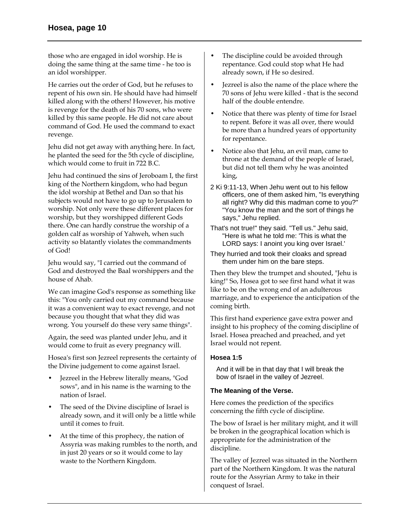those who are engaged in idol worship. He is doing the same thing at the same time - he too is an idol worshipper.

He carries out the order of God, but he refuses to repent of his own sin. He should have had himself killed along with the others! However, his motive is revenge for the death of his 70 sons, who were killed by this same people. He did not care about command of God. He used the command to exact revenge.

Jehu did not get away with anything here. In fact, he planted the seed for the 5th cycle of discipline, which would come to fruit in 722 B.C.

Jehu had continued the sins of Jeroboam I, the first king of the Northern kingdom, who had begun the idol worship at Bethel and Dan so that his subjects would not have to go up to Jerusalem to worship. Not only were these different places for worship, but they worshipped different Gods there. One can hardly construe the worship of a golden calf as worship of Yahweh, when such activity so blatantly violates the commandments of God!

Jehu would say, "I carried out the command of God and destroyed the Baal worshippers and the house of Ahab.

We can imagine God's response as something like this: "You only carried out my command because it was a convenient way to exact revenge, and not because you thought that what they did was wrong. You yourself do these very same things".

Again, the seed was planted under Jehu, and it would come to fruit as every pregnancy will.

Hosea's first son Jezreel represents the certainty of the Divine judgement to come against Israel.

- Jezreel in the Hebrew literally means, "God sows", and in his name is the warning to the nation of Israel.
- The seed of the Divine discipline of Israel is already sown, and it will only be a little while until it comes to fruit.
- At the time of this prophecy, the nation of Assyria was making rumbles to the north, and in just 20 years or so it would come to lay waste to the Northern Kingdom.
- The discipline could be avoided through repentance. God could stop what He had already sown, if He so desired.
- Jezreel is also the name of the place where the 70 sons of Jehu were killed - that is the second half of the double entendre.
- Notice that there was plenty of time for Israel to repent. Before it was all over, there would be more than a hundred years of opportunity for repentance.
- Notice also that Jehu, an evil man, came to throne at the demand of the people of Israel, but did not tell them why he was anointed king,
- 2 Ki 9:11-13, When Jehu went out to his fellow officers, one of them asked him, "Is everything all right? Why did this madman come to you?" "You know the man and the sort of things he says," Jehu replied.
- That's not true!" they said. "Tell us." Jehu said, "Here is what he told me: 'This is what the LORD says: I anoint you king over Israel.'
- They hurried and took their cloaks and spread them under him on the bare steps.

Then they blew the trumpet and shouted, "Jehu is king!" So, Hosea got to see first hand what it was like to be on the wrong end of an adulterous marriage, and to experience the anticipation of the coming birth.

This first hand experience gave extra power and insight to his prophecy of the coming discipline of Israel. Hosea preached and preached, and yet Israel would not repent.

# **Hosea 1:5**

And it will be in that day that I will break the bow of Israel in the valley of Jezreel.

#### **The Meaning of the Verse.**

Here comes the prediction of the specifics concerning the fifth cycle of discipline.

The bow of Israel is her military might, and it will be broken in the geographical location which is appropriate for the administration of the discipline.

The valley of Jezreel was situated in the Northern part of the Northern Kingdom. It was the natural route for the Assyrian Army to take in their conquest of Israel.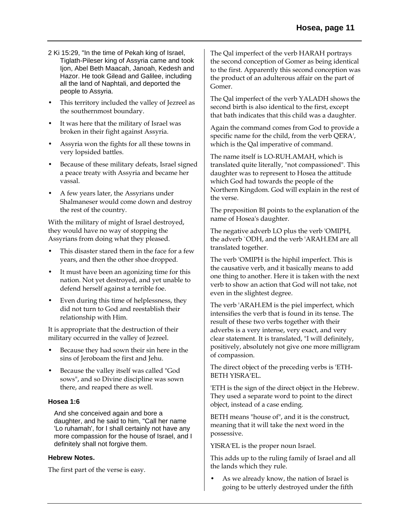- 2 Ki 15:29, "In the time of Pekah king of Israel, Tiglath-Pileser king of Assyria came and took Ijon, Abel Beth Maacah, Janoah, Kedesh and Hazor. He took Gilead and Galilee, including all the land of Naphtali, and deported the people to Assyria.
- This territory included the valley of Jezreel as the southernmost boundary.
- It was here that the military of Israel was broken in their fight against Assyria.
- Assyria won the fights for all these towns in very lopsided battles.
- Because of these military defeats, Israel signed a peace treaty with Assyria and became her vassal.
- A few years later, the Assyrians under Shalmaneser would come down and destroy the rest of the country.

With the military of might of Israel destroyed, they would have no way of stopping the Assyrians from doing what they pleased.

- This disaster stared them in the face for a few years, and then the other shoe dropped.
- It must have been an agonizing time for this nation. Not yet destroyed, and yet unable to defend herself against a terrible foe.
- Even during this time of helplessness, they did not turn to God and reestablish their relationship with Him.

It is appropriate that the destruction of their military occurred in the valley of Jezreel.

- Because they had sown their sin here in the sins of Jeroboam the first and Jehu.
- Because the valley itself was called "God sows", and so Divine discipline was sown there, and reaped there as well.

#### **Hosea 1:6**

And she conceived again and bore a daughter, and he said to him, "Call her name 'Lo ruhamah', for I shall certainly not have any more compassion for the house of Israel, and I definitely shall not forgive them.

#### **Hebrew Notes.**

The first part of the verse is easy.

The Qal imperfect of the verb HARAH portrays the second conception of Gomer as being identical to the first. Apparently this second conception was the product of an adulterous affair on the part of Gomer.

The Qal imperfect of the verb YALADH shows the second birth is also identical to the first, except that bath indicates that this child was a daughter.

Again the command comes from God to provide a specific name for the child, from the verb QERA', which is the Qal imperative of command.

The name itself is LO-RUH.AMAH, which is translated quite literally, "not compassioned". This daughter was to represent to Hosea the attitude which God had towards the people of the Northern Kingdom. God will explain in the rest of the verse.

The preposition BI points to the explanation of the name of Hosea's daughter.

The negative adverb LO plus the verb 'OMIPH, the adverb `ODH, and the verb 'ARAH.EM are all translated together.

The verb 'OMIPH is the hiphil imperfect. This is the causative verb, and it basically means to add one thing to another. Here it is taken with the next verb to show an action that God will not take, not even in the slightest degree.

The verb 'ARAH.EM is the piel imperfect, which intensifies the verb that is found in its tense. The result of these two verbs together with their adverbs is a very intense, very exact, and very clear statement. It is translated, "I will definitely, positively, absolutely not give one more milligram of compassion.

The direct object of the preceding verbs is 'ETH-BETH YISRA'EL.

'ETH is the sign of the direct object in the Hebrew. They used a separate word to point to the direct object, instead of a case ending.

BETH means "house of", and it is the construct, meaning that it will take the next word in the possessive.

YISRA'EL is the proper noun Israel.

This adds up to the ruling family of Israel and all the lands which they rule.

• As we already know, the nation of Israel is going to be utterly destroyed under the fifth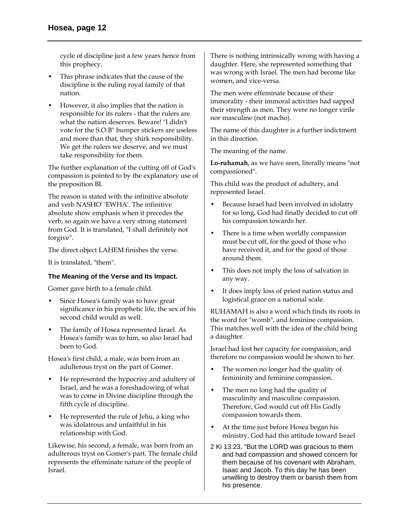cycle of discipline just a few years hence from this prophecy.

- This phrase indicates that the cause of the discipline is the ruling royal family of that nation.
- However, it also implies that the nation is responsible for its rulers - that the rulers are what the nation deserves. Beware! "I didn't vote for the S.O.B" bumper stickers are useless and more than that, they shirk responsibility. We get the rulers we deserve, and we must take responsibility for them.

The further explanation of the cutting off of God's compassion is pointed to by the explanatory use of the preposition BI.

The reason is stated with the infinitive absolute and verb NASHO' 'EWHA'. The infinitive absolute show emphasis when it precedes the verb, so again we have a very strong statement from God. It is translated, "I shall definitely not forgive".

The direct object LAHEM finishes the verse.

It is translated, "them".

# **The Meaning of the Verse and Its Impact.**

Gomer gave birth to a female child.

- Since Hosea's family was to have great significance in his prophetic life, the sex of his second child would as well.
- The family of Hosea represented Israel. As Hosea's family was to him, so also Israel had been to God.

Hosea's first child, a male, was born from an adulterous tryst on the part of Gomer.

- He represented the hypocrisy and adultery of Israel, and he was a foreshadowing of what was to come in Divine discipline through the fifth cycle of discipline.
- He represented the rule of Jehu, a king who was idolatrous and unfaithful in his relationship with God.

Likewise, his second, a female, was born from an adulterous tryst on Gomer's part. The female child represents the effeminate nature of the people of Israel.

There is nothing intrinsically wrong with having a daughter. Here, she represented something that was wrong with Israel. The men had become like women, and vice-versa.

The men were effeminate because of their immorality - their immoral activities had sapped their strength as men. They were no longer virile nor masculine (not macho).

The name of this daughter is a further indictment in this direction.

The meaning of the name.

**Lo-ruhamah**, as we have seen, literally means "not compassioned".

This child was the product of adultery, and represented Israel.

- Because Israel had been involved in idolatry for so long, God had finally decided to cut off his compassion towards her.
- There is a time when worldly compassion must be cut off, for the good of those who have received it, and for the good of those around them.
- This does not imply the loss of salvation in any way.
- It does imply loss of priest nation status and logistical grace on a national scale.

RUHAMAH is also a word which finds its roots in the word for "womb", and feminine compassion. This matches well with the idea of the child being a daughter.

Israel had lost her capacity for compassion, and therefore no compassion would be shown to her.

- The women no longer had the quality of femininity and feminine compassion.
- The men no long had the quality of masculinity and masculine compassion. Therefore, God would cut off His Godly compassion towards them.
- At the time just before Hosea began his ministry, God had this attitude toward Israel
- 2 Ki 13:23, "But the LORD was gracious to them and had compassion and showed concern for them because of his covenant with Abraham, Isaac and Jacob. To this day he has been unwilling to destroy them or banish them from his presence.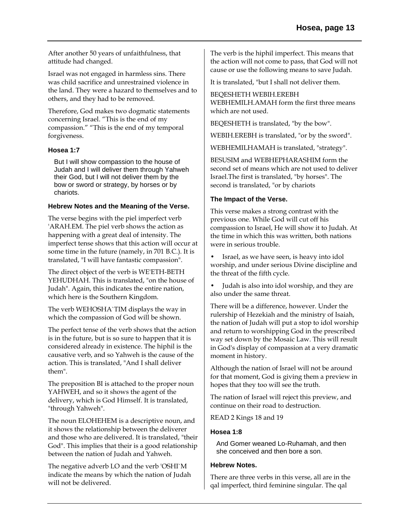After another 50 years of unfaithfulness, that attitude had changed.

Israel was not engaged in harmless sins. There was child sacrifice and unrestrained violence in the land. They were a hazard to themselves and to others, and they had to be removed.

Therefore, God makes two dogmatic statements concerning Israel. "This is the end of my compassion." "This is the end of my temporal forgiveness.

#### **Hosea 1:7**

But I will show compassion to the house of Judah and I will deliver them through Yahweh their God, but I will not deliver them by the bow or sword or strategy, by horses or by chariots.

#### **Hebrew Notes and the Meaning of the Verse.**

The verse begins with the piel imperfect verb 'ARAH.EM. The piel verb shows the action as happening with a great deal of intensity. The imperfect tense shows that this action will occur at some time in the future (namely, in 701 B.C.). It is translated, "I will have fantastic compassion".

The direct object of the verb is WE'ETH-BETH YEHUDHAH. This is translated, "on the house of Judah". Again, this indicates the entire nation, which here is the Southern Kingdom.

The verb WEHOSHA`TIM displays the way in which the compassion of God will be shown.

The perfect tense of the verb shows that the action is in the future, but is so sure to happen that it is considered already in existence. The hiphil is the causative verb, and so Yahweh is the cause of the action. This is translated, "And I shall deliver them".

The preposition BI is attached to the proper noun YAHWEH, and so it shows the agent of the delivery, which is God Himself. It is translated, "through Yahweh".

The noun ELOHEHEM is a descriptive noun, and it shows the relationship between the deliverer and those who are delivered. It is translated, "their God". This implies that their is a good relationship between the nation of Judah and Yahweh.

The negative adverb LO and the verb 'OSHI`M indicate the means by which the nation of Judah will not be delivered.

The verb is the hiphil imperfect. This means that the action will not come to pass, that God will not cause or use the following means to save Judah.

It is translated, "but I shall not deliver them.

BEQESHETH WEBIH.EREBH WEBHEMILH.AMAH form the first three means which are not used.

BEQESHETH is translated, "by the bow".

WEBIH.EREBH is translated, "or by the sword".

WEBHEMILHAMAH is translated, "strategy".

BESUSIM and WEBHEPHARASHIM form the second set of means which are not used to deliver Israel.The first is translated, "by horses". The second is translated, "or by chariots

#### **The Impact of the Verse.**

This verse makes a strong contrast with the previous one. While God will cut off his compassion to Israel, He will show it to Judah. At the time in which this was written, both nations were in serious trouble.

• Israel, as we have seen, is heavy into idol worship, and under serious Divine discipline and the threat of the fifth cycle.

• Judah is also into idol worship, and they are also under the same threat.

There will be a difference, however. Under the rulership of Hezekiah and the ministry of Isaiah, the nation of Judah will put a stop to idol worship and return to worshipping God in the prescribed way set down by the Mosaic Law. This will result in God's display of compassion at a very dramatic moment in history.

Although the nation of Israel will not be around for that moment, God is giving them a preview in hopes that they too will see the truth.

The nation of Israel will reject this preview, and continue on their road to destruction.

READ 2 Kings 18 and 19

# **Hosea 1:8**

And Gomer weaned Lo-Ruhamah, and then she conceived and then bore a son.

# **Hebrew Notes.**

There are three verbs in this verse, all are in the qal imperfect, third feminine singular. The qal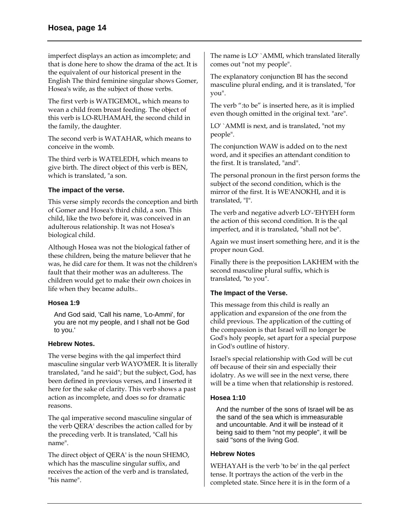imperfect displays an action as imcomplete; and that is done here to show the drama of the act. It is the equivalent of our historical present in the English The third feminine singular shows Gomer, Hosea's wife, as the subject of those verbs.

The first verb is WATIGEMOL, which means to wean a child from breast feeding. The object of this verb is LO-RUHAMAH, the second child in the family, the daughter.

The second verb is WATAHAR, which means to conceive in the womb.

The third verb is WATELEDH, which means to give birth. The direct object of this verb is BEN, which is translated, "a son.

# **The impact of the verse.**

This verse simply records the conception and birth of Gomer and Hosea's third child, a son. This child, like the two before it, was conceived in an adulterous relationship. It was not Hosea's biological child.

Although Hosea was not the biological father of these children, being the mature believer that he was, he did care for them. It was not the children's fault that their mother was an adulteress. The children would get to make their own choices in life when they became adults..

#### **Hosea 1:9**

And God said, 'Call his name, 'Lo-Ammi', for you are not my people, and I shall not be God to you.'

#### **Hebrew Notes.**

The verse begins with the qal imperfect third masculine singular verb WAYO'MER. It is literally translated, "and he said"; but the subject, God, has been defined in previous verses, and I inserted it here for the sake of clarity. This verb shows a past action as incomplete, and does so for dramatic reasons.

The qal imperative second masculine singular of the verb QERA' describes the action called for by the preceding verb. It is translated, "Call his name".

The direct object of QERA' is the noun SHEMO, which has the masculine singular suffix, and receives the action of the verb and is translated, "his name".

The name is LO' `AMMI, which translated literally comes out "not my people".

The explanatory conjunction BI has the second masculine plural ending, and it is translated, "for you".

The verb ":to be" is inserted here, as it is implied even though omitted in the original text. "are".

LO' `AMMI is next, and is translated, "not my people".

The conjunction WAW is added on to the next word, and it specifies an attendant condition to the first. It is translated, "and".

The personal pronoun in the first person forms the subject of the second condition, which is the mirror of the first. It is WE'ANOKHI, and it is translated, "I".

The verb and negative adverb LO'-'EHYEH form the action of this second condition. It is the qal imperfect, and it is translated, "shall not be".

Again we must insert something here, and it is the proper noun God.

Finally there is the preposition LAKHEM with the second masculine plural suffix, which is translated, "to you".

# **The Impact of the Verse.**

This message from this child is really an application and expansion of the one from the child previous. The application of the cutting of the compassion is that Israel will no longer be God's holy people, set apart for a special purpose in God's outline of history.

Israel's special relationship with God will be cut off because of their sin and especially their idolatry. As we will see in the next verse, there will be a time when that relationship is restored.

#### **Hosea 1:10**

And the number of the sons of Israel will be as the sand of the sea which is immeasurable and uncountable. And it will be instead of it being said to them "not my people", it will be said "sons of the living God.

#### **Hebrew Notes**

WEHAYAH is the verb 'to be' in the qal perfect tense. It portrays the action of the verb in the completed state. Since here it is in the form of a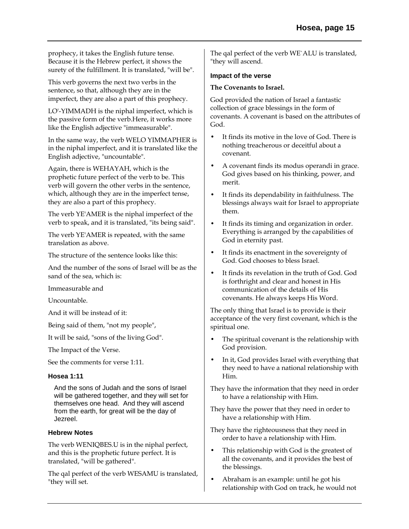prophecy, it takes the English future tense. Because it is the Hebrew perfect, it shows the surety of the fulfillment. It is translated, "will be".

This verb governs the next two verbs in the sentence, so that, although they are in the imperfect, they are also a part of this prophecy.

LO'-YIMMADH is the niphal imperfect, which is the passive form of the verb.Here, it works more like the English adjective "immeasurable".

In the same way, the verb WELO YIMMAPHER is in the niphal imperfect, and it is translated like the English adjective, "uncountable".

Again, there is WEHAYAH, which is the prophetic future perfect of the verb to be. This verb will govern the other verbs in the sentence, which, although they are in the imperfect tense, they are also a part of this prophecy.

The verb YE'AMER is the niphal imperfect of the verb to speak, and it is translated, "its being said".

The verb YE'AMER is repeated, with the same translation as above.

The structure of the sentence looks like this:

And the number of the sons of Israel will be as the sand of the sea, which is:

Immeasurable and

Uncountable.

And it will be instead of it:

Being said of them, "not my people",

It will be said, "sons of the living God".

The Impact of the Verse.

See the comments for verse 1:11.

# **Hosea 1:11**

And the sons of Judah and the sons of Israel will be gathered together, and they will set for themselves one head. And they will ascend from the earth, for great will be the day of Jezreel.

# **Hebrew Notes**

The verb WENIQBES.U is in the niphal perfect, and this is the prophetic future perfect. It is translated, "will be gathered".

The qal perfect of the verb WESAMU is translated, "they will set.

The qal perfect of the verb WE`ALU is translated, "they will ascend.

# **Impact of the verse**

# **The Covenants to Israel.**

God provided the nation of Israel a fantastic collection of grace blessings in the form of covenants. A covenant is based on the attributes of God.

- It finds its motive in the love of God. There is nothing treacherous or deceitful about a covenant.
- A covenant finds its modus operandi in grace. God gives based on his thinking, power, and merit.
- It finds its dependability in faithfulness. The blessings always wait for Israel to appropriate them.
- It finds its timing and organization in order. Everything is arranged by the capabilities of God in eternity past.
- It finds its enactment in the sovereignty of God. God chooses to bless Israel.
- It finds its revelation in the truth of God. God is forthright and clear and honest in His communication of the details of His covenants. He always keeps His Word.

The only thing that Israel is to provide is their acceptance of the very first covenant, which is the spiritual one.

- The spiritual covenant is the relationship with God provision.
- In it, God provides Israel with everything that they need to have a national relationship with Him.
- They have the information that they need in order to have a relationship with Him.
- They have the power that they need in order to have a relationship with Him.
- They have the righteousness that they need in order to have a relationship with Him.
- This relationship with God is the greatest of all the covenants, and it provides the best of the blessings.
- Abraham is an example: until he got his relationship with God on track, he would not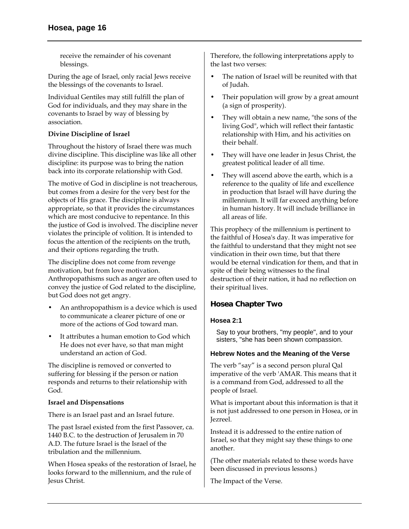<span id="page-15-0"></span>receive the remainder of his covenant blessings.

During the age of Israel, only racial Jews receive the blessings of the covenants to Israel.

Individual Gentiles may still fulfill the plan of God for individuals, and they may share in the covenants to Israel by way of blessing by association.

# **Divine Discipline of Israel**

Throughout the history of Israel there was much divine discipline. This discipline was like all other discipline: its purpose was to bring the nation back into its corporate relationship with God.

The motive of God in discipline is not treacherous, but comes from a desire for the very best for the objects of His grace. The discipline is always appropriate, so that it provides the circumstances which are most conducive to repentance. In this the justice of God is involved. The discipline never violates the principle of volition. It is intended to focus the attention of the recipients on the truth, and their options regarding the truth.

The discipline does not come from revenge motivation, but from love motivation. Anthropopathisms such as anger are often used to convey the justice of God related to the discipline, but God does not get angry.

- An anthropopathism is a device which is used to communicate a clearer picture of one or more of the actions of God toward man.
- It attributes a human emotion to God which He does not ever have, so that man might understand an action of God.

The discipline is removed or converted to suffering for blessing if the person or nation responds and returns to their relationship with God.

#### **Israel and Dispensations**

There is an Israel past and an Israel future.

The past Israel existed from the first Passover, ca. 1440 B.C. to the destruction of Jerusalem in 70 A.D. The future Israel is the Israel of the tribulation and the millennium.

When Hosea speaks of the restoration of Israel, he looks forward to the millennium, and the rule of Jesus Christ.

Therefore, the following interpretations apply to the last two verses:

- The nation of Israel will be reunited with that of Judah.
- Their population will grow by a great amount (a sign of prosperity).
- They will obtain a new name, "the sons of the living God", which will reflect their fantastic relationship with Him, and his activities on their behalf.
- They will have one leader in Jesus Christ, the greatest political leader of all time.
- They will ascend above the earth, which is a reference to the quality of life and excellence in production that Israel will have during the millennium. It will far exceed anything before in human history. It will include brilliance in all areas of life.

This prophecy of the millennium is pertinent to the faithful of Hosea's day. It was imperative for the faithful to understand that they might not see vindication in their own time, but that there would be eternal vindication for them, and that in spite of their being witnesses to the final destruction of their nation, it had no reflection on their spiritual lives.

# **Hosea Chapter Two**

#### **Hosea 2:1**

Say to your brothers, "my people", and to your sisters, "she has been shown compassion.

#### **Hebrew Notes and the Meaning of the Verse**

The verb "say" is a second person plural Qal imperative of the verb 'AMAR. This means that it is a command from God, addressed to all the people of Israel.

What is important about this information is that it is not just addressed to one person in Hosea, or in Jezreel.

Instead it is addressed to the entire nation of Israel, so that they might say these things to one another.

(The other materials related to these words have been discussed in previous lessons.)

The Impact of the Verse.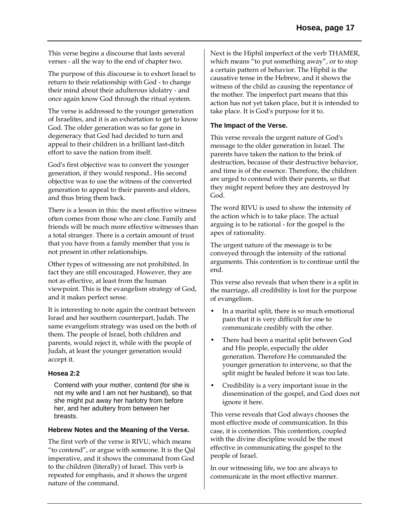This verse begins a discourse that lasts several verses - all the way to the end of chapter two.

The purpose of this discourse is to exhort Israel to return to their relationship with God - to change their mind about their adulterous idolatry - and once again know God through the ritual system.

The verse is addressed to the younger generation of Israelites, and it is an exhortation to get to know God. The older generation was so far gone in degeneracy that God had decided to turn and appeal to their children in a brilliant last-ditch effort to save the nation from itself.

God's first objective was to convert the younger generation, if they would respond.. His second objective was to use the witness of the converted generation to appeal to their parents and elders, and thus bring them back.

There is a lesson in this: the most effective witness often comes from those who are close. Family and friends will be much more effective witnesses than a total stranger. There is a certain amount of trust that you have from a family member that you is not present in other relationships.

Other types of witnessing are not prohibited. In fact they are still encouraged. However, they are not as effective, at least from the human viewpoint. This is the evangelism strategy of God, and it makes perfect sense.

It is interesting to note again the contrast between Israel and her southern counterpart, Judah. The same evangelism strategy was used on the both of them. The people of Israel, both children and parents, would reject it, while with the people of Judah, at least the younger generation would accept it.

# **Hosea 2:2**

Contend with your mother, contend (for she is not my wife and I am not her husband), so that she might put away her harlotry from before her, and her adultery from between her breasts.

# **Hebrew Notes and the Meaning of the Verse.**

The first verb of the verse is RIVU, which means "to contend", or argue with someone. It is the Qal imperative, and it shows the command from God to the children (literally) of Israel. This verb is repeated for emphasis, and it shows the urgent nature of the command.

Next is the Hiphil imperfect of the verb THAMER, which means "to put something away", or to stop a certain pattern of behavior. The Hiphil is the causative tense in the Hebrew, and it shows the witness of the child as causing the repentance of the mother. The imperfect part means that this action has not yet taken place, but it is intended to take place. It is God's purpose for it to.

# **The Impact of the Verse.**

This verse reveals the urgent nature of God's message to the older generation in Israel. The parents have taken the nation to the brink of destruction, because of their destructive behavior, and time is of the essence. Therefore, the children are urged to contend with their parents, so that they might repent before they are destroyed by God.

The word RIVU is used to show the intensity of the action which is to take place. The actual arguing is to be rational - for the gospel is the apex of rationality.

The urgent nature of the message is to be conveyed through the intensity of the rational arguments. This contention is to continue until the end.

This verse also reveals that when there is a split in the marriage, all credibility is lost for the purpose of evangelism.

- In a marital split, there is so much emotional pain that it is very difficult for one to communicate credibly with the other.
- There had been a marital split between God and His people, especially the older generation. Therefore He commanded the younger generation to intervene, so that the split might be healed before it was too late.
- Credibility is a very important issue in the dissemination of the gospel, and God does not ignore it here.

This verse reveals that God always chooses the most effective mode of communication. In this case, it is contention. This contention, coupled with the divine discipline would be the most effective in communicating the gospel to the people of Israel.

In our witnessing life, we too are always to communicate in the most effective manner.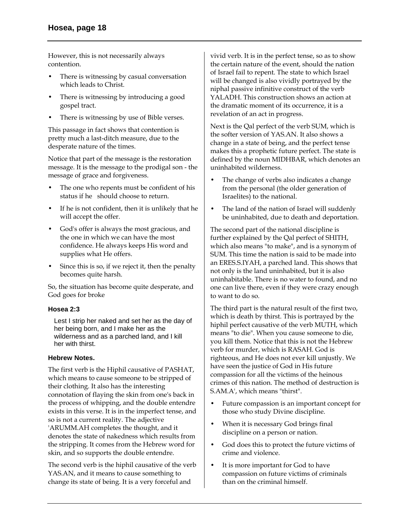However, this is not necessarily always contention.

- There is witnessing by casual conversation which leads to Christ.
- There is witnessing by introducing a good gospel tract.
- There is witnessing by use of Bible verses.

This passage in fact shows that contention is pretty much a last-ditch measure, due to the desperate nature of the times.

Notice that part of the message is the restoration message. It is the message to the prodigal son - the message of grace and forgiveness.

- The one who repents must be confident of his status if he should choose to return.
- If he is not confident, then it is unlikely that he will accept the offer.
- God's offer is always the most gracious, and the one in which we can have the most confidence. He always keeps His word and supplies what He offers.
- Since this is so, if we reject it, then the penalty becomes quite harsh.

So, the situation has become quite desperate, and God goes for broke

# **Hosea 2:3**

Lest I strip her naked and set her as the day of her being born, and I make her as the wilderness and as a parched land, and I kill her with thirst.

#### **Hebrew Notes.**

The first verb is the Hiphil causative of PASHAT, which means to cause someone to be stripped of their clothing. It also has the interesting connotation of flaying the skin from one's back in the process of whipping, and the double entendre exists in this verse. It is in the imperfect tense, and so is not a current reality. The adjective 'ARUMM.AH completes the thought, and it denotes the state of nakedness which results from the stripping. It comes from the Hebrew word for skin, and so supports the double entendre.

The second verb is the hiphil causative of the verb YAS.AN, and it means to cause something to change its state of being. It is a very forceful and

vivid verb. It is in the perfect tense, so as to show the certain nature of the event, should the nation of Israel fail to repent. The state to which Israel will be changed is also vividly portrayed by the niphal passive infinitive construct of the verb YALADH. This construction shows an action at the dramatic moment of its occurrence, it is a revelation of an act in progress.

Next is the Qal perfect of the verb SUM, which is the softer version of YAS.AN. It also shows a change in a state of being, and the perfect tense makes this a prophetic future perfect. The state is defined by the noun MIDHBAR, which denotes an uninhabited wilderness.

- The change of verbs also indicates a change from the personal (the older generation of Israelites) to the national.
- The land of the nation of Israel will suddenly be uninhabited, due to death and deportation.

The second part of the national discipline is further explained by the Qal perfect of SHITH, which also means "to make", and is a synonym of SUM. This time the nation is said to be made into an ERES.S.IYAH, a parched land. This shows that not only is the land uninhabited, but it is also uninhabitable. There is no water to found, and no one can live there, even if they were crazy enough to want to do so.

The third part is the natural result of the first two, which is death by thirst. This is portrayed by the hiphil perfect causative of the verb MUTH, which means "to die". When you cause someone to die, you kill them. Notice that this is not the Hebrew verb for murder, which is RASAH. God is righteous, and He does not ever kill unjustly. We have seen the justice of God in His future compassion for all the victims of the heinous crimes of this nation. The method of destruction is S.AM.A', which means "thirst".

- Future compassion is an important concept for those who study Divine discipline.
- When it is necessary God brings final discipline on a person or nation.
- God does this to protect the future victims of crime and violence.
- It is more important for God to have compassion on future victims of criminals than on the criminal himself.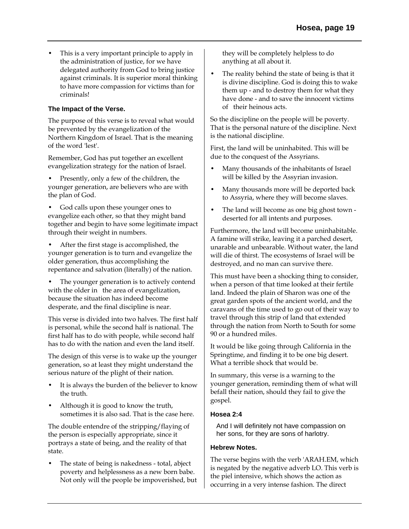• This is a very important principle to apply in the administration of justice, for we have delegated authority from God to bring justice against criminals. It is superior moral thinking to have more compassion for victims than for criminals!

# **The Impact of the Verse.**

The purpose of this verse is to reveal what would be prevented by the evangelization of the Northern Kingdom of Israel. That is the meaning of the word 'lest'.

Remember, God has put together an excellent evangelization strategy for the nation of Israel.

Presently, only a few of the children, the younger generation, are believers who are with the plan of God.

• God calls upon these younger ones to evangelize each other, so that they might band together and begin to have some legitimate impact through their weight in numbers.

• After the first stage is accomplished, the younger generation is to turn and evangelize the older generation, thus accomplishing the repentance and salvation (literally) of the nation.

The younger generation is to actively contend with the older in the area of evangelization, because the situation has indeed become desperate, and the final discipline is near.

This verse is divided into two halves. The first half is personal, while the second half is national. The first half has to do with people, while second half has to do with the nation and even the land itself.

The design of this verse is to wake up the younger generation, so at least they might understand the serious nature of the plight of their nation.

- It is always the burden of the believer to know the truth.
- Although it is good to know the truth, sometimes it is also sad. That is the case here.

The double entendre of the stripping/flaying of the person is especially appropriate, since it portrays a state of being, and the reality of that state.

The state of being is nakedness - total, abject poverty and helplessness as a new born babe. Not only will the people be impoverished, but they will be completely helpless to do anything at all about it.

The reality behind the state of being is that it is divine discipline. God is doing this to wake them up - and to destroy them for what they have done - and to save the innocent victims of their heinous acts.

So the discipline on the people will be poverty. That is the personal nature of the discipline. Next is the national discipline.

First, the land will be uninhabited. This will be due to the conquest of the Assyrians.

- Many thousands of the inhabitants of Israel will be killed by the Assyrian invasion.
- Many thousands more will be deported back to Assyria, where they will become slaves.
- The land will become as one big ghost town deserted for all intents and purposes.

Furthermore, the land will become uninhabitable. A famine will strike, leaving it a parched desert, unarable and unbearable. Without water, the land will die of thirst. The ecosystems of Israel will be destroyed, and no man can survive there.

This must have been a shocking thing to consider, when a person of that time looked at their fertile land. Indeed the plain of Sharon was one of the great garden spots of the ancient world, and the caravans of the time used to go out of their way to travel through this strip of land that extended through the nation from North to South for some 90 or a hundred miles.

It would be like going through California in the Springtime, and finding it to be one big desert. What a terrible shock that would be.

In summary, this verse is a warning to the younger generation, reminding them of what will befall their nation, should they fail to give the gospel.

# **Hosea 2:4**

And I will definitely not have compassion on her sons, for they are sons of harlotry.

#### **Hebrew Notes.**

The verse begins with the verb 'ARAH.EM, which is negated by the negative adverb LO. This verb is the piel intensive, which shows the action as occurring in a very intense fashion. The direct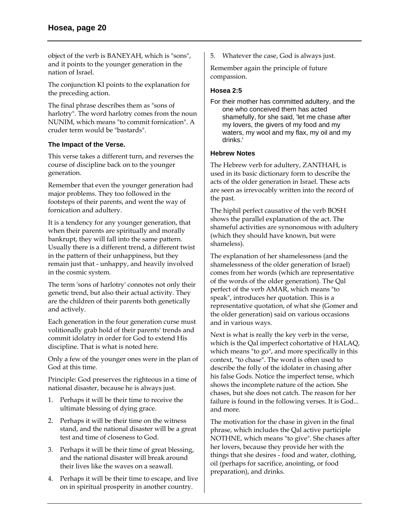object of the verb is BANEYAH, which is "sons", and it points to the younger generation in the nation of Israel.

The conjunction KI points to the explanation for the preceding action.

The final phrase describes them as "sons of harlotry". The word harlotry comes from the noun NUNIM, which means "to commit fornication". A cruder term would be "bastards".

#### **The Impact of the Verse.**

This verse takes a different turn, and reverses the course of discipline back on to the younger generation.

Remember that even the younger generation had major problems. They too followed in the footsteps of their parents, and went the way of fornication and adultery.

It is a tendency for any younger generation, that when their parents are spiritually and morally bankrupt, they will fall into the same pattern. Usually there is a different trend, a different twist in the pattern of their unhappiness, but they remain just that - unhappy, and heavily involved in the cosmic system.

The term 'sons of harlotry' connotes not only their genetic trend, but also their actual activity. They are the children of their parents both genetically and actively.

Each generation in the four generation curse must volitionally grab hold of their parents' trends and commit idolatry in order for God to extend His discipline. That is what is noted here.

Only a few of the younger ones were in the plan of God at this time.

Principle: God preserves the righteous in a time of national disaster, because he is always just.

- 1. Perhaps it will be their time to receive the ultimate blessing of dying grace.
- 2. Perhaps it will be their time on the witness stand, and the national disaster will be a great test and time of closeness to God.
- 3. Perhaps it will be their time of great blessing, and the national disaster will break around their lives like the waves on a seawall.
- 4. Perhaps it will be their time to escape, and live on in spiritual prosperity in another country.

5. Whatever the case, God is always just.

Remember again the principle of future compassion.

#### **Hosea 2:5**

For their mother has committed adultery, and the one who conceived them has acted shamefully, for she said, 'let me chase after my lovers, the givers of my food and my waters, my wool and my flax, my oil and my drinks.'

#### **Hebrew Notes**

The Hebrew verb for adultery, ZANTHAH, is used in its basic dictionary form to describe the acts of the older generation in Israel. These acts are seen as irrevocably written into the record of the past.

The hiphil perfect causative of the verb BOSH shows the parallel explanation of the act. The shameful activities are synonomous with adultery (which they should have known, but were shameless).

The explanation of her shamelessness (and the shamelessness of the older generation of Israel) comes from her words (which are representative of the words of the older generation). The Qal perfect of the verb AMAR, which means "to speak", introduces her quotation. This is a representative quotation, of what she (Gomer and the older generation) said on various occasions and in various ways.

Next is what is really the key verb in the verse, which is the Qal imperfect cohortative of HALAQ, which means "to go", and more specifically in this context, "to chase". The word is often used to describe the folly of the idolater in chasing after his false Gods. Notice the imperfect tense, which shows the incomplete nature of the action. She chases, but she does not catch. The reason for her failure is found in the following verses. It is God... and more.

The motivation for the chase in given in the final phrase, which includes the Qal active participle NOTHNE, which means "to give". She chases after her lovers, because they provide her with the things that she desires - food and water, clothing, oil (perhaps for sacrifice, anointing, or food preparation), and drinks.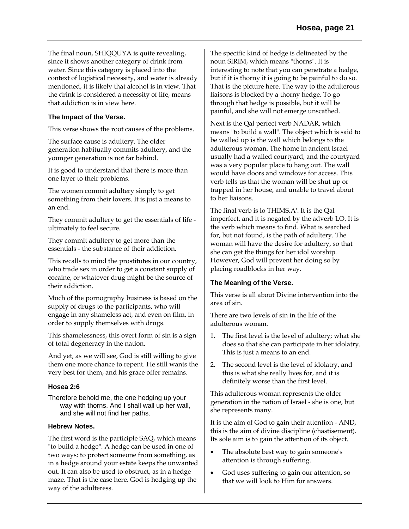The final noun, SHIQQUYA is quite revealing, since it shows another category of drink from water. Since this category is placed into the context of logistical necessity, and water is already mentioned, it is likely that alcohol is in view. That the drink is considered a necessity of life, means that addiction is in view here.

# **The Impact of the Verse.**

This verse shows the root causes of the problems.

The surface cause is adultery. The older generation habitually commits adultery, and the younger generation is not far behind.

It is good to understand that there is more than one layer to their problems.

The women commit adultery simply to get something from their lovers. It is just a means to an end.

They commit adultery to get the essentials of life ultimately to feel secure.

They commit adultery to get more than the essentials - the substance of their addiction.

This recalls to mind the prostitutes in our country, who trade sex in order to get a constant supply of cocaine, or whatever drug might be the source of their addiction.

Much of the pornography business is based on the supply of drugs to the participants, who will engage in any shameless act, and even on film, in order to supply themselves with drugs.

This shamelessness, this overt form of sin is a sign of total degeneracy in the nation.

And yet, as we will see, God is still willing to give them one more chance to repent. He still wants the very best for them, and his grace offer remains.

# **Hosea 2:6**

Therefore behold me, the one hedging up your way with thorns. And I shall wall up her wall, and she will not find her paths.

# **Hebrew Notes.**

The first word is the participle SAQ, which means "to build a hedge". A hedge can be used in one of two ways: to protect someone from something, as in a hedge around your estate keeps the unwanted out. It can also be used to obstruct, as in a hedge maze. That is the case here. God is hedging up the way of the adulteress.

The specific kind of hedge is delineated by the noun SIRIM, which means "thorns". It is interesting to note that you can penetrate a hedge, but if it is thorny it is going to be painful to do so. That is the picture here. The way to the adulterous liaisons is blocked by a thorny hedge. To go through that hedge is possible, but it will be painful, and she will not emerge unscathed.

Next is the Qal perfect verb NADAR, which means "to build a wall". The object which is said to be walled up is the wall which belongs to the adulterous woman. The home in ancient Israel usually had a walled courtyard, and the courtyard was a very popular place to hang out. The wall would have doors and windows for access. This verb tells us that the woman will be shut up or trapped in her house, and unable to travel about to her liaisons.

The final verb is lo THIMS.A'. It is the Qal imperfect, and it is negated by the adverb LO. It is the verb which means to find. What is searched for, but not found, is the path of adultery. The woman will have the desire for adultery, so that she can get the things for her idol worship. However, God will prevent her doing so by placing roadblocks in her way.

# **The Meaning of the Verse.**

This verse is all about Divine intervention into the area of sin.

There are two levels of sin in the life of the adulterous woman.

- 1. The first level is the level of adultery; what she does so that she can participate in her idolatry. This is just a means to an end.
- 2. The second level is the level of idolatry, and this is what she really lives for, and it is definitely worse than the first level.

This adulterous woman represents the older generation in the nation of Israel - she is one, but she represents many.

It is the aim of God to gain their attention - AND, this is the aim of divine discipline (chastisement). Its sole aim is to gain the attention of its object.

- The absolute best way to gain someone's attention is through suffering.
- God uses suffering to gain our attention, so that we will look to Him for answers.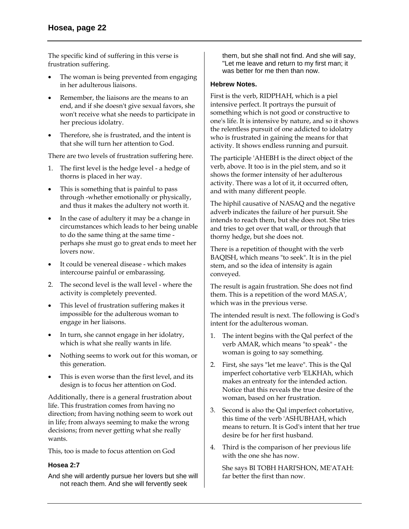The specific kind of suffering in this verse is frustration suffering.

- The woman is being prevented from engaging in her adulterous liaisons.
- Remember, the liaisons are the means to an end, and if she doesn't give sexual favors, she won't receive what she needs to participate in her precious idolatry.
- Therefore, she is frustrated, and the intent is that she will turn her attention to God.

There are two levels of frustration suffering here.

- 1. The first level is the hedge level a hedge of thorns is placed in her way.
- This is something that is painful to pass through -whether emotionally or physically, and thus it makes the adultery not worth it.
- In the case of adultery it may be a change in circumstances which leads to her being unable to do the same thing at the same time perhaps she must go to great ends to meet her lovers now.
- It could be venereal disease which makes intercourse painful or embarassing.
- 2. The second level is the wall level where the activity is completely prevented.
- This level of frustration suffering makes it impossible for the adulterous woman to engage in her liaisons.
- In turn, she cannot engage in her idolatry, which is what she really wants in life.
- Nothing seems to work out for this woman, or this generation.
- This is even worse than the first level, and its design is to focus her attention on God.

Additionally, there is a general frustration about life. This frustration comes from having no direction; from having nothing seem to work out in life; from always seeming to make the wrong decisions; from never getting what she really wants.

This, too is made to focus attention on God

#### **Hosea 2:7**

And she will ardently pursue her lovers but she will not reach them. And she will fervently seek

them, but she shall not find. And she will say, "Let me leave and return to my first man; it was better for me then than now.

#### **Hebrew Notes.**

First is the verb, RIDPHAH, which is a piel intensive perfect. It portrays the pursuit of something which is not good or constructive to one's life. It is intensive by nature, and so it shows the relentless pursuit of one addicted to idolatry who is frustrated in gaining the means for that activity. It shows endless running and pursuit.

The participle 'AHEBH is the direct object of the verb, above. It too is in the piel stem, and so it shows the former intensity of her adulterous activity. There was a lot of it, it occurred often, and with many different people.

The hiphil causative of NASAQ and the negative adverb indicates the failure of her pursuit. She intends to reach them, but she does not. She tries and tries to get over that wall, or through that thorny hedge, but she does not.

There is a repetition of thought with the verb BAQISH, which means "to seek". It is in the piel stem, and so the idea of intensity is again conveyed.

The result is again frustration. She does not find them. This is a repetition of the word MAS.A', which was in the previous verse.

The intended result is next. The following is God's intent for the adulterous woman.

- 1. The intent begins with the Qal perfect of the verb AMAR, which means "to speak" - the woman is going to say something.
- 2. First, she says "let me leave". This is the Qal imperfect cohortative verb 'ELKHAh, which makes an entreaty for the intended action. Notice that this reveals the true desire of the woman, based on her frustration.
- 3. Second is also the Qal imperfect cohortative, this time of the verb 'ASHUBHAH, which means to return. It is God's intent that her true desire be for her first husband.
- 4. Third is the comparison of her previous life with the one she has now.

She says BI TOBH HARI'SHON, ME'ATAH: far better the first than now.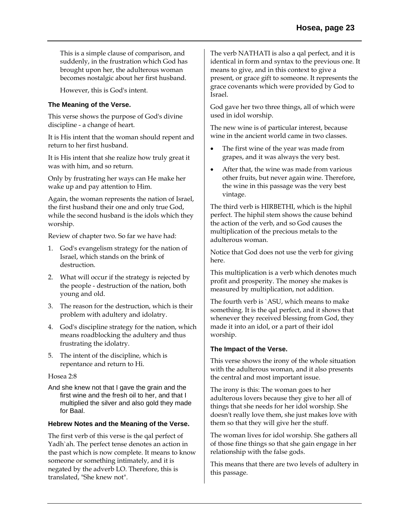This is a simple clause of comparison, and suddenly, in the frustration which God has brought upon her, the adulterous woman becomes nostalgic about her first husband.

However, this is God's intent.

# **The Meaning of the Verse.**

This verse shows the purpose of God's divine discipline - a change of heart.

It is His intent that the woman should repent and return to her first husband.

It is His intent that she realize how truly great it was with him, and so return.

Only by frustrating her ways can He make her wake up and pay attention to Him.

Again, the woman represents the nation of Israel, the first husband their one and only true God, while the second husband is the idols which they worship.

Review of chapter two. So far we have had:

- 1. God's evangelism strategy for the nation of Israel, which stands on the brink of destruction.
- 2. What will occur if the strategy is rejected by the people - destruction of the nation, both young and old.
- 3. The reason for the destruction, which is their problem with adultery and idolatry.
- 4. God's discipline strategy for the nation, which means roadblocking the adultery and thus frustrating the idolatry.
- 5. The intent of the discipline, which is repentance and return to Hi.

# Hosea 2:8

And she knew not that I gave the grain and the first wine and the fresh oil to her, and that I multiplied the silver and also gold they made for Baal.

#### **Hebrew Notes and the Meaning of the Verse.**

The first verb of this verse is the qal perfect of Yadh`ah. The perfect tense denotes an action in the past which is now complete. It means to know someone or something intimately, and it is negated by the adverb LO. Therefore, this is translated, "She knew not".

The verb NATHATI is also a qal perfect, and it is identical in form and syntax to the previous one. It means to give, and in this context to give a present, or grace gift to someone. It represents the grace covenants which were provided by God to Israel.

God gave her two three things, all of which were used in idol worship.

The new wine is of particular interest, because wine in the ancient world came in two classes.

- The first wine of the year was made from grapes, and it was always the very best.
- After that, the wine was made from various other fruits, but never again wine. Therefore, the wine in this passage was the very best vintage.

The third verb is HIRBETHI, which is the hiphil perfect. The hiphil stem shows the cause behind the action of the verb, and so God causes the multiplication of the precious metals to the adulterous woman.

Notice that God does not use the verb for giving here.

This multiplication is a verb which denotes much profit and prosperity. The money she makes is measured by multiplication, not addition.

The fourth verb is `ASU, which means to make something. It is the qal perfect, and it shows that whenever they received blessing from God, they made it into an idol, or a part of their idol worship.

# **The Impact of the Verse.**

This verse shows the irony of the whole situation with the adulterous woman, and it also presents the central and most important issue.

The irony is this: The woman goes to her adulterous lovers because they give to her all of things that she needs for her idol worship. She doesn't really love them, she just makes love with them so that they will give her the stuff.

The woman lives for idol worship. She gathers all of those fine things so that she gain engage in her relationship with the false gods.

This means that there are two levels of adultery in this passage.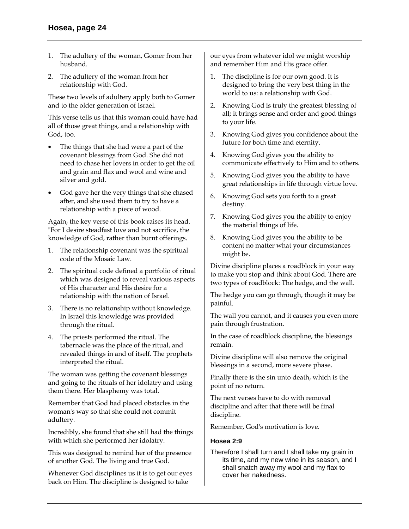- 1. The adultery of the woman, Gomer from her husband.
- 2. The adultery of the woman from her relationship with God.

These two levels of adultery apply both to Gomer and to the older generation of Israel.

This verse tells us that this woman could have had all of those great things, and a relationship with God, too.

- The things that she had were a part of the covenant blessings from God. She did not need to chase her lovers in order to get the oil and grain and flax and wool and wine and silver and gold.
- God gave her the very things that she chased after, and she used them to try to have a relationship with a piece of wood.

Again, the key verse of this book raises its head. "For I desire steadfast love and not sacrifice, the knowledge of God, rather than burnt offerings.

- 1. The relationship covenant was the spiritual code of the Mosaic Law.
- 2. The spiritual code defined a portfolio of ritual which was designed to reveal various aspects of His character and His desire for a relationship with the nation of Israel.
- 3. There is no relationship without knowledge. In Israel this knowledge was provided through the ritual.
- 4. The priests performed the ritual. The tabernacle was the place of the ritual, and revealed things in and of itself. The prophets interpreted the ritual.

The woman was getting the covenant blessings and going to the rituals of her idolatry and using them there. Her blasphemy was total.

Remember that God had placed obstacles in the woman's way so that she could not commit adultery.

Incredibly, she found that she still had the things with which she performed her idolatry.

This was designed to remind her of the presence of another God. The living and true God.

Whenever God disciplines us it is to get our eyes back on Him. The discipline is designed to take

our eyes from whatever idol we might worship and remember Him and His grace offer.

- 1. The discipline is for our own good. It is designed to bring the very best thing in the world to us: a relationship with God.
- 2. Knowing God is truly the greatest blessing of all; it brings sense and order and good things to your life.
- 3. Knowing God gives you confidence about the future for both time and eternity.
- 4. Knowing God gives you the ability to communicate effectively to Him and to others.
- 5. Knowing God gives you the ability to have great relationships in life through virtue love.
- 6. Knowing God sets you forth to a great destiny.
- 7. Knowing God gives you the ability to enjoy the material things of life.
- 8. Knowing God gives you the ability to be content no matter what your circumstances might be.

Divine discipline places a roadblock in your way to make you stop and think about God. There are two types of roadblock: The hedge, and the wall.

The hedge you can go through, though it may be painful.

The wall you cannot, and it causes you even more pain through frustration.

In the case of roadblock discipline, the blessings remain.

Divine discipline will also remove the original blessings in a second, more severe phase.

Finally there is the sin unto death, which is the point of no return.

The next verses have to do with removal discipline and after that there will be final discipline.

Remember, God's motivation is love.

#### **Hosea 2:9**

Therefore I shall turn and I shall take my grain in its time, and my new wine in its season, and I shall snatch away my wool and my flax to cover her nakedness.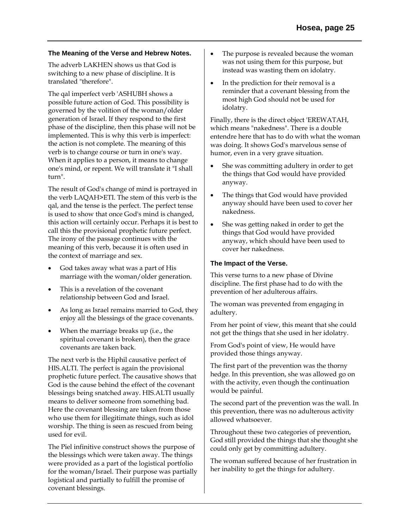# **The Meaning of the Verse and Hebrew Notes.**

The adverb LAKHEN shows us that God is switching to a new phase of discipline. It is translated "therefore".

The qal imperfect verb 'ASHUBH shows a possible future action of God. This possibility is governed by the volition of the woman/older generation of Israel. If they respond to the first phase of the discipline, then this phase will not be implemented. This is why this verb is imperfect: the action is not complete. The meaning of this verb is to change course or turn in one's way. When it applies to a person, it means to change one's mind, or repent. We will translate it "I shall turn".

The result of God's change of mind is portrayed in the verb LAQAH>ETI. The stem of this verb is the qal, and the tense is the perfect. The perfect tense is used to show that once God's mind is changed, this action will certainly occur. Perhaps it is best to call this the provisional prophetic future perfect. The irony of the passage continues with the meaning of this verb, because it is often used in the context of marriage and sex.

- God takes away what was a part of His marriage with the woman/older generation.
- This is a revelation of the covenant relationship between God and Israel.
- As long as Israel remains married to God, they enjoy all the blessings of the grace covenants.
- When the marriage breaks up (i.e., the spiritual covenant is broken), then the grace covenants are taken back.

The next verb is the Hiphil causative perfect of HIS.ALTI. The perfect is again the provisional prophetic future perfect. The causative shows that God is the cause behind the effect of the covenant blessings being snatched away. HIS.ALTI usually means to deliver someone from something bad. Here the covenant blessing are taken from those who use them for illegitimate things, such as idol worship. The thing is seen as rescued from being used for evil.

The Piel infinitive construct shows the purpose of the blessings which were taken away. The things were provided as a part of the logistical portfolio for the woman/Israel. Their purpose was partially logistical and partially to fulfill the promise of covenant blessings.

- The purpose is revealed because the woman was not using them for this purpose, but instead was wasting them on idolatry.
- In the prediction for their removal is a reminder that a covenant blessing from the most high God should not be used for idolatry.

Finally, there is the direct object 'EREWATAH, which means "nakedness". There is a double entendre here that has to do with what the woman was doing. It shows God's marvelous sense of humor, even in a very grave situation.

- She was committing adultery in order to get the things that God would have provided anyway.
- The things that God would have provided anyway should have been used to cover her nakedness.
- She was getting naked in order to get the things that God would have provided anyway, which should have been used to cover her nakedness.

#### **The Impact of the Verse.**

This verse turns to a new phase of Divine discipline. The first phase had to do with the prevention of her adulterous affairs.

The woman was prevented from engaging in adultery.

From her point of view, this meant that she could not get the things that she used in her idolatry.

From God's point of view, He would have provided those things anyway.

The first part of the prevention was the thorny hedge. In this prevention, she was allowed go on with the activity, even though the continuation would be painful.

The second part of the prevention was the wall. In this prevention, there was no adulterous activity allowed whatsoever.

Throughout these two categories of prevention, God still provided the things that she thought she could only get by committing adultery.

The woman suffered because of her frustration in her inability to get the things for adultery.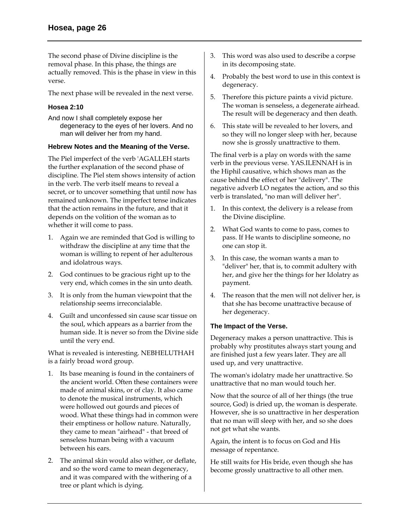The second phase of Divine discipline is the removal phase. In this phase, the things are actually removed. This is the phase in view in this verse.

The next phase will be revealed in the next verse.

# **Hosea 2:10**

And now I shall completely expose her degeneracy to the eyes of her lovers. And no man will deliver her from my hand.

#### **Hebrew Notes and the Meaning of the Verse.**

The Piel imperfect of the verb 'AGALLEH starts the further explanation of the second phase of discipline. The Piel stem shows intensity of action in the verb. The verb itself means to reveal a secret, or to uncover something that until now has remained unknown. The imperfect tense indicates that the action remains in the future, and that it depends on the volition of the woman as to whether it will come to pass.

- 1. Again we are reminded that God is willing to withdraw the discipline at any time that the woman is willing to repent of her adulterous and idolatrous ways.
- 2. God continues to be gracious right up to the very end, which comes in the sin unto death.
- 3. It is only from the human viewpoint that the relationship seems irreconcialable.
- 4. Guilt and unconfessed sin cause scar tissue on the soul, which appears as a barrier from the human side. It is never so from the Divine side until the very end.

What is revealed is interesting. NEBHELUTHAH is a fairly broad word group.

- 1. Its base meaning is found in the containers of the ancient world. Often these containers were made of animal skins, or of clay. It also came to denote the musical instruments, which were hollowed out gourds and pieces of wood. What these things had in common were their emptiness or hollow nature. Naturally, they came to mean "airhead" - that breed of senseless human being with a vacuum between his ears.
- 2. The animal skin would also wither, or deflate, and so the word came to mean degeneracy, and it was compared with the withering of a tree or plant which is dying.
- 3. This word was also used to describe a corpse in its decomposing state.
- 4. Probably the best word to use in this context is degeneracy.
- 5. Therefore this picture paints a vivid picture. The woman is senseless, a degenerate airhead. The result will be degeneracy and then death.
- 6. This state will be revealed to her lovers, and so they will no longer sleep with her, because now she is grossly unattractive to them.

The final verb is a play on words with the same verb in the previous verse. YAS.ILENNAH is in the Hiphil causative, which shows man as the cause behind the effect of her "delivery". The negative adverb LO negates the action, and so this verb is translated, "no man will deliver her".

- 1. In this context, the delivery is a release from the Divine discipline.
- 2. What God wants to come to pass, comes to pass. If He wants to discipline someone, no one can stop it.
- 3. In this case, the woman wants a man to "deliver" her, that is, to commit adultery with her, and give her the things for her Idolatry as payment.
- 4. The reason that the men will not deliver her, is that she has become unattractive because of her degeneracy.

#### **The Impact of the Verse.**

Degeneracy makes a person unattractive. This is probably why prostitutes always start young and are finished just a few years later. They are all used up, and very unattractive.

The woman's idolatry made her unattractive. So unattractive that no man would touch her.

Now that the source of all of her things (the true source, God) is dried up, the woman is desperate. However, she is so unattractive in her desperation that no man will sleep with her, and so she does not get what she wants.

Again, the intent is to focus on God and His message of repentance.

He still waits for His bride, even though she has become grossly unattractive to all other men.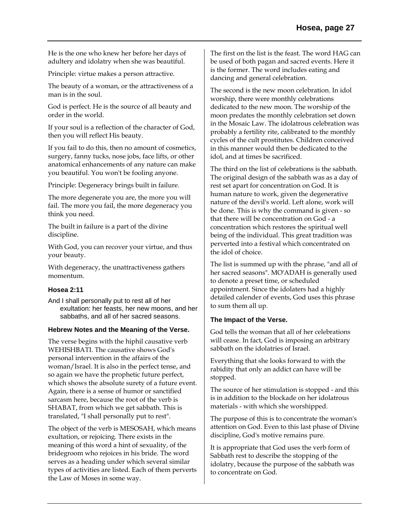He is the one who knew her before her days of adultery and idolatry when she was beautiful.

Principle: virtue makes a person attractive.

The beauty of a woman, or the attractiveness of a man is in the soul.

God is perfect. He is the source of all beauty and order in the world.

If your soul is a reflection of the character of God, then you will reflect His beauty.

If you fail to do this, then no amount of cosmetics, surgery, fanny tucks, nose jobs, face lifts, or other anatomical enhancements of any nature can make you beautiful. You won't be fooling anyone.

Principle: Degeneracy brings built in failure.

The more degenerate you are, the more you will fail. The more you fail, the more degeneracy you think you need.

The built in failure is a part of the divine discipline.

With God, you can recover your virtue, and thus your beauty.

With degeneracy, the unattractiveness gathers momentum.

# **Hosea 2:11**

And I shall personally put to rest all of her exultation: her feasts, her new moons, and her sabbaths, and all of her sacred seasons.

# **Hebrew Notes and the Meaning of the Verse.**

The verse begins with the hiphil causative verb WEHISHBATI. The causative shows God's personal intervention in the affairs of the woman/Israel. It is also in the perfect tense, and so again we have the prophetic future perfect, which shows the absolute surety of a future event. Again, there is a sense of humor or sanctified sarcasm here, because the root of the verb is SHABAT, from which we get sabbath. This is translated, "I shall personally put to rest".

The object of the verb is MESOSAH, which means exultation, or rejoicing. There exists in the meaning of this word a hint of sexuality, of the bridegroom who rejoices in his bride. The word serves as a heading under which several similar types of activities are listed. Each of them perverts the Law of Moses in some way.

The first on the list is the feast. The word HAG can be used of both pagan and sacred events. Here it is the former. The word includes eating and dancing and general celebration.

The second is the new moon celebration. In idol worship, there were monthly celebrations dedicated to the new moon. The worship of the moon predates the monthly celebration set down in the Mosaic Law. The idolatrous celebration was probably a fertility rite, calibrated to the monthly cycles of the cult prostitutes. Children conceived in this manner would then be dedicated to the idol, and at times be sacrificed.

The third on the list of celebrations is the sabbath. The original design of the sabbath was as a day of rest set apart for concentration on God. It is human nature to work, given the degenerative nature of the devil's world. Left alone, work will be done. This is why the command is given - so that there will be concentration on God - a concentration which restores the spiritual well being of the individual. This great tradition was perverted into a festival which concentrated on the idol of choice.

The list is summed up with the phrase, "and all of her sacred seasons". MO'ADAH is generally used to denote a preset time, or scheduled appointment. Since the idolaters had a highly detailed calender of events, God uses this phrase to sum them all up.

# **The Impact of the Verse.**

God tells the woman that all of her celebrations will cease. In fact, God is imposing an arbitrary sabbath on the idolatries of Israel.

Everything that she looks forward to with the rabidity that only an addict can have will be stopped.

The source of her stimulation is stopped - and this is in addition to the blockade on her idolatrous materials - with which she worshipped.

The purpose of this is to concentrate the woman's attention on God. Even to this last phase of Divine discipline, God's motive remains pure.

It is appropriate that God uses the verb form of Sabbath rest to describe the stopping of the idolatry, because the purpose of the sabbath was to concentrate on God.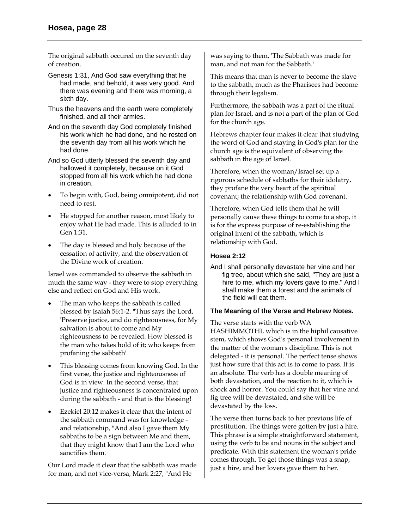The original sabbath occured on the seventh day of creation.

Genesis 1:31, And God saw everything that he had made, and behold, it was very good. And there was evening and there was morning, a sixth day.

Thus the heavens and the earth were completely finished, and all their armies.

- And on the seventh day God completely finished his work which he had done, and he rested on the seventh day from all his work which he had done.
- And so God utterly blessed the seventh day and hallowed it completely, because on it God stopped from all his work which he had done in creation.
- To begin with, God, being omnipotent, did not need to rest.
- He stopped for another reason, most likely to enjoy what He had made. This is alluded to in Gen 1:31.
- The day is blessed and holy because of the cessation of activity, and the observation of the Divine work of creation.

Israel was commanded to observe the sabbath in much the same way - they were to stop everything else and reflect on God and His work.

- The man who keeps the sabbath is called blessed by Isaiah 56:1-2. "Thus says the Lord, 'Preserve justice, and do righteousness, for My salvation is about to come and My righteousness to be revealed. How blessed is the man who takes hold of it; who keeps from profaning the sabbath'
- This blessing comes from knowing God. In the first verse, the justice and righteousness of God is in view. In the second verse, that justice and righteousness is concentrated upon during the sabbath - and that is the blessing!
- Ezekiel 20:12 makes it clear that the intent of the sabbath command was for knowledge and relationship, "And also I gave them My sabbaths to be a sign between Me and them, that they might know that I am the Lord who sanctifies them.

Our Lord made it clear that the sabbath was made for man, and not vice-versa, Mark 2:27, "And He

was saying to them, 'The Sabbath was made for man, and not man for the Sabbath.'

This means that man is never to become the slave to the sabbath, much as the Pharisees had become through their legalism.

Furthermore, the sabbath was a part of the ritual plan for Israel, and is not a part of the plan of God for the church age.

Hebrews chapter four makes it clear that studying the word of God and staying in God's plan for the church age is the equivalent of observing the sabbath in the age of Israel.

Therefore, when the woman/Israel set up a rigorous schedule of sabbaths for their idolatry, they profane the very heart of the spiritual covenant; the relationship with God covenant.

Therefore, when God tells them that he will personally cause these things to come to a stop, it is for the express purpose of re-establishing the original intent of the sabbath, which is relationship with God.

#### **Hosea 2:12**

And I shall personally devastate her vine and her fig tree, about which she said, "They are just a hire to me, which my lovers gave to me." And I shall make them a forest and the animals of the field will eat them.

#### **The Meaning of the Verse and Hebrew Notes.**

The verse starts with the verb WA HASHIMMOTHI, which is in the hiphil causative stem, which shows God's personal involvement in the matter of the woman's discipline. This is not delegated - it is personal. The perfect tense shows just how sure that this act is to come to pass. It is an absolute. The verb has a double meaning of both devastation, and the reaction to it, which is shock and horror. You could say that her vine and fig tree will be devastated, and she will be devastated by the loss.

The verse then turns back to her previous life of prostitution. The things were gotten by just a hire. This phrase is a simple straightforward statement, using the verb to be and nouns in the subject and predicate. With this statement the woman's pride comes through. To get those things was a snap, just a hire, and her lovers gave them to her.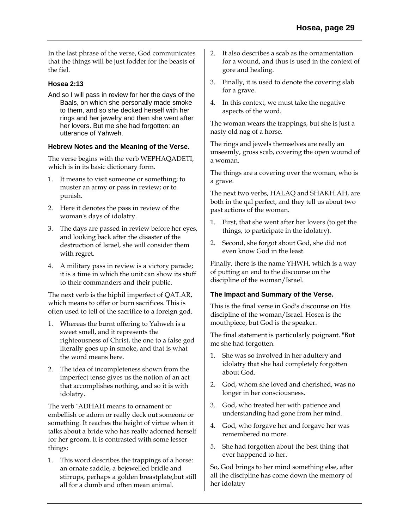In the last phrase of the verse, God communicates that the things will be just fodder for the beasts of the fiel.

# **Hosea 2:13**

And so I will pass in review for her the days of the Baals, on which she personally made smoke to them, and so she decked herself with her rings and her jewelry and then she went after her lovers. But me she had forgotten: an utterance of Yahweh.

# **Hebrew Notes and the Meaning of the Verse.**

The verse begins with the verb WEPHAQADETI, which is in its basic dictionary form.

- 1. It means to visit someone or something; to muster an army or pass in review; or to punish.
- 2. Here it denotes the pass in review of the woman's days of idolatry.
- 3. The days are passed in review before her eyes, and looking back after the disaster of the destruction of Israel, she will consider them with regret.
- 4. A military pass in review is a victory parade; it is a time in which the unit can show its stuff to their commanders and their public.

The next verb is the hiphil imperfect of QAT.AR, which means to offer or burn sacrifices. This is often used to tell of the sacrifice to a foreign god.

- 1. Whereas the burnt offering to Yahweh is a sweet smell, and it represents the righteousness of Christ, the one to a false god literally goes up in smoke, and that is what the word means here.
- 2. The idea of incompleteness shown from the imperfect tense gives us the notion of an act that accomplishes nothing, and so it is with idolatry.

The verb `ADHAH means to ornament or embellish or adorn or really deck out someone or something. It reaches the height of virtue when it talks about a bride who has really adorned herself for her groom. It is contrasted with some lesser things:

1. This word describes the trappings of a horse: an ornate saddle, a bejewelled bridle and stirrups, perhaps a golden breastplate,but still all for a dumb and often mean animal.

- 2. It also describes a scab as the ornamentation for a wound, and thus is used in the context of gore and healing.
- 3. Finally, it is used to denote the covering slab for a grave.
- 4. In this context, we must take the negative aspects of the word.

The woman wears the trappings, but she is just a nasty old nag of a horse.

The rings and jewels themselves are really an unseemly, gross scab, covering the open wound of a woman.

The things are a covering over the woman, who is a grave.

The next two verbs, HALAQ and SHAKH.AH, are both in the qal perfect, and they tell us about two past actions of the woman.

- 1. First, that she went after her lovers (to get the things, to participate in the idolatry).
- 2. Second, she forgot about God, she did not even know God in the least.

Finally, there is the name YHWH, which is a way of putting an end to the discourse on the discipline of the woman/Israel.

# **The Impact and Summary of the Verse.**

This is the final verse in God's discourse on His discipline of the woman/Israel. Hosea is the mouthpiece, but God is the speaker.

The final statement is particularly poignant. "But me she had forgotten.

- 1. She was so involved in her adultery and idolatry that she had completely forgotten about God.
- 2. God, whom she loved and cherished, was no longer in her consciousness.
- 3. God, who treated her with patience and understanding had gone from her mind.
- 4. God, who forgave her and forgave her was remembered no more.
- 5. She had forgotten about the best thing that ever happened to her.

So, God brings to her mind something else, after all the discipline has come down the memory of her idolatry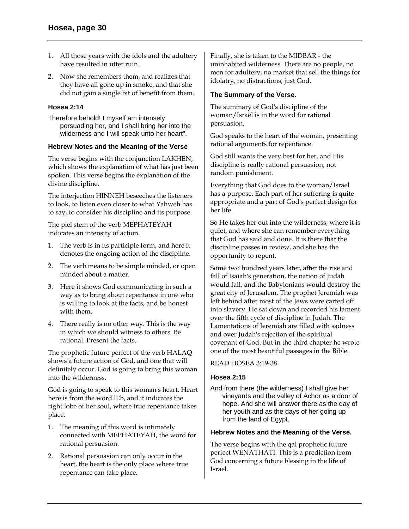- 1. All those years with the idols and the adultery have resulted in utter ruin.
- 2. Now she remembers them, and realizes that they have all gone up in smoke, and that she did not gain a single bit of benefit from them.

#### **Hosea 2:14**

Therefore behold! I myself am intensely persuading her, and I shall bring her into the wilderness and I will speak unto her heart".

#### **Hebrew Notes and the Meaning of the Verse**

The verse begins with the conjunction LAKHEN, which shows the explanation of what has just been spoken. This verse begins the explanation of the divine discipline.

The interjection HINNEH beseeches the listeners to look, to listen even closer to what Yahweh has to say, to consider his discipline and its purpose.

The piel stem of the verb MEPHATEYAH indicates an intensity of action.

- 1. The verb is in its participle form, and here it denotes the ongoing action of the discipline.
- 2. The verb means to be simple minded, or open minded about a matter.
- 3. Here it shows God communicating in such a way as to bring about repentance in one who is willing to look at the facts, and be honest with them.
- 4. There really is no other way. This is the way in which we should witness to others. Be rational. Present the facts.

The prophetic future perfect of the verb HALAQ shows a future action of God, and one that will definitely occur. God is going to bring this woman into the wilderness.

God is going to speak to this woman's heart. Heart here is from the word lEb, and it indicates the right lobe of her soul, where true repentance takes place.

- 1. The meaning of this word is intimately connected with MEPHATEYAH, the word for rational persuasion.
- 2. Rational persuasion can only occur in the heart, the heart is the only place where true repentance can take place.

Finally, she is taken to the MIDBAR - the uninhabited wilderness. There are no people, no men for adultery, no market that sell the things for idolatry, no distractions, just God.

#### **The Summary of the Verse.**

The summary of God's discipline of the woman/Israel is in the word for rational persuasion.

God speaks to the heart of the woman, presenting rational arguments for repentance.

God still wants the very best for her, and His discipline is really rational persuasion, not random punishment.

Everything that God does to the woman/Israel has a purpose. Each part of her suffering is quite appropriate and a part of God's perfect design for her life.

So He takes her out into the wilderness, where it is quiet, and where she can remember everything that God has said and done. It is there that the discipline passes in review, and she has the opportunity to repent.

Some two hundred years later, after the rise and fall of Isaiah's generation, the nation of Judah would fall, and the Babylonians would destroy the great city of Jerusalem. The prophet Jeremiah was left behind after most of the Jews were carted off into slavery. He sat down and recorded his lament over the fifth cycle of discipline in Judah. The Lamentations of Jeremiah are filled with sadness and over Judah's rejection of the spiritual covenant of God. But in the third chapter he wrote one of the most beautiful passages in the Bible.

#### READ HOSEA 3:19-38

#### **Hosea 2:15**

And from there (the wilderness) I shall give her vineyards and the valley of Achor as a door of hope. And she will answer there as the day of her youth and as the days of her going up from the land of Egypt.

#### **Hebrew Notes and the Meaning of the Verse.**

The verse begins with the qal prophetic future perfect WENATHATI. This is a prediction from God concerning a future blessing in the life of Israel.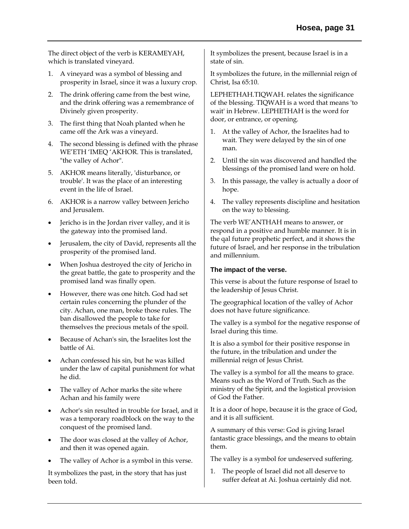The direct object of the verb is KERAMEYAH, which is translated vineyard.

- 1. A vineyard was a symbol of blessing and prosperity in Israel, since it was a luxury crop.
- 2. The drink offering came from the best wine, and the drink offering was a remembrance of Divinely given prosperity.
- 3. The first thing that Noah planted when he came off the Ark was a vineyard.
- 4. The second blessing is defined with the phrase WE'ETH 'IMEQ 'AKHOR. This is translated, "the valley of Achor".
- 5. AKHOR means literally, 'disturbance, or trouble'. It was the place of an interesting event in the life of Israel.
- 6. AKHOR is a narrow valley between Jericho and Jerusalem.
- Jericho is in the Jordan river valley, and it is the gateway into the promised land.
- Jerusalem, the city of David, represents all the prosperity of the promised land.
- When Joshua destroyed the city of Jericho in the great battle, the gate to prosperity and the promised land was finally open.
- However, there was one hitch. God had set certain rules concerning the plunder of the city. Achan, one man, broke those rules. The ban disallowed the people to take for themselves the precious metals of the spoil.
- Because of Achan's sin, the Israelites lost the battle of Ai.
- Achan confessed his sin, but he was killed under the law of capital punishment for what he did.
- The valley of Achor marks the site where Achan and his family were
- Achor's sin resulted in trouble for Israel, and it was a temporary roadblock on the way to the conquest of the promised land.
- The door was closed at the valley of Achor, and then it was opened again.
- The valley of Achor is a symbol in this verse.

It symbolizes the past, in the story that has just been told.

It symbolizes the present, because Israel is in a state of sin.

It symbolizes the future, in the millennial reign of Christ, Isa 65:10.

LEPHETHAH.TIQWAH. relates the significance of the blessing. TIQWAH is a word that means 'to wait' in Hebrew. LEPHETHAH is the word for door, or entrance, or opening.

- 1. At the valley of Achor, the Israelites had to wait. They were delayed by the sin of one man.
- 2. Until the sin was discovered and handled the blessings of the promised land were on hold.
- 3. In this passage, the valley is actually a door of hope.
- 4. The valley represents discipline and hesitation on the way to blessing.

The verb WE'ANTHAH means to answer, or respond in a positive and humble manner. It is in the qal future prophetic perfect, and it shows the future of Israel, and her response in the tribulation and millennium.

# **The impact of the verse.**

This verse is about the future response of Israel to the leadership of Jesus Christ.

The geographical location of the valley of Achor does not have future significance.

The valley is a symbol for the negative response of Israel during this time.

It is also a symbol for their positive response in the future, in the tribulation and under the millennial reign of Jesus Christ.

The valley is a symbol for all the means to grace. Means such as the Word of Truth. Such as the ministry of the Spirit, and the logistical provision of God the Father.

It is a door of hope, because it is the grace of God, and it is all sufficient.

A summary of this verse: God is giving Israel fantastic grace blessings, and the means to obtain them.

The valley is a symbol for undeserved suffering.

1. The people of Israel did not all deserve to suffer defeat at Ai. Joshua certainly did not.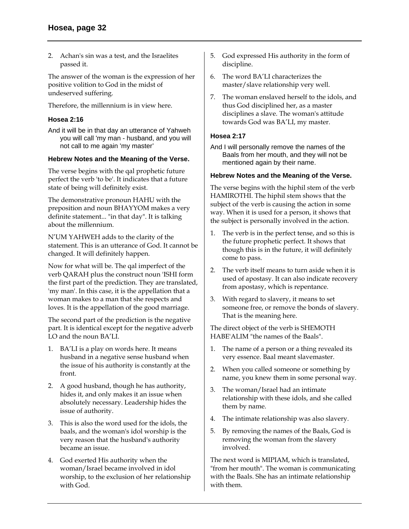2. Achan's sin was a test, and the Israelites passed it.

The answer of the woman is the expression of her positive volition to God in the midst of undeserved suffering.

Therefore, the millennium is in view here.

# **Hosea 2:16**

And it will be in that day an utterance of Yahweh you will call 'my man - husband, and you will not call to me again 'my master'

#### **Hebrew Notes and the Meaning of the Verse.**

The verse begins with the qal prophetic future perfect the verb 'to be'. It indicates that a future state of being will definitely exist.

The demonstrative pronoun HAHU with the preposition and noun BHAYYOM makes a very definite statement... "in that day". It is talking about the millennium.

N'UM YAHWEH adds to the clarity of the statement. This is an utterance of God. It cannot be changed. It will definitely happen.

Now for what will be. The qal imperfect of the verb QARAH plus the construct noun 'ISHI form the first part of the prediction. They are translated, 'my man'. In this case, it is the appellation that a woman makes to a man that she respects and loves. It is the appellation of the good marriage.

The second part of the prediction is the negative part. It is identical except for the negative adverb LO and the noun BA'LI.

- 1. BA'LI is a play on words here. It means husband in a negative sense husband when the issue of his authority is constantly at the front.
- 2. A good husband, though he has authority, hides it, and only makes it an issue when absolutely necessary. Leadership hides the issue of authority.
- 3. This is also the word used for the idols, the baals, and the woman's idol worship is the very reason that the husband's authority became an issue.
- 4. God exerted His authority when the woman/Israel became involved in idol worship, to the exclusion of her relationship with God.
- 5. God expressed His authority in the form of discipline.
- 6. The word BA'LI characterizes the master/slave relationship very well.
- 7. The woman enslaved herself to the idols, and thus God disciplined her, as a master disciplines a slave. The woman's attitude towards God was BA'LI, my master.

# **Hosea 2:17**

And I will personally remove the names of the Baals from her mouth, and they will not be mentioned again by their name.

#### **Hebrew Notes and the Meaning of the Verse.**

The verse begins with the hiphil stem of the verb HAMIROTHI. The hiphil stem shows that the subject of the verb is causing the action in some way. When it is used for a person, it shows that the subject is personally involved in the action.

- 1. The verb is in the perfect tense, and so this is the future prophetic perfect. It shows that though this is in the future, it will definitely come to pass.
- 2. The verb itself means to turn aside when it is used of apostasy. It can also indicate recovery from apostasy, which is repentance.
- 3. With regard to slavery, it means to set someone free, or remove the bonds of slavery. That is the meaning here.

The direct object of the verb is SHEMOTH HABE'ALIM "the names of the Baals".

- 1. The name of a person or a thing revealed its very essence. Baal meant slavemaster.
- 2. When you called someone or something by name, you knew them in some personal way.
- 3. The woman/Israel had an intimate relationship with these idols, and she called them by name.
- 4. The intimate relationship was also slavery.
- 5. By removing the names of the Baals, God is removing the woman from the slavery involved.

The next word is MIPIAM, which is translated, "from her mouth". The woman is communicating with the Baals. She has an intimate relationship with them.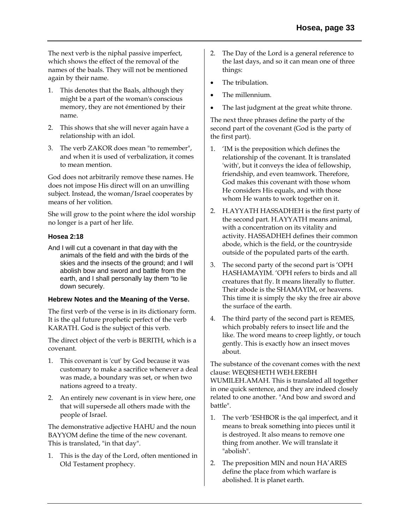The next verb is the niphal passive imperfect, which shows the effect of the removal of the names of the baals. They will not be mentioned again by their name.

- 1. This denotes that the Baals, although they might be a part of the woman's conscious memory, they are not émentioned by their name.
- 2. This shows that she will never again have a relationship with an idol.
- 3. The verb ZAKOR does mean "to remember", and when it is used of verbalization, it comes to mean mention.

God does not arbitrarily remove these names. He does not impose His direct will on an unwilling subject. Instead, the woman/Israel cooperates by means of her volition.

She will grow to the point where the idol worship no longer is a part of her life.

# **Hosea 2:18**

And I will cut a covenant in that day with the animals of the field and with the birds of the skies and the insects of the ground; and I will abolish bow and sword and battle from the earth, and I shall personally lay them "to lie down securely.

# **Hebrew Notes and the Meaning of the Verse.**

The first verb of the verse is in its dictionary form. It is the qal future prophetic perfect of the verb KARATH. God is the subject of this verb.

The direct object of the verb is BERITH, which is a covenant.

- 1. This covenant is 'cut' by God because it was customary to make a sacrifice whenever a deal was made, a boundary was set, or when two nations agreed to a treaty.
- 2. An entirely new covenant is in view here, one that will supersede all others made with the people of Israel.

The demonstrative adjective HAHU and the noun BAYYOM define the time of the new covenant. This is translated, "in that day".

1. This is the day of the Lord, often mentioned in Old Testament prophecy.

- 2. The Day of the Lord is a general reference to the last days, and so it can mean one of three things:
- The tribulation.
- The millennium.
- The last judgment at the great white throne.

The next three phrases define the party of the second part of the covenant (God is the party of the first part).

- 1. 'IM is the preposition which defines the relationship of the covenant. It is translated 'with', but it conveys the idea of fellowship, friendship, and even teamwork. Therefore, God makes this covenant with those whom He considers His equals, and with those whom He wants to work together on it.
- 2. H.AYYATH HASSADHEH is the first party of the second part. H.AYYATH means animal, with a concentration on its vitality and activity. HASSADHEH defines their common abode, which is the field, or the countryside outside of the populated parts of the earth.
- 3. The second party of the second part is 'OPH HASHAMAYIM. 'OPH refers to birds and all creatures that fly. It means literally to flutter. Their abode is the SHAMAYIM, or heavens. This time it is simply the sky the free air above the surface of the earth.
- 4. The third party of the second part is REMES, which probably refers to insect life and the like. The word means to creep lightly, or touch gently. This is exactly how an insect moves about.

The substance of the covenant comes with the next clause: WEQESHETH WEH.EREBH WUMILEH.AMAH. This is translated all together in one quick sentence, and they are indeed closely related to one another. "And bow and sword and battle".

- 1. The verb 'ESHBOR is the qal imperfect, and it means to break something into pieces until it is destroyed. It also means to remove one thing from another. We will translate it "abolish".
- 2. The preposition MIN and noun HA'ARES define the place from which warfare is abolished. It is planet earth.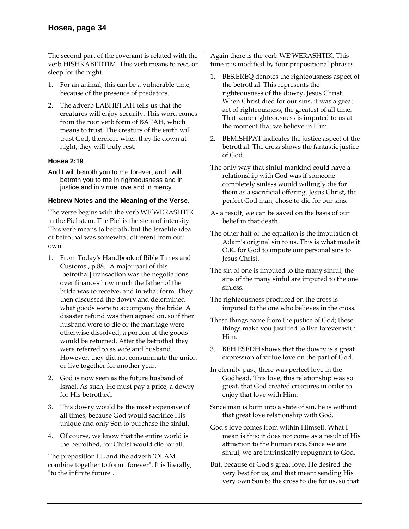The second part of the covenant is related with the verb HISHKABEDTIM. This verb means to rest, or sleep for the night.

- 1. For an animal, this can be a vulnerable time, because of the presence of predators.
- 2. The adverb LABHET.AH tells us that the creatures will enjoy security. This word comes from the root verb form of BATAH, which means to trust. The creaturs of the earth will trust God, therefore when they lie down at night, they will truly rest.

# **Hosea 2:19**

And I will betroth you to me forever, and I will betroth you to me in righteousness and in justice and in virtue love and in mercy.

# **Hebrew Notes and the Meaning of the Verse.**

The verse begins with the verb WE'WERASHTIK in the Piel stem. The Piel is the stem of intensity. This verb means to betroth, but the Israelite idea of betrothal was somewhat different from our own.

- 1. From Today's Handbook of Bible Times and Customs , p.88. "A major part of this [betrothal] transaction was the negotiations over finances how much the father of the bride was to receive, and in what form. They then discussed the dowry and determined what goods were to accompany the bride. A disaster refund was then agreed on, so if ther husband were to die or the marriage were otherwise dissolved, a portion of the goods would be returned. After the betrothal they were referred to as wife and husband. However, they did not consummate the union or live together for another year.
- 2. God is now seen as the future husband of Israel. As such, He must pay a price, a dowry for His betrothed.
- 3. This dowry would be the most expensive of all times, because God would sacrifice His unique and only Son to purchase the sinful.
- 4. Of course, we know that the entire world is the betrothed, for Christ would die for all.

The preposition LE and the adverb 'OLAM combine together to form "forever". It is literally, "to the infinite future".

Again there is the verb WE'WERASHTIK. This time it is modified by four prepositional phrases.

- 1. BES.EREQ denotes the righteousness aspect of the betrothal. This represents the righteousness of the dowry, Jesus Christ. When Christ died for our sins, it was a great act of righteousness, the greatest of all time. That same righteousness is imputed to us at the moment that we believe in Him.
- 2. BEMISHPAT indicates the justice aspect of the betrothal. The cross shows the fantastic justice of God.
- The only way that sinful mankind could have a relationship with God was if someone completely sinless would willingly die for them as a sacrificial offering. Jesus Christ, the perfect God man, chose to die for our sins.
- As a result, we can be saved on the basis of our belief in that death.
- The other half of the equation is the imputation of Adam's original sin to us. This is what made it O.K. for God to impute our personal sins to Jesus Christ.
- The sin of one is imputed to the many sinful; the sins of the many sinful are imputed to the one sinless.
- The righteousness produced on the cross is imputed to the one who believes in the cross.
- These things come from the justice of God; these things make you justified to live forever with Him.
- 3. BEH.ESEDH shows that the dowry is a great expression of virtue love on the part of God.
- In eternity past, there was perfect love in the Godhead. This love, this relationship was so great, that God created creatures in order to enjoy that love with Him.
- Since man is born into a state of sin, he is without that great love relationship with God.
- God's love comes from within Himself. What I mean is this: it does not come as a result of His attraction to the human race. Since we are sinful, we are intrinsically repugnant to God.
- But, because of God's great love, He desired the very best for us, and that meant sending His very own Son to the cross to die for us, so that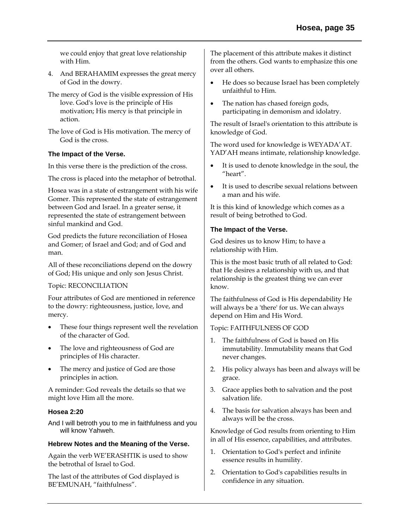we could enjoy that great love relationship with Him.

- 4. And BERAHAMIM expresses the great mercy of God in the dowry.
- The mercy of God is the visible expression of His love. God's love is the principle of His motivation; His mercy is that principle in action.
- The love of God is His motivation. The mercy of God is the cross.

#### **The Impact of the Verse.**

In this verse there is the prediction of the cross.

The cross is placed into the metaphor of betrothal.

Hosea was in a state of estrangement with his wife Gomer. This represented the state of estrangement between God and Israel. In a greater sense, it represented the state of estrangement between sinful mankind and God.

God predicts the future reconciliation of Hosea and Gomer; of Israel and God; and of God and man.

All of these reconciliations depend on the dowry of God; His unique and only son Jesus Christ.

Topic: RECONCILIATION

Four attributes of God are mentioned in reference to the dowry: righteousness, justice, love, and mercy.

- These four things represent well the revelation of the character of God.
- The love and righteousness of God are principles of His character.
- The mercy and justice of God are those principles in action.

A reminder: God reveals the details so that we might love Him all the more.

#### **Hosea 2:20**

And I will betroth you to me in faithfulness and you will know Yahweh.

#### **Hebrew Notes and the Meaning of the Verse.**

Again the verb WE'ERASHTIK is used to show the betrothal of Israel to God.

The last of the attributes of God displayed is BE'EMUNAH, "faithfulness".

The placement of this attribute makes it distinct from the others. God wants to emphasize this one over all others.

- He does so because Israel has been completely unfaithful to Him.
- The nation has chased foreign gods, participating in demonism and idolatry.

The result of Israel's orientation to this attribute is knowledge of God.

The word used for knowledge is WEYADA'AT. YAD'AH means intimate, relationship knowledge.

- It is used to denote knowledge in the soul, the "heart".
- It is used to describe sexual relations between a man and his wife.

It is this kind of knowledge which comes as a result of being betrothed to God.

#### **The Impact of the Verse.**

God desires us to know Him; to have a relationship with Him.

This is the most basic truth of all related to God: that He desires a relationship with us, and that relationship is the greatest thing we can ever know.

The faithfulness of God is His dependability He will always be a 'there' for us. We can always depend on Him and His Word.

Topic: FAITHFULNESS OF GOD

- 1. The faithfulness of God is based on His immutability. Immutability means that God never changes.
- 2. His policy always has been and always will be grace.
- 3. Grace applies both to salvation and the post salvation life.
- 4. The basis for salvation always has been and always will be the cross.

Knowledge of God results from orienting to Him in all of His essence, capabilities, and attributes.

- 1. Orientation to God's perfect and infinite essence results in humility.
- 2. Orientation to God's capabilities results in confidence in any situation.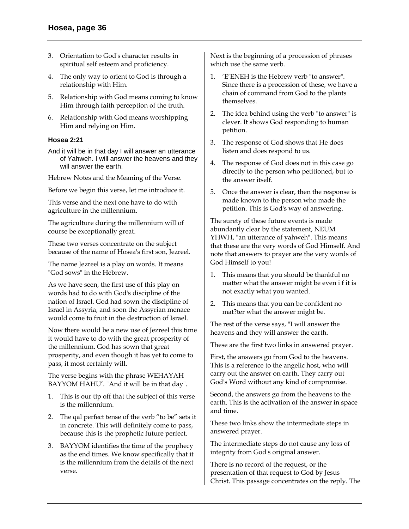- 3. Orientation to God's character results in spiritual self esteem and proficiency.
- 4. The only way to orient to God is through a relationship with Him.
- 5. Relationship with God means coming to know Him through faith perception of the truth.
- 6. Relationship with God means worshipping Him and relying on Him.

#### **Hosea 2:21**

And it will be in that day I will answer an utterance of Yahweh. I will answer the heavens and they will answer the earth.

Hebrew Notes and the Meaning of the Verse.

Before we begin this verse, let me introduce it.

This verse and the next one have to do with agriculture in the millennium.

The agriculture during the millennium will of course be exceptionally great.

These two verses concentrate on the subject because of the name of Hosea's first son, Jezreel.

The name Jezreel is a play on words. It means "God sows" in the Hebrew.

As we have seen, the first use of this play on words had to do with God's discipline of the nation of Israel. God had sown the discipline of Israel in Assyria, and soon the Assyrian menace would come to fruit in the destruction of Israel.

Now there would be a new use of Jezreel this time it would have to do with the great prosperity of the millennium. God has sown that great prosperity, and even though it has yet to come to pass, it most certainly will.

The verse begins with the phrase WEHAYAH BAYYOM HAHU'. "And it will be in that day".

- 1. This is our tip off that the subject of this verse is the millennium.
- 2. The qal perfect tense of the verb "to be" sets it in concrete. This will definitely come to pass, because this is the prophetic future perfect.
- 3. BAYYOM identifies the time of the prophecy as the end times. We know specifically that it is the millennium from the details of the next verse.

Next is the beginning of a procession of phrases which use the same verb.

- 1. 'E'ENEH is the Hebrew verb "to answer". Since there is a procession of these, we have a chain of command from God to the plants themselves.
- 2. The idea behind using the verb "to answer" is clever. It shows God responding to human petition.
- 3. The response of God shows that He does listen and does respond to us.
- 4. The response of God does not in this case go directly to the person who petitioned, but to the answer itself.
- 5. Once the answer is clear, then the response is made known to the person who made the petition. This is God's way of answering.

The surety of these future events is made abundantly clear by the statement, NEUM YHWH, "an utterance of yahweh". This means that these are the very words of God Himself. And note that answers to prayer are the very words of God Himself to you!

- 1. This means that you should be thankful no matter what the answer might be even i f it is not exactly what you wanted.
- 2. This means that you can be confident no mat?ter what the answer might be.

The rest of the verse says, "I will answer the heavens and they will answer the earth.

These are the first two links in answered prayer.

First, the answers go from God to the heavens. This is a reference to the angelic host, who will carry out the answer on earth. They carry out God's Word without any kind of compromise.

Second, the answers go from the heavens to the earth. This is the activation of the answer in space and time.

These two links show the intermediate steps in answered prayer.

The intermediate steps do not cause any loss of integrity from God's original answer.

There is no record of the request, or the presentation of that request to God by Jesus Christ. This passage concentrates on the reply. The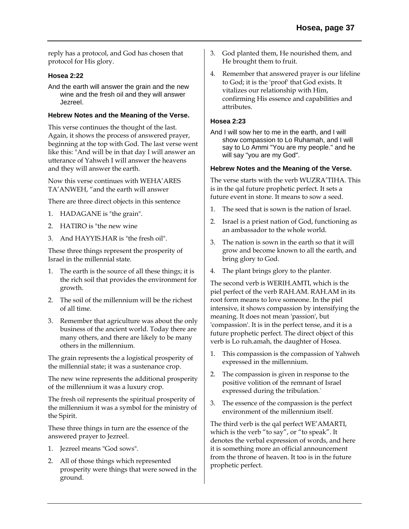reply has a protocol, and God has chosen that protocol for His glory.

## **Hosea 2:22**

And the earth will answer the grain and the new wine and the fresh oil and they will answer Jezreel.

## **Hebrew Notes and the Meaning of the Verse.**

This verse continues the thought of the last. Again, it shows the process of answered prayer, beginning at the top with God. The last verse went like this: "And will be in that day I will answer an utterance of Yahweh I will answer the heavens and they will answer the earth.

Now this verse continues with WEHA'ARES TA'ANWEH, "and the earth will answer

There are three direct objects in this sentence

- 1. HADAGANE is "the grain".
- 2. HATIRO is "the new wine
- 3. And HAYYIS.HAR is "the fresh oil".

These three things represent the prosperity of Israel in the millennial state.

- 1. The earth is the source of all these things; it is the rich soil that provides the environment for growth.
- 2. The soil of the millennium will be the richest of all time.
- 3. Remember that agriculture was about the only business of the ancient world. Today there are many others, and there are likely to be many others in the millennium.

The grain represents the a logistical prosperity of the millennial state; it was a sustenance crop.

The new wine represents the additional prosperity of the millennium it was a luxury crop.

The fresh oil represents the spiritual prosperity of the millennium it was a symbol for the ministry of the Spirit.

These three things in turn are the essence of the answered prayer to Jezreel.

- 1. Jezreel means "God sows".
- 2. All of those things which represented prosperity were things that were sowed in the ground.
- 3. God planted them, He nourished them, and He brought them to fruit.
- 4. Remember that answered prayer is our lifeline to God; it is the 'proof' that God exists. It vitalizes our relationship with Him, confirming His essence and capabilities and attributes.

## **Hosea 2:23**

And I will sow her to me in the earth, and I will show compassion to Lo Ruhamah, and I will say to Lo Ammi "You are my people." and he will say "you are my God".

## **Hebrew Notes and the Meaning of the Verse.**

The verse starts with the verb WUZRA'TIHA. This is in the qal future prophetic perfect. It sets a future event in stone. It means to sow a seed.

- 1. The seed that is sown is the nation of Israel.
- 2. Israel is a priest nation of God, functioning as an ambassador to the whole world.
- 3. The nation is sown in the earth so that it will grow and become known to all the earth, and bring glory to God.
- 4. The plant brings glory to the planter.

The second verb is WERIH.AMTI, which is the piel perfect of the verb RAH.AM. RAH.AM in its root form means to love someone. In the piel intensive, it shows compassion by intensifying the meaning. It does not mean 'passion', but 'compassion'. It is in the perfect tense, and it is a future prophetic perfect. The direct object of this verb is Lo ruh.amah, the daughter of Hosea.

- 1. This compassion is the compassion of Yahweh expressed in the millennium.
- 2. The compassion is given in response to the positive volition of the remnant of Israel expressed during the tribulation.`
- 3. The essence of the compassion is the perfect environment of the millennium itself.

The third verb is the qal perfect WE'AMARTI, which is the verb "to say", or "to speak". It denotes the verbal expression of words, and here it is something more an official announcement from the throne of heaven. It too is in the future prophetic perfect.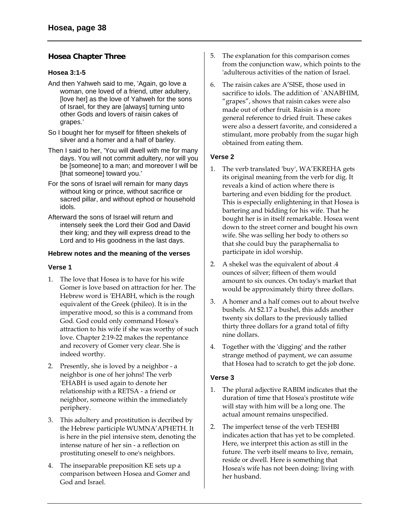# **Hosea Chapter Three**

# **Hosea 3:1-5**

- And then Yahweh said to me, 'Again, go love a woman, one loved of a friend, utter adultery, [love her] as the love of Yahweh for the sons of Israel, for they are [always] turning unto other Gods and lovers of raisin cakes of grapes.'
- So I bought her for myself for fifteen shekels of silver and a homer and a half of barley.
- Then I said to her, 'You will dwell with me for many days. You will not commit adultery, nor will you be [someone] to a man; and moreover I will be [that someone] toward you.'
- For the sons of Israel will remain for many days without king or prince, without sacrifice or sacred pillar, and without ephod or household idols.
- Afterward the sons of Israel will return and intensely seek the Lord their God and David their king; and they will express dread to the Lord and to His goodness in the last days.

## **Hebrew notes and the meaning of the verses**

## **Verse 1**

- 1. The love that Hosea is to have for his wife Gomer is love based on attraction for her. The Hebrew word is 'EHABH, which is the rough equivalent of the Greek (phileo). It is in the imperative mood, so this is a command from God. God could only command Hosea's attraction to his wife if she was worthy of such love. Chapter 2:19-22 makes the repentance and recovery of Gomer very clear. She is indeed worthy.
- 2. Presently, she is loved by a neighbor a neighbor is one of her johns! The verb 'EHABH is used again to denote her relationship with a RETSA - a friend or neighbor, someone within the immediately periphery.
- 3. This adultery and prostitution is decribed by the Hebrew participle WUMNA'APHETH. It is here in the piel intensive stem, denoting the intense nature of her sin - a reflection on prostituting oneself to one's neighbors.
- 4. The inseparable preposition KE sets up a comparison between Hosea and Gomer and God and Israel.
- 5. The explanation for this comparison comes from the conjunction waw, which points to the 'adulterous activities of the nation of Israel.
- 6. The raisin cakes are A'SISE, those used in sacrifice to idols. The addition of `ANABHIM, "grapes", shows that raisin cakes were also made out of other fruit. Raisin is a more general reference to dried fruit. These cakes were also a dessert favorite, and considered a stimulant, more probably from the sugar high obtained from eating them.

# **Verse 2**

- 1. The verb translated 'buy', WA'EKREHA gets its original meaning from the verb for dig. It reveals a kind of action where there is bartering and even bidding for the product. This is especially enlightening in that Hosea is bartering and bidding for his wife. That he bought her is in itself remarkable. Hosea went down to the street corner and bought his own wife. She was selling her body to others so that she could buy the paraphernalia to participate in idol worship.
- 2. A shekel was the equivalent of about .4 ounces of silver; fifteen of them would amount to six ounces. On today's market that would be approximately thirty three dollars.
- 3. A homer and a half comes out to about twelve bushels. At \$2.17 a bushel, this adds another twenty six dollars to the previously tallied thirty three dollars for a grand total of fifty nine dollars.
- 4. Together with the 'digging' and the rather strange method of payment, we can assume that Hosea had to scratch to get the job done.

# **Verse 3**

- 1. The plural adjective RABIM indicates that the duration of time that Hosea's prostitute wife will stay with him will be a long one. The actual amount remains unspecified.
- 2. The imperfect tense of the verb TESHBI indicates action that has yet to be completed. Here, we interpret this action as still in the future. The verb itself means to live, remain, reside or dwell. Here is something that Hosea's wife has not been doing: living with her husband.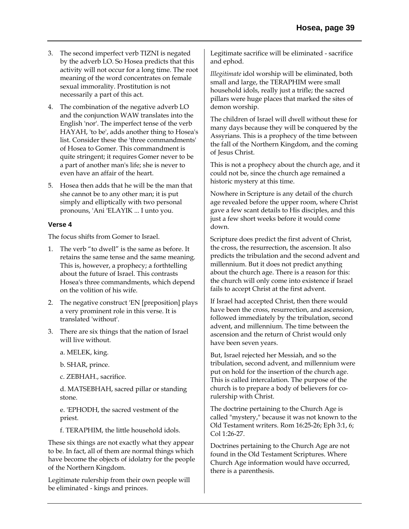- 3. The second imperfect verb TIZNI is negated by the adverb LO. So Hosea predicts that this activity will not occur for a long time. The root meaning of the word concentrates on female sexual immorality. Prostitution is not necessarily a part of this act.
- 4. The combination of the negative adverb LO and the conjunction WAW translates into the English 'nor'. The imperfect tense of the verb HAYAH, 'to be', adds another thing to Hosea's list. Consider these the 'three commandments' of Hosea to Gomer. This commandment is quite stringent; it requires Gomer never to be a part of another man's life; she is never to even have an affair of the heart.
- 5. Hosea then adds that he will be the man that she cannot be to any other man; it is put simply and elliptically with two personal pronouns, 'Ani 'ELAYIK ... I unto you.

## **Verse 4**

The focus shifts from Gomer to Israel.

- 1. The verb "to dwell" is the same as before. It retains the same tense and the same meaning. This is, however, a prophecy; a forthtelling about the future of Israel. This contrasts Hosea's three commandments, which depend on the volition of his wife.
- 2. The negative construct 'EN [preposition] plays a very prominent role in this verse. It is translated 'without'.
- 3. There are six things that the nation of Israel will live without.
	- a. MELEK, king.
	- b. SHAR, prince.
	- c. ZEBHAH., sacrifice.

d. MATSEBHAH, sacred pillar or standing stone.

e. 'EPHODH, the sacred vestment of the priest.

f. TERAPHIM, the little household idols.

These six things are not exactly what they appear to be. In fact, all of them are normal things which have become the objects of idolatry for the people of the Northern Kingdom.

Legitimate rulership from their own people will be eliminated - kings and princes.

Legitimate sacrifice will be eliminated - sacrifice and ephod.

*Illegitimate* idol worship will be eliminated, both small and large, the TERAPHIM were small household idols, really just a trifle; the sacred pillars were huge places that marked the sites of demon worship.

The children of Israel will dwell without these for many days because they will be conquered by the Assyrians. This is a prophecy of the time between the fall of the Northern Kingdom, and the coming of Jesus Christ.

This is not a prophecy about the church age, and it could not be, since the church age remained a historic mystery at this time.

Nowhere in Scripture is any detail of the church age revealed before the upper room, where Christ gave a few scant details to His disciples, and this just a few short weeks before it would come down.

Scripture does predict the first advent of Christ, the cross, the resurrection, the ascension. It also predicts the tribulation and the second advent and millennium. But it does not predict anything about the church age. There is a reason for this: the church will only come into existence if Israel fails to accept Christ at the first advent.

If Israel had accepted Christ, then there would have been the cross, resurrection, and ascension, followed immediately by the tribulation, second advent, and millennium. The time between the ascension and the return of Christ would only have been seven years.

But, Israel rejected her Messiah, and so the tribulation, second advent, and millennium were put on hold for the insertion of the church age. This is called intercalation. The purpose of the church is to prepare a body of believers for corulership with Christ.

The doctrine pertaining to the Church Age is called "mystery," because it was not known to the Old Testament writers. Rom 16:25-26; Eph 3:1, 6; Col 1:26-27.

Doctrines pertaining to the Church Age are not found in the Old Testament Scriptures. Where Church Age information would have occurred, there is a parenthesis.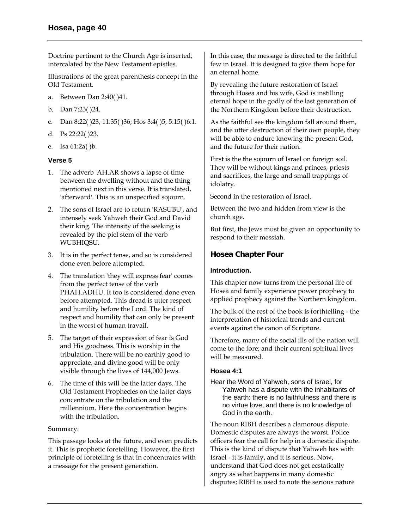Doctrine pertinent to the Church Age is inserted, intercalated by the New Testament epistles.

Illustrations of the great parenthesis concept in the Old Testament.

- a. Between Dan 2:40( )41.
- b. Dan 7:23( )24.
- c. Dan 8:22( )23, 11:35( )36; Hos 3:4( )5, 5:15( )6:1.
- d. Ps 22:22( )23.
- e. Isa 61:2a( )b.

#### **Verse 5**

- 1. The adverb 'AH.AR shows a lapse of time between the dwelling without and the thing mentioned next in this verse. It is translated, 'afterward'. This is an unspecified sojourn.
- 2. The sons of Israel are to return 'RASUBU', and intensely seek Yahweh their God and David their king. The intensity of the seeking is revealed by the piel stem of the verb WUBHIQSU.
- 3. It is in the perfect tense, and so is considered done even before attempted.
- 4. The translation 'they will express fear' comes from the perfect tense of the verb PHAH.ADHU. It too is considered done even before attempted. This dread is utter respect and humility before the Lord. The kind of respect and humility that can only be present in the worst of human travail.
- 5. The target of their expression of fear is God and His goodness. This is worship in the tribulation. There will be no earthly good to appreciate, and divine good will be only visible through the lives of 144,000 Jews.
- 6. The time of this will be the latter days. The Old Testament Prophecies on the latter days concentrate on the tribulation and the millennium. Here the concentration begins with the tribulation.

#### Summary.

This passage looks at the future, and even predicts it. This is prophetic foretelling. However, the first principle of foretelling is that in concentrates with a message for the present generation.

In this case, the message is directed to the faithful few in Israel. It is designed to give them hope for an eternal home.

By revealing the future restoration of Israel through Hosea and his wife, God is instilling eternal hope in the godly of the last generation of the Northern Kingdom before their destruction.

As the faithful see the kingdom fall around them, and the utter destruction of their own people, they will be able to endure knowing the present God, and the future for their nation.

First is the the sojourn of Israel on foreign soil. They will be without kings and princes, priests and sacrifices, the large and small trappings of idolatry.

Second in the restoration of Israel.

Between the two and hidden from view is the church age.

But first, the Jews must be given an opportunity to respond to their messiah.

# **Hosea Chapter Four**

## **Introduction.**

This chapter now turns from the personal life of Hosea and family experience power prophecy to applied prophecy against the Northern kingdom.

The bulk of the rest of the book is forthtelling - the interpretation of historical trends and current events against the canon of Scripture.

Therefore, many of the social ills of the nation will come to the fore; and their current spiritual lives will be measured.

## **Hosea 4:1**

Hear the Word of Yahweh, sons of Israel, for Yahweh has a dispute with the inhabitants of the earth: there is no faithfulness and there is no virtue love; and there is no knowledge of God in the earth.

The noun RIBH describes a clamorous dispute. Domestic disputes are always the worst. Police officers fear the call for help in a domestic dispute. This is the kind of dispute that Yahweh has with Israel - it is family, and it is serious. Now, understand that God does not get ecstatically angry as what happens in many domestic disputes; RIBH is used to note the serious nature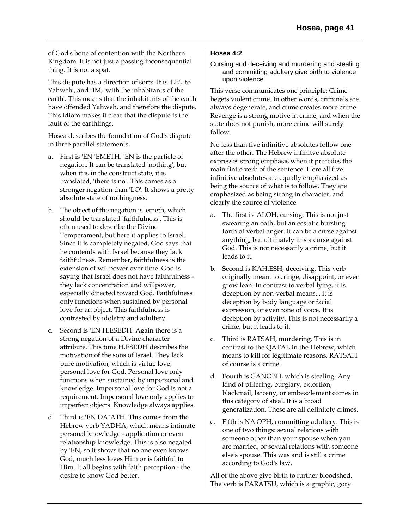of God's bone of contention with the Northern Kingdom. It is not just a passing inconsequential thing. It is not a spat.

This dispute has a direction of sorts. It is 'LE', 'to Yahweh', and `IM, 'with the inhabitants of the earth'. This means that the inhabitants of the earth have offended Yahweh, and therefore the dispute. This idiom makes it clear that the dispute is the fault of the earthlings.

Hosea describes the foundation of God's dispute in three parallel statements.

- a. First is 'EN 'EMETH. 'EN is the particle of negation. It can be translated 'nothing', but when it is in the construct state, it is translated, 'there is no'. This comes as a stronger negation than 'LO'. It shows a pretty absolute state of nothingness.
- b. The object of the negation is 'emeth, which should be translated 'faithfulness'. This is often used to describe the Divine Temperament, but here it applies to Israel. Since it is completely negated, God says that he contends with Israel because they lack faithfulness. Remember, faithfulness is the extension of willpower over time. God is saying that Israel does not have faithfulness they lack concentration and willpower, especially directed toward God. Faithfulness only functions when sustained by personal love for an object. This faithfulness is contrasted by idolatry and adultery.
- c. Second is 'EN H.ESEDH. Again there is a strong negation of a Divine character attribute. This time H.ESEDH describes the motivation of the sons of Israel. They lack pure motivation, which is virtue love; personal love for God. Personal love only functions when sustained by impersonal and knowledge. Impersonal love for God is not a requirement. Impersonal love only applies to imperfect objects. Knowledge always applies.
- d. Third is 'EN DA`ATH. This comes from the Hebrew verb YADHA, which means intimate personal knowledge - application or even relationship knowledge. This is also negated by 'EN, so it shows that no one even knows God, much less loves Him or is faithful to Him. It all begins with faith perception - the desire to know God better.

# **Hosea 4:2**

Cursing and deceiving and murdering and stealing and committing adultery give birth to violence upon violence.

This verse communicates one principle: Crime begets violent crime. In other words, criminals are always degenerate, and crime creates more crime. Revenge is a strong motive in crime, and when the state does not punish, more crime will surely follow.

No less than five infinitive absolutes follow one after the other. The Hebrew infinitve absolute expresses strong emphasis when it precedes the main finite verb of the sentence. Here all five infinitive absolutes are equally emphasized as being the source of what is to follow. They are emphasized as being strong in character, and clearly the source of violence.

- a. The first is 'ALOH, cursing. This is not just swearing an oath, but an ecstatic bursting forth of verbal anger. It can be a curse against anything, but ultimately it is a curse against God. This is not necessarily a crime, but it leads to it.
- b. Second is KAH.ESH, deceiving. This verb originally meant to cringe, disappoint, or even grow lean. In contrast to verbal lying, it is deception by non-verbal means... it is deception by body language or facial expression, or even tone of voice. It is deception by activity. This is not necessarily a crime, but it leads to it.
- c. Third is RATSAH, murdering. This is in contrast to the QATAL in the Hebrew, which means to kill for legitimate reasons. RATSAH of course is a crime.
- d. Fourth is GANOBH, which is stealing. Any kind of pilfering, burglary, extortion, blackmail, larceny, or embezzlement comes in this category of steal. It is a broad generalization. These are all definitely crimes.
- e. Fifth is NA'OPH, committing adultery. This is one of two things: sexual relations with someone other than your spouse when you are married, or sexual relations with someone else's spouse. This was and is still a crime according to God's law.

All of the above give birth to further bloodshed. The verb is PARATSU, which is a graphic, gory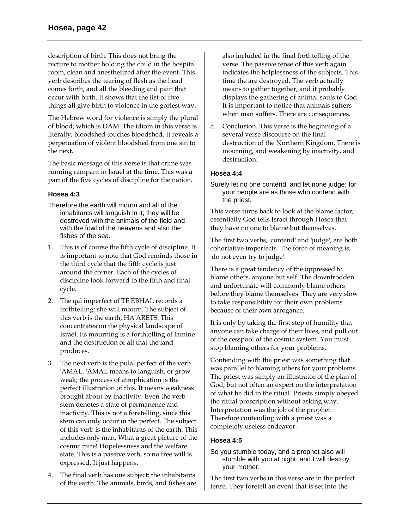description of birth. This does not bring the picture to mother holding the child in the hospital room, clean and anesthetized after the event. This verb describes the tearing of flesh as the head comes forth, and all the bleeding and pain that occur with birth. It shows that the list of five things all give birth to violence in the goriest way.

The Hebrew word for violence is simply the plural of blood, which is DAM. The idiom in this verse is literally, bloodshed touches bloodshed. It reveals a perpetuation of violent bloodshed from one sin to the next.

The basic message of this verse is that crime was running rampant in Israel at the time. This was a part of the five cycles of discipline for the nation.

## **Hosea 4:3**

- Therefore the earth will mourn and all of the inhabitants will languish in it; they will be destroyed with the animals of the field and with the fowl of the heavens and also the fishes of the sea.
- 1. This is of course the fifth cycle of discipline. It is important to note that God reminds those in the third cycle that the fifth cycle is just around the corner. Each of the cycles of discipline look forward to the fifth and final cycle.
- 2. The qal imperfect of TE'EBHAL records a forthtelling: she will mourn. The subject of this verb is the earth, HA'ARETS. This concentrates on the physical landscape of Israel. Its mourning is a forthtelling of famine and the destruction of all that the land produces.
- 3. The next verb is the pulal perfect of the verb 'AMAL. 'AMAL means to languish, or grow weak; the process of atrophication is the perfect illustration of this. It means weakness brought about by inactivity. Even the verb stem denotes a state of permanence and inactivity. This is not a foretelling, since this stem can only occur in the perfect. The subject of this verb is the inhabitants of the earth. This includes only man. What a great picture of the cosmic mire! Hopelessness and the welfare state. This is a passive verb, so no free will is expressed. It just happens.
- 4. The final verb has one subject: the inhabitants of the earth. The animals, birds, and fishes are

also included in the final forthtelling of the verse. The passive tense of this verb again indicates the helplessness of the subjects. This time the are destroyed. The verb actually means to gather together, and it probably displays the gathering of animal souls to God. It is important to notice that animals suffers when man suffers. There are consequences.

5. Conclusion. This verse is the beginning of a several verse discourse on the final destruction of the Northern Kingdom. There is mourning, and weakening by inactivity, and destruction.

#### **Hosea 4:4**

Surely let no one contend, and let none judge; for your people are as those who contend with the priest.

This verse turns back to look at the blame factor; essentially God tells Israel through Hosea that they have no one to blame but themselves.

The first two verbs, 'contend' and 'judge', are both cohortative imperfects. The force of meaning is, 'do not even try to judge'.

There is a great tendency of the oppressed to blame others, anyone but self. The downtrodden and unfortunate will commonly blame others before they blame themselves. They are very slow to take responsibility for their own problems because of their own arrogance.

It is only by taking the first step of humility that anyone can take charge of their lives, and pull out of the cesspool of the cosmic system. You must stop blaming others for your problems.

Contending with the priest was something that was parallel to blaming others for your problems. The priest was simply an illustrator of the plan of God; but not often an expert on the interpretation of what he did in the ritual. Priests simply obeyed the ritual proscription without asking why. Interpretation was the job of the prophet. Therefore contending with a priest was a completely useless endeavor.

## **Hosea 4:5**

So you stumble today, and a prophet also will stumble with you at night; and I will destroy your mother.

The first two verbs in this verse are in the perfect tense. They foretell an event that is set into the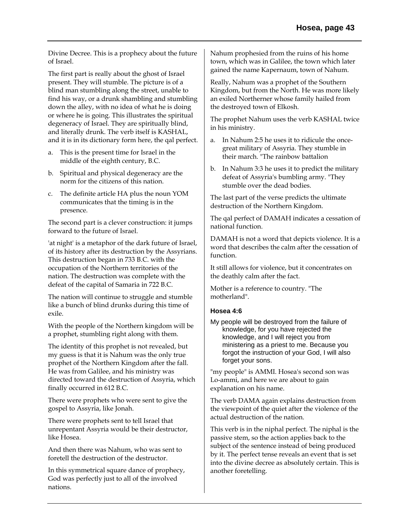Divine Decree. This is a prophecy about the future of Israel.

The first part is really about the ghost of Israel present. They will stumble. The picture is of a blind man stumbling along the street, unable to find his way, or a drunk shambling and stumbling down the alley, with no idea of what he is doing or where he is going. This illustrates the spiritual degeneracy of Israel. They are spiritually blind, and literally drunk. The verb itself is KASHAL, and it is in its dictionary form here, the qal perfect.

- a. This is the present time for Israel in the middle of the eighth century, B.C.
- b. Spiritual and physical degeneracy are the norm for the citizens of this nation.
- c. The definite article HA plus the noun YOM communicates that the timing is in the presence.

The second part is a clever construction: it jumps forward to the future of Israel.

'at night' is a metaphor of the dark future of Israel, of its history after its destruction by the Assyrians. This destruction began in 733 B.C. with the occupation of the Northern territories of the nation. The destruction was complete with the defeat of the capital of Samaria in 722 B.C.

The nation will continue to struggle and stumble like a bunch of blind drunks during this time of exile.

With the people of the Northern kingdom will be a prophet, stumbling right along with them.

The identity of this prophet is not revealed, but my guess is that it is Nahum was the only true prophet of the Northern Kingdom after the fall. He was from Galilee, and his ministry was directed toward the destruction of Assyria, which finally occurred in 612 B.C.

There were prophets who were sent to give the gospel to Assyria, like Jonah.

There were prophets sent to tell Israel that unrepentant Assyria would be their destructor, like Hosea.

And then there was Nahum, who was sent to foretell the destruction of the destructor.

In this symmetrical square dance of prophecy, God was perfectly just to all of the involved nations.

Nahum prophesied from the ruins of his home town, which was in Galilee, the town which later gained the name Kapernaum, town of Nahum.

Really, Nahum was a prophet of the Southern Kingdom, but from the North. He was more likely an exiled Northerner whose family hailed from the destroyed town of Elkosh.

The prophet Nahum uses the verb KASHAL twice in his ministry.

- a. In Nahum 2:5 he uses it to ridicule the oncegreat military of Assyria. They stumble in their march. "The rainbow battalion
- b. In Nahum 3:3 he uses it to predict the military defeat of Assyria's bumbling army. "They stumble over the dead bodies.

The last part of the verse predicts the ultimate destruction of the Northern Kingdom.

The qal perfect of DAMAH indicates a cessation of national function.

DAMAH is not a word that depicts violence. It is a word that describes the calm after the cessation of function.

It still allows for violence, but it concentrates on the deathly calm after the fact.

Mother is a reference to country. "The motherland".

## **Hosea 4:6**

My people will be destroyed from the failure of knowledge, for you have rejected the knowledge, and I will reject you from ministering as a priest to me. Because you forgot the instruction of your God, I will also forget your sons.

"my people" is AMMI. Hosea's second son was Lo-ammi, and here we are about to gain explanation on his name.

The verb DAMA again explains destruction from the viewpoint of the quiet after the violence of the actual destruction of the nation.

This verb is in the niphal perfect. The niphal is the passive stem, so the action applies back to the subject of the sentence instead of being produced by it. The perfect tense reveals an event that is set into the divine decree as absolutely certain. This is another foretelling.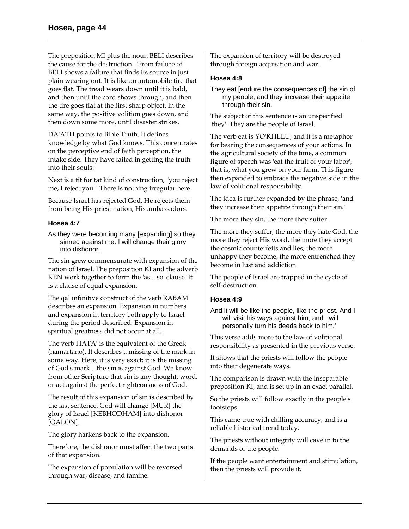The preposition MI plus the noun BELI describes the cause for the destruction. "From failure of" BELI shows a failure that finds its source in just plain wearing out. It is like an automobile tire that goes flat. The tread wears down until it is bald, and then until the cord shows through, and then the tire goes flat at the first sharp object. In the same way, the positive volition goes down, and then down some more, until disaster strikes.

DA'ATH points to Bible Truth. It defines knowledge by what God knows. This concentrates on the perceptive end of faith perception, the intake side. They have failed in getting the truth into their souls.

Next is a tit for tat kind of construction, "you reject me, I reject you." There is nothing irregular here.

Because Israel has rejected God, He rejects them from being His priest nation, His ambassadors.

## **Hosea 4:7**

As they were becoming many [expanding] so they sinned against me. I will change their glory into dishonor.

The sin grew commensurate with expansion of the nation of Israel. The preposition KI and the adverb KEN work together to form the 'as... so' clause. It is a clause of equal expansion.

The qal infinitive construct of the verb RABAM describes an expansion. Expansion in numbers and expansion in territory both apply to Israel during the period described. Expansion in spiritual greatness did not occur at all.

The verb HATA' is the equivalent of the Greek (hamartano). It describes a missing of the mark in some way. Here, it is very exact: it is the missing of God's mark... the sin is against God. We know from other Scripture that sin is any thought, word, or act against the perfect righteousness of God.

The result of this expansion of sin is described by the last sentence. God will change [MUR] the glory of Israel [KEBHODHAM] into dishonor [QALON].

The glory harkens back to the expansion.

Therefore, the dishonor must affect the two parts of that expansion.

The expansion of population will be reversed through war, disease, and famine.

The expansion of territory will be destroyed through foreign acquisition and war.

#### **Hosea 4:8**

The subject of this sentence is an unspecified 'they'. They are the people of Israel.

The verb eat is YO'KHELU, and it is a metaphor for bearing the consequences of your actions. In the agricultural society of the time, a common figure of speech was 'eat the fruit of your labor', that is, what you grew on your farm. This figure then expanded to embrace the negative side in the law of volitional responsibility.

The idea is further expanded by the phrase, 'and they increase their appetite through their sin.'

The more they sin, the more they suffer.

The more they suffer, the more they hate God, the more they reject His word, the more they accept the cosmic counterfeits and lies, the more unhappy they become, the more entrenched they become in lust and addiction.

The people of Israel are trapped in the cycle of self-destruction.

## **Hosea 4:9**

And it will be like the people, like the priest. And I will visit his ways against him, and I will personally turn his deeds back to him.'

This verse adds more to the law of volitional responsibility as presented in the previous verse.

It shows that the priests will follow the people into their degenerate ways.

The comparison is drawn with the inseparable preposition KI, and is set up in an exact parallel.

So the priests will follow exactly in the people's footsteps.

This came true with chilling accuracy, and is a reliable historical trend today.

The priests without integrity will cave in to the demands of the people.

If the people want entertainment and stimulation, then the priests will provide it.

They eat [endure the consequences of] the sin of my people, and they increase their appetite through their sin.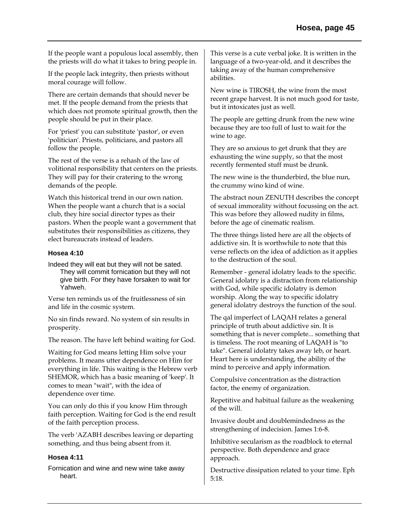If the people want a populous local assembly, then the priests will do what it takes to bring people in.

If the people lack integrity, then priests without moral courage will follow.

There are certain demands that should never be met. If the people demand from the priests that which does not promote spiritual growth, then the people should be put in their place.

For 'priest' you can substitute 'pastor', or even 'politician'. Priests, politicians, and pastors all follow the people.

The rest of the verse is a rehash of the law of volitional responsibility that centers on the priests. They will pay for their cratering to the wrong demands of the people.

Watch this historical trend in our own nation. When the people want a church that is a social club, they hire social director types as their pastors. When the people want a government that substitutes their responsibilities as citizens, they elect bureaucrats instead of leaders.

## **Hosea 4:10**

Indeed they will eat but they will not be sated. They will commit fornication but they will not give birth. For they have forsaken to wait for Yahweh.

Verse ten reminds us of the fruitlessness of sin and life in the cosmic system.

No sin finds reward. No system of sin results in prosperity.

The reason. The have left behind waiting for God.

Waiting for God means letting Him solve your problems. It means utter dependence on Him for everything in life. This waiting is the Hebrew verb SHEMOR, which has a basic meaning of 'keep'. It comes to mean "wait", with the idea of dependence over time.

You can only do this if you know Him through faith perception. Waiting for God is the end result of the faith perception process.

The verb 'AZABH describes leaving or departing something, and thus being absent from it.

## **Hosea 4:11**

Fornication and wine and new wine take away heart.

This verse is a cute verbal joke. It is written in the language of a two-year-old, and it describes the taking away of the human comprehensive abilities.

New wine is TIROSH, the wine from the most recent grape harvest. It is not much good for taste, but it intoxicates just as well.

The people are getting drunk from the new wine because they are too full of lust to wait for the wine to age.

They are so anxious to get drunk that they are exhausting the wine supply, so that the most recently fermented stuff must be drunk.

The new wine is the thunderbird, the blue nun, the crummy wino kind of wine.

The abstract noun ZENUTH describes the concept of sexual immorality without focussing on the act. This was before they allowed nudity in films, before the age of cinematic realism.

The three things listed here are all the objects of addictive sin. It is worthwhile to note that this verse reflects on the idea of addiction as it applies to the destruction of the soul.

Remember - general idolatry leads to the specific. General idolatry is a distraction from relationship with God, while specific idolatry is demon worship. Along the way to specific idolatry general idolatry destroys the function of the soul.

The qal imperfect of LAQAH relates a general principle of truth about addictive sin. It is something that is never complete... something that is timeless. The root meaning of LAQAH is "to take". General idolatry takes away leb, or heart. Heart here is understanding, the ability of the mind to perceive and apply information.

Compulsive concentration as the distraction factor, the enemy of organization.

Repetitive and habitual failure as the weakening of the will.

Invasive doubt and doublemindedness as the strengthening of indecision. James 1:6-8.

Inhibitive secularism as the roadblock to eternal perspective. Both dependence and grace approach.

Destructive dissipation related to your time. Eph 5:18.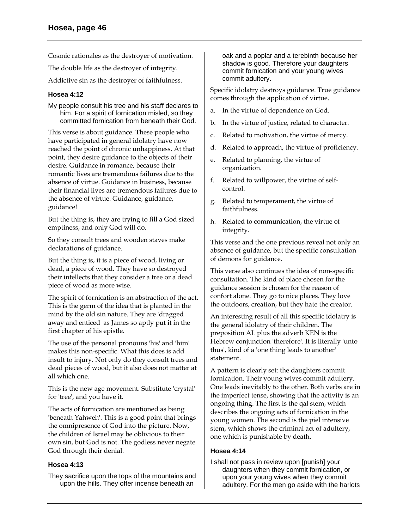Cosmic rationales as the destroyer of motivation.

The double life as the destroyer of integrity.

Addictive sin as the destroyer of faithfulness.

## **Hosea 4:12**

My people consult his tree and his staff declares to him. For a spirit of fornication misled, so they committed fornication from beneath their God.

This verse is about guidance. These people who have participated in general idolatry have now reached the point of chronic unhappiness. At that point, they desire guidance to the objects of their desire. Guidance in romance, because their romantic lives are tremendous failures due to the absence of virtue. Guidance in business, because their financial lives are tremendous failures due to the absence of virtue. Guidance, guidance, guidance!

But the thing is, they are trying to fill a God sized emptiness, and only God will do.

So they consult trees and wooden staves make declarations of guidance.

But the thing is, it is a piece of wood, living or dead, a piece of wood. They have so destroyed their intellects that they consider a tree or a dead piece of wood as more wise.

The spirit of fornication is an abstraction of the act. This is the germ of the idea that is planted in the mind by the old sin nature. They are 'dragged away and enticed' as James so aptly put it in the first chapter of his epistle.

The use of the personal pronouns 'his' and 'him' makes this non-specific. What this does is add insult to injury. Not only do they consult trees and dead pieces of wood, but it also does not matter at all which one.

This is the new age movement. Substitute 'crystal' for 'tree', and you have it.

The acts of fornication are mentioned as being 'beneath Yahweh'. This is a good point that brings the omnipresence of God into the picture. Now, the children of Israel may be oblivious to their own sin, but God is not. The godless never negate God through their denial.

## **Hosea 4:13**

They sacrifice upon the tops of the mountains and upon the hills. They offer incense beneath an

oak and a poplar and a terebinth because her shadow is good. Therefore your daughters commit fornication and your young wives commit adultery.

Specific idolatry destroys guidance. True guidance comes through the application of virtue.

- a. In the virtue of dependence on God.
- b. In the virtue of justice, related to character.
- c. Related to motivation, the virtue of mercy.
- d. Related to approach, the virtue of proficiency.
- e. Related to planning, the virtue of organization.
- f. Related to willpower, the virtue of selfcontrol.
- g. Related to temperament, the virtue of faithfulness.
- h. Related to communication, the virtue of integrity.

This verse and the one previous reveal not only an absence of guidance, but the specific consultation of demons for guidance.

This verse also continues the idea of non-specific consultation. The kind of place chosen for the guidance session is chosen for the reason of confort alone. They go to nice places. They love the outdoors, creation, but they hate the creator.

An interesting result of all this specific idolatry is the general idolatry of their children. The preposition AL plus the adverb KEN is the Hebrew conjunction 'therefore'. It is literally 'unto thus', kind of a 'one thing leads to another' statement.

A pattern is clearly set: the daughters commit fornication. Their young wives commit adultery. One leads inevitably to the other. Both verbs are in the imperfect tense, showing that the activity is an ongoing thing. The first is the qal stem, which describes the ongoing acts of fornication in the young women. The second is the piel intensive stem, which shows the criminal act of adultery, one which is punishable by death.

## **Hosea 4:14**

I shall not pass in review upon [punish] your daughters when they commit fornication, or upon your young wives when they commit adultery. For the men go aside with the harlots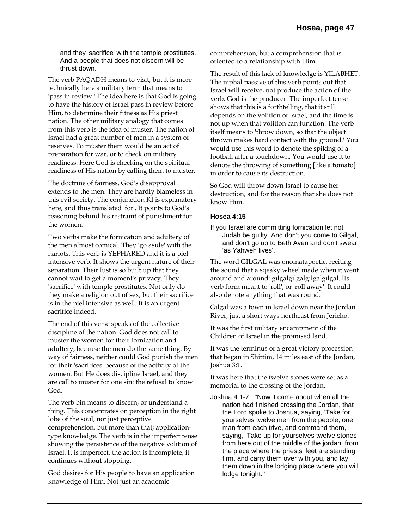and they 'sacrifice' with the temple prostitutes. And a people that does not discern will be thrust down.

The verb PAQADH means to visit, but it is more technically here a military term that means to 'pass in review.' The idea here is that God is going to have the history of Israel pass in review before Him, to determine their fitness as His priest nation. The other military analogy that comes from this verb is the idea of muster. The nation of Israel had a great number of men in a system of reserves. To muster them would be an act of preparation for war, or to check on military readiness. Here God is checking on the spiritual readiness of His nation by calling them to muster.

The doctrine of fairness. God's disapproval extends to the men. They are hardly blameless in this evil society. The conjunction KI is explanatory here, and thus translated 'for'. It points to God's reasoning behind his restraint of punishment for the women.

Two verbs make the fornication and adultery of the men almost comical. They 'go aside' with the harlots. This verb is YEPHARED and it is a piel intensive verb. It shows the urgent nature of their separation. Their lust is so built up that they cannot wait to get a moment's privacy. They 'sacrifice' with temple prostitutes. Not only do they make a religion out of sex, but their sacrifice is in the piel intensive as well. It is an urgent sacrifice indeed.

The end of this verse speaks of the collective discipline of the nation. God does not call to muster the women for their fornication and adultery, because the men do the same thing. By way of fairness, neither could God punish the men for their 'sacrifices' because of the activity of the women. But He does discipline Israel, and they are call to muster for one sin: the refusal to know God.

The verb bin means to discern, or understand a thing. This concentrates on perception in the right lobe of the soul, not just perceptive comprehension, but more than that; applicationtype knowledge. The verb is in the imperfect tense showing the persistence of the negative volition of Israel. It is imperfect, the action is incomplete, it continues without stopping.

God desires for His people to have an application knowledge of Him. Not just an academic

comprehension, but a comprehension that is oriented to a relationship with Him.

The result of this lack of knowledge is YILABHET. The niphal passive of this verb points out that Israel will receive, not produce the action of the verb. God is the producer. The imperfect tense shows that this is a forthtelling, that it still depends on the volition of Israel, and the time is not up when that volition can function. The verb itself means to 'throw down, so that the object thrown makes hard contact with the ground.' You would use this word to denote the spiking of a football after a touchdown. You would use it to denote the throwing of something [like a tomato] in order to cause its destruction.

So God will throw down Israel to cause her destruction, and for the reason that she does not know Him.

## **Hosea 4:15**

If you Israel are committing fornication let not Judah be guilty. And don't you come to Gilgal, and don't go up to Beth Aven and don't swear 'as Yahweh lives'.

The word GILGAL was onomatapoetic, reciting the sound that a sqeaky wheel made when it went around and around: gilgalgilgalgilgalgilgal. Its verb form meant to 'roll', or 'roll away'. It could also denote anything that was round.

Gilgal was a town in Israel down near the Jordan River, just a short ways northeast from Jericho.

It was the first military encampment of the Children of Israel in the promised land.

It was the terminus of a great victory procession that began in Shittim, 14 miles east of the Jordan, Joshua 3:1.

It was here that the twelve stones were set as a memorial to the crossing of the Jordan.

Joshua 4:1-7. "Now it came about when all the nation had finished crossing the Jordan, that the Lord spoke to Joshua, saying, 'Take for yourselves twelve men from the people, one man from each trive, and command them, saying, 'Take up for yourselves twelve stones from here out of the middle of the jordan, from the place where the priests' feet are standing firm, and carry them over with you, and lay them down in the lodging place where you will lodge tonight.''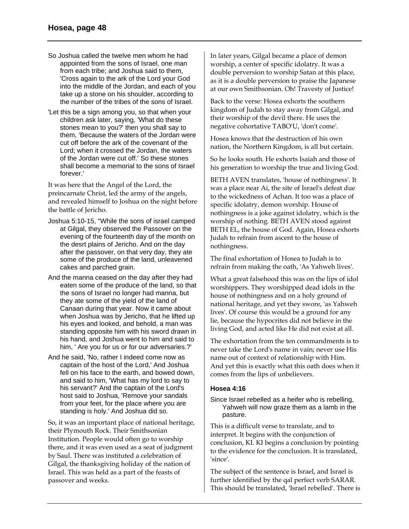- So Joshua called the twelve men whom he had appointed from the sons of Israel, one man from each tribe; and Joshua said to them, 'Cross again to the ark of the Lord your God into the middle of the Jordan, and each of you take up a stone on his shoulder, according to the number of the tribes of the sons of Israel.
- 'Let this be a sign among you, so that when your children ask later, saying, 'What do these stones mean to you?' then you shall say to them, 'Because the waters of the Jordan were cut off before the ark of the covenant of the Lord; when it crossed the Jordan, the waters of the Jordan were cut off.' So these stones shall become a memorial to the sons of Israel forever.'

It was here that the Angel of the Lord, the preincarnate Christ, led the army of the angels, and revealed himself to Joshua on the night before the battle of Jericho.

- Joshua 5:10-15, "While the sons of israel camped at Gilgal, they observed the Passover on the evening of the fourteenth day of the month on the desrt plains of Jericho. And on the day after the passover, on that very day, they ate some of the produce of the land, unleavened cakes and parched grain.
- And the manna ceased on the day after they had eaten some of the produce of the land, so that the sons of Israel no longer had manna, but they ate some of the yield of the land of Canaan during that year. Now it came about when Joshua was by Jericho, that he lifted up his eyes and looked, and behold, a man was standing opposite him with his sword drawn in his hand, and Joshua went to him and said to him, ' Are you for us or for our adversaries.?'
- And he said, 'No, rather I indeed come now as captain of the host of the Lord,' And Joshua fell on his face to the earth, and bowed down, and said to him, 'What has my lord to say to his servant?' And the captain of the Lord's host said to Joshua, 'Remove your sandals from your feet, for the place where you are standing is holy.' And Joshua did so.

So, it was an important place of national heritage, their Plymouth Rock. Their Smithsonian Institution. People would often go to worship there, and it was even used as a seat of judgment by Saul. There was instituted a celebration of Gilgal, the thanksgiving holiday of the nation of Israel. This was held as a part of the feasts of passover and weeks.

In later years, Gilgal became a place of demon worship, a center of specific idolatry. It was a double perversion to worship Satan at this place, as it is a double perversion to praise the Japanese at our own Smithsonian. Oh! Travesty of Justice!

Back to the verse: Hosea exhorts the southern kingdom of Judah to stay away from Gilgal, and their worship of the devil there. He uses the negative cohortative TABO'U, 'don't come'.

Hosea knows that the destruction of his own nation, the Northern Kingdom, is all but certain.

So he looks south. He exhorts Isaiah and those of his generation to worship the true and living God.

BETH AVEN translates, 'house of nothingness'. It was a place near Ai, the site of Israel's defeat due to the wickedness of Achan. It too was a place of specific idolatry, demon worship. House of nothingness is a joke against idolatry, which is the worship of nothing. BETH AVEN stood against BETH EL, the house of God. Again, Hosea exhorts Judah to refrain from ascent to the house of nothingness.

The final exhortation of Hosea to Judah is to refrain from making the oath, 'As Yahweh lives'.

What a great falsehood this was on the lips of idol worshippers. They worshipped dead idols in the house of nothingness and on a holy ground of national heritage, and yet they swore, 'as Yahweh lives'. Of course this would be a ground for any lie, because the hypocrites did not believe in the living God, and acted like He did not exist at all.

The exhortation from the ten commandments is to never take the Lord's name in vain; never use His name out of context of relationship with Him. And yet this is exactly what this oath does when it comes from the lips of unbelievers.

#### **Hosea 4:16**

Since Israel rebelled as a heifer who is rebelling, Yahweh will now graze them as a lamb in the pasture.

This is a difficult verse to translate, and to interpret. It begins with the conjunction of conclusion, KI. KI begins a conclusion by pointing to the evidence for the conclusion. It is translated, 'since'.

The subject of the sentence is Israel, and Israel is further identified by the qal perfect verb SARAR. This should be translated, 'Israel rebelled'. There is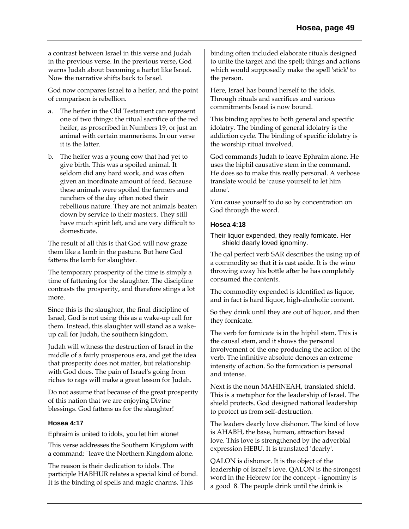a contrast between Israel in this verse and Judah in the previous verse. In the previous verse, God warns Judah about becoming a harlot like Israel. Now the narrative shifts back to Israel.

God now compares Israel to a heifer, and the point of comparison is rebellion.

- a. The heifer in the Old Testament can represent one of two things: the ritual sacrifice of the red heifer, as proscribed in Numbers 19, or just an animal with certain mannerisms. In our verse it is the latter.
- b. The heifer was a young cow that had yet to give birth. This was a spoiled animal. It seldom did any hard work, and was often given an inordinate amount of feed. Because these animals were spoiled the farmers and ranchers of the day often noted their rebellious nature. They are not animals beaten down by service to their masters. They still have much spirit left, and are very difficult to domesticate.

The result of all this is that God will now graze them like a lamb in the pasture. But here God fattens the lamb for slaughter.

The temporary prosperity of the time is simply a time of fattening for the slaughter. The discipline contrasts the prosperity, and therefore stings a lot more.

Since this is the slaughter, the final discipline of Israel, God is not using this as a wake-up call for them. Instead, this slaughter will stand as a wakeup call for Judah, the southern kingdom.

Judah will witness the destruction of Israel in the middle of a fairly prosperous era, and get the idea that prosperity does not matter, but relationship with God does. The pain of Israel's going from riches to rags will make a great lesson for Judah.

Do not assume that because of the great prosperity of this nation that we are enjoying Divine blessings. God fattens us for the slaughter!

# **Hosea 4:17**

Ephraim is united to idols, you let him alone!

This verse addresses the Southern Kingdom with a command: "leave the Northern Kingdom alone.

The reason is their dedication to idols. The participle HABHUR relates a special kind of bond. It is the binding of spells and magic charms. This

binding often included elaborate rituals designed to unite the target and the spell; things and actions which would supposedly make the spell 'stick' to the person.

Here, Israel has bound herself to the idols. Through rituals and sacrifices and various commitments Israel is now bound.

This binding applies to both general and specific idolatry. The binding of general idolatry is the addiction cycle. The binding of specific idolatry is the worship ritual involved.

God commands Judah to leave Ephraim alone. He uses the hiphil causative stem in the command. He does so to make this really personal. A verbose translate would be 'cause yourself to let him alone'.

You cause yourself to do so by concentration on God through the word.

#### **Hosea 4:18**

Their liquor expended, they really fornicate. Her shield dearly loved ignominy.

The qal perfect verb SAR describes the using up of a commodity so that it is cast aside. It is the wino throwing away his bottle after he has completely consumed the contents.

The commodity expended is identified as liquor, and in fact is hard liquor, high-alcoholic content.

So they drink until they are out of liquor, and then they fornicate.

The verb for fornicate is in the hiphil stem. This is the causal stem, and it shows the personal involvement of the one producing the action of the verb. The infinitive absolute denotes an extreme intensity of action. So the fornication is personal and intense.

Next is the noun MAHINEAH, translated shield. This is a metaphor for the leadership of Israel. The shield protects. God designed national leadership to protect us from self-destruction.

The leaders dearly love dishonor. The kind of love is AHABH, the base, human, attraction based love. This love is strengthened by the adverbial expression HEBU. It is translated 'dearly'.

QALON is dishonor. It is the object of the leadership of Israel's love. QALON is the strongest word in the Hebrew for the concept - ignominy is a good 8. The people drink until the drink is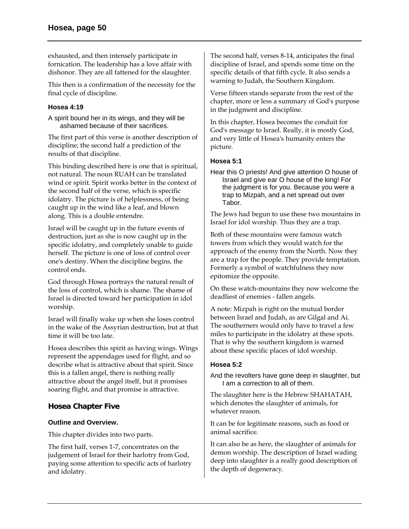exhausted, and then intensely participate in fornication. The leadership has a love affair with dishonor. They are all fattened for the slaughter.

This then is a confirmation of the necessity for the final cycle of discipline.

#### **Hosea 4:19**

A spirit bound her in its wings, and they will be ashamed because of their sacrifices.

The first part of this verse is another description of discipline; the second half a prediction of the results of that discipline.

This binding described here is one that is spiritual, not natural. The noun RUAH can be translated wind or spirit. Spirit works better in the context of the second half of the verse, which is specific idolatry. The picture is of helplessness, of being caught up in the wind like a leaf, and blown along. This is a double entendre.

Israel will be caught up in the future events of destruction, just as she is now caught up in the specific idolatry, and completely unable to guide herself. The picture is one of loss of control over one's destiny. When the discipline begins, the control ends.

God through Hosea portrays the natural result of the loss of control, which is shame. The shame of Israel is directed toward her participation in idol worship.

Israel will finally wake up when she loses control in the wake of the Assyrian destruction, but at that time it will be too late.

Hosea describes this spirit as having wings. Wings represent the appendages used for flight, and so describe what is attractive about that spirit. Since this is a fallen angel, there is nothing really attractive about the angel itself, but it promises soaring flight, and that promise is attractive.

## **Hosea Chapter Five**

#### **Outline and Overview.**

This chapter divides into two parts.

The first half, verses 1-7, concentrates on the judgement of Israel for their harlotry from God, paying some attention to specific acts of harlotry and idolatry.

The second half, verses 8-14, anticipates the final discipline of Israel, and spends some time on the specific details of that fifth cycle. It also sends a warning to Judah, the Southern Kingdom.

Verse fifteen stands separate from the rest of the chapter, more or less a summary of God's purpose in the judgment and discipline.

In this chapter, Hosea becomes the conduit for God's message to Israel. Really, it is mostly God, and very little of Hosea's humanity enters the picture.

#### **Hosea 5:1**

Hear this O priests! And give attention O house of Israel and give ear O house of the king! For the judgment is for you. Because you were a trap to Mizpah, and a net spread out over Tabor.

The Jews had begun to use these two mountains in Israel for idol worship. Thus they are a trap.

Both of these mountains were famous watch towers from which they would watch for the approach of the enemy from the North. Now they are a trap for the people. They provide temptation. Formerly a symbol of watchfulness they now epitomize the opposite.

On these watch-mountains they now welcome the deadliest of enemies - fallen angels.

A note: Mizpah is right on the mutual border between Israel and Judah, as are Gilgal and Ai. The southerners would only have to travel a few miles to participate in the idolatry at these spots. That is why the southern kingdom is warned about these specific places of idol worship.

#### **Hosea 5:2**

And the revolters have gone deep in slaughter, but I am a correction to all of them.

The slaughter here is the Hebrew SHAHATAH, which denotes the slaughter of animals, for whatever reason.

It can be for legitimate reasons, such as food or animal sacrifice.

It can also be as here, the slaughter of animals for demon worship. The description of Israel wading deep into slaughter is a really good description of the depth of degeneracy.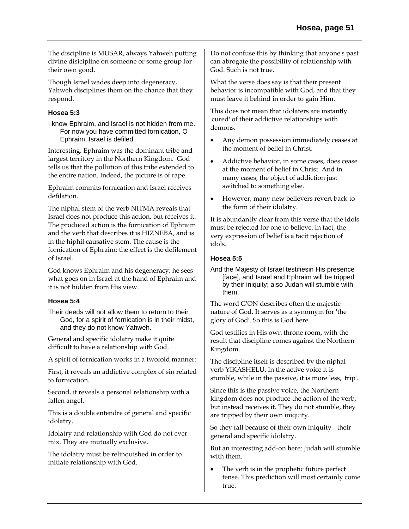The discipline is MUSAR, always Yahweh putting divine disicipline on someone or some group for their own good.

Though Israel wades deep into degeneracy, Yahweh disciplines them on the chance that they respond.

## **Hosea 5:3**

I know Ephraim, and Israel is not hidden from me. For now you have committed fornication, O Ephraim. Israel is defiled.

Interesting. Ephraim was the dominant tribe and largest territory in the Northern Kingdom. God tells us that the pollution of this tribe extended to the entire nation. Indeed, the picture is of rape.

Ephraim commits fornication and Israel receives defilation.

The niphal stem of the verb NITMA reveals that Israel does not produce this action, but receives it. The produced action is the fornication of Ephraim and the verb that describes it is HIZNEBA, and is in the hiphil causative stem. The cause is the fornication of Ephraim; the effect is the defilement of Israel.

God knows Ephraim and his degeneracy; he sees what goes on in Israel at the hand of Ephraim and it is not hidden from His view.

# **Hosea 5:4**

Their deeds will not allow them to return to their God, for a spirit of fornication is in their midst, and they do not know Yahweh.

General and specific idolatry make it quite difficult to have a relationship with God.

A spirit of fornication works in a twofold manner:

First, it reveals an addictive complex of sin related to fornication.

Second, it reveals a personal relationship with a fallen angel.

This is a double entendre of general and specific idolatry.

Idolatry and relationship with God do not ever mix. They are mutually exclusive.

The idolatry must be relinquished in order to initiate relationship with God.

Do not confuse this by thinking that anyone's past can abrogate the possibility of relationship with God. Such is not true.

What the verse does say is that their present behavior is incompatible with God, and that they must leave it behind in order to gain Him.

This does not mean that idolaters are instantly 'cured' of their addictive relationships with demons.

- Any demon possession immediately ceases at the moment of belief in Christ.
- Addictive behavior, in some cases, does cease at the moment of belief in Christ. And in many cases, the object of addiction just switched to something else.
- However, many new believers revert back to the form of their idolatry.

It is abundantly clear from this verse that the idols must be rejected for one to believe. In fact, the very expression of belief is a tacit rejection of idols.

# **Hosea 5:5**

And the Majesty of Israel testifiesin His presence [face], and Israel and Ephraim will be tripped by their iniquity; also Judah will stumble with them.

The word G'ON describes often the majestic nature of God. It serves as a synomym for 'the glory of God'. So this is God here.

God testifies in His own throne room, with the result that discipline comes against the Northern Kingdom.

The discipline itself is described by the niphal verb YIKASHELU. In the active voice it is stumble, while in the passive, it is more less, 'trip'.

Since this is the passive voice, the Northern kingdom does not produce the action of the verb, but instead receives it. They do not stumble, they are tripped by their own iniquity.

So they fall because of their own iniquity - their general and specific idolatry.

But an interesting add-on here: Judah will stumble with them.

The verb is in the prophetic future perfect tense. This prediction will most certainly come true.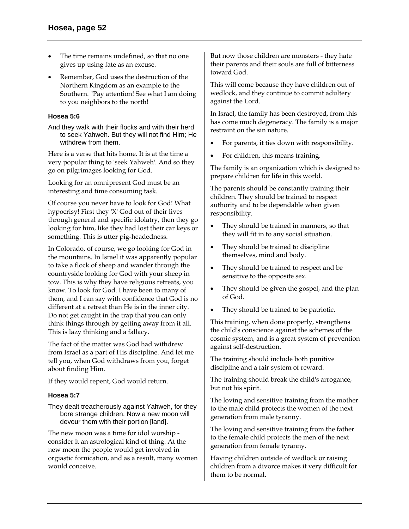- The time remains undefined, so that no one gives up using fate as an excuse.
- Remember, God uses the destruction of the Northern Kingdom as an example to the Southern. "Pay attention! See what I am doing to you neighbors to the north!

## **Hosea 5:6**

And they walk with their flocks and with their herd to seek Yahweh. But they will not find Him; He withdrew from them.

Here is a verse that hits home. It is at the time a very popular thing to 'seek Yahweh'. And so they go on pilgrimages looking for God.

Looking for an omnipresent God must be an interesting and time consuming task.

Of course you never have to look for God! What hypocrisy! First they 'X' God out of their lives through general and specific idolatry, then they go looking for him, like they had lost their car keys or something. This is utter pig-headedness.

In Colorado, of course, we go looking for God in the mountains. In Israel it was apparently popular to take a flock of sheep and wander through the countryside looking for God with your sheep in tow. This is why they have religious retreats, you know. To look for God. I have been to many of them, and I can say with confidence that God is no different at a retreat than He is in the inner city. Do not get caught in the trap that you can only think things through by getting away from it all. This is lazy thinking and a fallacy.

The fact of the matter was God had withdrew from Israel as a part of His discipline. And let me tell you, when God withdraws from you, forget about finding Him.

If they would repent, God would return.

## **Hosea 5:7**

They dealt treacherously against Yahweh, for they bore strange children. Now a new moon will devour them with their portion [land].

The new moon was a time for idol worship consider it an astrological kind of thing. At the new moon the people would get involved in orgiastic fornication, and as a result, many women would conceive.

But now those children are monsters - they hate their parents and their souls are full of bitterness toward God.

This will come because they have children out of wedlock, and they continue to commit adultery against the Lord.

In Israel, the family has been destroyed, from this has come much degeneracy. The family is a major restraint on the sin nature.

- For parents, it ties down with responsibility.
- For children, this means training.

The family is an organization which is designed to prepare children for life in this world.

The parents should be constantly training their children. They should be trained to respect authority and to be dependable when given responsibility.

- They should be trained in manners, so that they will fit in to any social situation.
- They should be trained to discipline themselves, mind and body.
- They should be trained to respect and be sensitive to the opposite sex.
- They should be given the gospel, and the plan of God.
- They should be trained to be patriotic.

This training, when done properly, strengthens the child's conscience against the schemes of the cosmic system, and is a great system of prevention against self-destruction.

The training should include both punitive discipline and a fair system of reward.

The training should break the child's arrogance, but not his spirit.

The loving and sensitive training from the mother to the male child protects the women of the next generation from male tyranny.

The loving and sensitive training from the father to the female child protects the men of the next generation from female tyranny.

Having children outside of wedlock or raising children from a divorce makes it very difficult for them to be normal.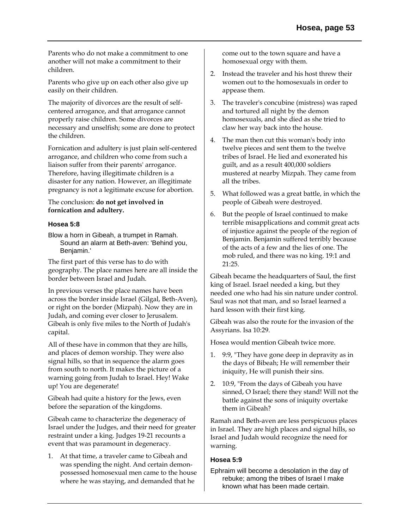Parents who do not make a commitment to one another will not make a commitment to their children.

Parents who give up on each other also give up easily on their children.

The majority of divorces are the result of selfcentered arrogance, and that arrogance cannot properly raise children. Some divorces are necessary and unselfish; some are done to protect the children.

Fornication and adultery is just plain self-centered arrogance, and children who come from such a liaison suffer from their parents' arrogance. Therefore, having illegitimate children is a disaster for any nation. However, an illegitimate pregnancy is not a legitimate excuse for abortion.

The conclusion: **do not get involved in fornication and adultery.**

## **Hosea 5:8**

Blow a horn in Gibeah, a trumpet in Ramah. Sound an alarm at Beth-aven: 'Behind you, Benjamin.'

The first part of this verse has to do with geography. The place names here are all inside the border between Israel and Judah.

In previous verses the place names have been across the border inside Israel (Gilgal, Beth-Aven), or right on the border (Mizpah). Now they are in Judah, and coming ever closer to Jerusalem. Gibeah is only five miles to the North of Judah's capital.

All of these have in common that they are hills, and places of demon worship. They were also signal hills, so that in sequence the alarm goes from south to north. It makes the picture of a warning going from Judah to Israel. Hey! Wake up! You are degenerate!

Gibeah had quite a history for the Jews, even before the separation of the kingdoms.

Gibeah came to characterize the degeneracy of Israel under the Judges, and their need for greater restraint under a king. Judges 19-21 recounts a event that was paramount in degeneracy.

1. At that time, a traveler came to Gibeah and was spending the night. And certain demonpossessed homosexual men came to the house where he was staying, and demanded that he

come out to the town square and have a homosexual orgy with them.

- 2. Instead the traveler and his host threw their women out to the homosexuals in order to appease them.
- 3. The traveler's concubine (mistress) was raped and tortured all night by the demon homosexuals, and she died as she tried to claw her way back into the house.
- 4. The man then cut this woman's body into twelve pieces and sent them to the twelve tribes of Israel. He lied and exonerated his guilt, and as a result 400,000 soldiers mustered at nearby Mizpah. They came from all the tribes.
- 5. What followed was a great battle, in which the people of Gibeah were destroyed.
- 6. But the people of Israel continued to make terrible misapplications and commit great acts of injustice against the people of the region of Benjamin. Benjamin suffered terribly because of the acts of a few and the lies of one. The mob ruled, and there was no king. 19:1 and 21:25.

Gibeah became the headquarters of Saul, the first king of Israel. Israel needed a king, but they needed one who had his sin nature under control. Saul was not that man, and so Israel learned a hard lesson with their first king.

Gibeah was also the route for the invasion of the Assyrians. Isa 10:29.

Hosea would mention Gibeah twice more.

- 1. 9:9, "They have gone deep in depravity as in the days of Bibeah; He will remember their iniquity, He will punish their sins.
- 2. 10:9, "From the days of Gibeah you have sinned, O Israel; there they stand! Will not the battle against the sons of iniquity overtake them in Gibeah?

Ramah and Beth-aven are less perspicuous places in Israel. They are high places and signal hills, so Israel and Judah would recognize the need for warning.

#### **Hosea 5:9**

Ephraim will become a desolation in the day of rebuke; among the tribes of Israel I make known what has been made certain.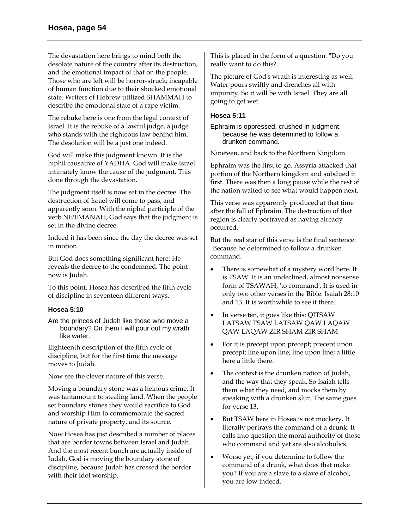The devastation here brings to mind both the desolate nature of the country after its destruction, and the emotional impact of that on the people. Those who are left will be horror-struck; incapable of human function due to their shocked emotional state. Writers of Hebrew utilized SHAMMAH to describe the emotional state of a rape victim.

The rebuke here is one from the legal context of Israel. It is the rebuke of a lawful judge, a judge who stands with the righteous law behind him. The desolation will be a just one indeed.

God will make this judgment known. It is the hiphil causative of YADHA. God will make Israel intimately know the cause of the judgment. This done through the devastation.

The judgment itself is now set in the decree. The destruction of Israel will come to pass, and apparently soon. With the niphal participle of the verb NE'EMANAH, God says that the judgment is set in the divine decree.

Indeed it has been since the day the decree was set in motion.

But God does something significant here: He reveals the decree to the condemned. The point now is Judah.

To this point, Hosea has described the fifth cycle of discipline in seventeen different ways.

## **Hosea 5:10**

Are the princes of Judah like those who move a boundary? On them I will pour out my wrath like water.

Eighteenth description of the fifth cycle of discipline, but for the first time the message moves to Judah.

Now see the clever nature of this verse.

Moving a boundary stone was a heinous crime. It was tantamount to stealing land. When the people set boundary stones they would sacrifice to God and worship Him to commemorate the sacred nature of private property, and its source.

Now Hosea has just described a number of places that are border towns between Israel and Judah. And the most recent bunch are actually inside of Judah. God is moving the boundary stone of discipline, because Judah has crossed the border with their idol worship.

This is placed in the form of a question. "Do you really want to do this?

The picture of God's wrath is interesting as well. Water pours swiftly and drenches all with impunity. So it will be with Israel. They are all going to get wet.

#### **Hosea 5:11**

Ephraim is oppressed, crushed in judgment, because he was determined to follow a drunken command.

Nineteen, and back to the Northern Kingdom.

Ephraim was the first to go. Assyria attacked that portion of the Northern kingdom and subdued it first. There was then a long pause while the rest of the nation waited to see what would happen next.

This verse was apparently produced at that time after the fall of Ephraim. The destruction of that region is clearly portrayed as having already occurred.

But the real star of this verse is the final sentence: "Because he determined to follow a drunken command.

- There is somewhat of a mystery word here. It is TSAW. It is an undeclined, almost nonsense form of TSAWAH, 'to command'. It is used in only two other verses in the Bible: Isaiah 28:10 and 13. It is worthwhile to see it there.
- In verse ten, it goes like this: QITSAW LATSAW TSAW LATSAW QAW LAQAW QAW LAQAW ZIR SHAM ZIR SHAM
- For it is precept upon precept; precept upon precept; line upon line; line upon line; a little here a little there.
- The context is the drunken nation of Judah, and the way that they speak. So Isaiah tells them what they need, and mocks them by speaking with a drunken slur. The same goes for verse 13.
- But TSAW here in Hosea is not mockery. It literally portrays the command of a drunk. It calls into question the moral authority of those who command and yet are also alcoholics.
- Worse yet, if you determine to follow the command of a drunk, what does that make you? If you are a slave to a slave of alcohol, you are low indeed.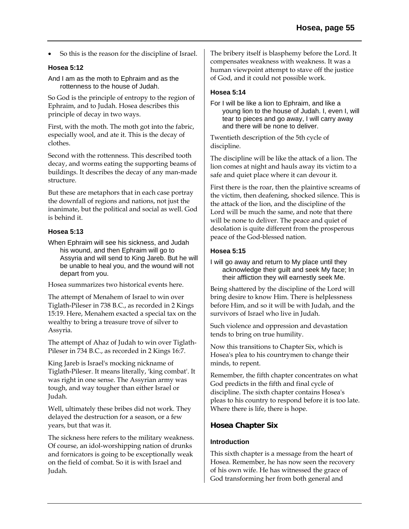• So this is the reason for the discipline of Israel.

# **Hosea 5:12**

And I am as the moth to Ephraim and as the rottenness to the house of Judah.

So God is the principle of entropy to the region of Ephraim, and to Judah. Hosea describes this principle of decay in two ways.

First, with the moth. The moth got into the fabric, especially wool, and ate it. This is the decay of clothes.

Second with the rottenness. This described tooth decay, and worms eating the supporting beams of buildings. It describes the decay of any man-made structure.

But these are metaphors that in each case portray the downfall of regions and nations, not just the inanimate, but the political and social as well. God is behind it.

# **Hosea 5:13**

When Ephraim will see his sickness, and Judah his wound, and then Ephraim will go to Assyria and will send to King Jareb. But he will be unable to heal you, and the wound will not depart from you.

Hosea summarizes two historical events here.

The attempt of Menahem of Israel to win over Tiglath-Pileser in 738 B.C., as recorded in 2 Kings 15:19. Here, Menahem exacted a special tax on the wealthy to bring a treasure trove of silver to Assyria.

The attempt of Ahaz of Judah to win over Tiglath-Pileser in 734 B.C., as recorded in 2 Kings 16:7.

King Jareb is Israel's mocking nickname of Tiglath-Pileser. It means literally, 'king combat'. It was right in one sense. The Assyrian army was tough, and way tougher than either Israel or Judah.

Well, ultimately these bribes did not work. They delayed the destruction for a season, or a few years, but that was it.

The sickness here refers to the military weakness. Of course, an idol-worshipping nation of drunks and fornicators is going to be exceptionally weak on the field of combat. So it is with Israel and Judah.

The bribery itself is blasphemy before the Lord. It compensates weakness with weakness. It was a human viewpoint attempt to stave off the justice of God, and it could not possible work.

# **Hosea 5:14**

For I will be like a lion to Ephraim, and like a young lion to the house of Judah. I, even I, will tear to pieces and go away, I will carry away and there will be none to deliver.

Twentieth description of the 5th cycle of discipline.

The discipline will be like the attack of a lion. The lion comes at night and hauls away its victim to a safe and quiet place where it can devour it.

First there is the roar, then the plaintive screams of the victim, then deafening, shocked silence. This is the attack of the lion, and the discipline of the Lord will be much the same, and note that there will be none to deliver. The peace and quiet of desolation is quite different from the prosperous peace of the God-blessed nation.

# **Hosea 5:15**

I will go away and return to My place until they acknowledge their guilt and seek My face; In their affliction they will earnestly seek Me.

Being shattered by the discipline of the Lord will bring desire to know Him. There is helplessness before Him, and so it will be with Judah, and the survivors of Israel who live in Judah.

Such violence and oppression and devastation tends to bring on true humility.

Now this transitions to Chapter Six, which is Hosea's plea to his countrymen to change their minds, to repent.

Remember, the fifth chapter concentrates on what God predicts in the fifth and final cycle of discipline. The sixth chapter contains Hosea's pleas to his country to respond before it is too late. Where there is life, there is hope.

# **Hosea Chapter Six**

# **Introduction**

This sixth chapter is a message from the heart of Hosea. Remember, he has now seen the recovery of his own wife. He has witnessed the grace of God transforming her from both general and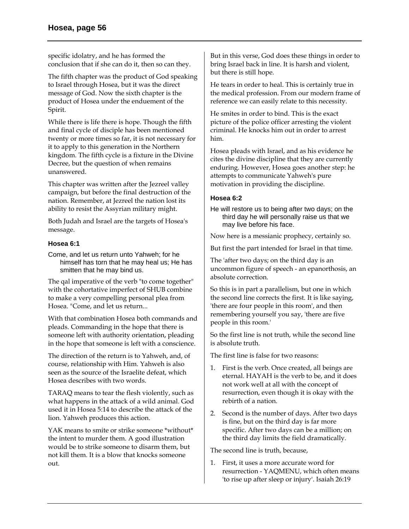specific idolatry, and he has formed the conclusion that if she can do it, then so can they.

The fifth chapter was the product of God speaking to Israel through Hosea, but it was the direct message of God. Now the sixth chapter is the product of Hosea under the enduement of the Spirit.

While there is life there is hope. Though the fifth and final cycle of disciple has been mentioned twenty or more times so far, it is not necessary for it to apply to this generation in the Northern kingdom. The fifth cycle is a fixture in the Divine Decree, but the question of when remains unanswered.

This chapter was written after the Jezreel valley campaign, but before the final destruction of the nation. Remember, at Jezreel the nation lost its ability to resist the Assyrian military might.

Both Judah and Israel are the targets of Hosea's message.

#### **Hosea 6:1**

Come, and let us return unto Yahweh; for he himself has torn that he may heal us; He has smitten that he may bind us.

The qal imperative of the verb "to come together" with the cohortative imperfect of SHUB combine to make a very compelling personal plea from Hosea. "Come, and let us return...

With that combination Hosea both commands and pleads. Commanding in the hope that there is someone left with authority orientation, pleading in the hope that someone is left with a conscience.

The direction of the return is to Yahweh, and, of course, relationship with Him. Yahweh is also seen as the source of the Israelite defeat, which Hosea describes with two words.

TARAQ means to tear the flesh violently, such as what happens in the attack of a wild animal. God used it in Hosea 5:14 to describe the attack of the lion. Yahweh produces this action.

YAK means to smite or strike someone \*without\* the intent to murder them. A good illustration would be to strike someone to disarm them, but not kill them. It is a blow that knocks someone out.

But in this verse, God does these things in order to bring Israel back in line. It is harsh and violent, but there is still hope.

He tears in order to heal. This is certainly true in the medical profession. From our modern frame of reference we can easily relate to this necessity.

He smites in order to bind. This is the exact picture of the police officer arresting the violent criminal. He knocks him out in order to arrest him.

Hosea pleads with Israel, and as his evidence he cites the divine discipline that they are currently enduring. However, Hosea goes another step: he attempts to communicate Yahweh's pure motivation in providing the discipline.

#### **Hosea 6:2**

He will restore us to being after two days; on the third day he will personally raise us that we may live before his face.

Now here is a messianic prophecy, certainly so.

But first the part intended for Israel in that time.

The 'after two days; on the third day is an uncommon figure of speech - an epanorthosis, an absolute correction.

So this is in part a parallelism, but one in which the second line corrects the first. It is like saying, 'there are four people in this room', and then remembering yourself you say, 'there are five people in this room.'

So the first line is not truth, while the second line is absolute truth.

The first line is false for two reasons:

- 1. First is the verb. Once created, all beings are eternal. HAYAH is the verb to be, and it does not work well at all with the concept of resurrection, even though it is okay with the rebirth of a nation.
- 2. Second is the number of days. After two days is fine, but on the third day is far more specific. After two days can be a million; on the third day limits the field dramatically.

The second line is truth, because,

1. First, it uses a more accurate word for resurrection - YAQMENU, which often means 'to rise up after sleep or injury'. Isaiah 26:19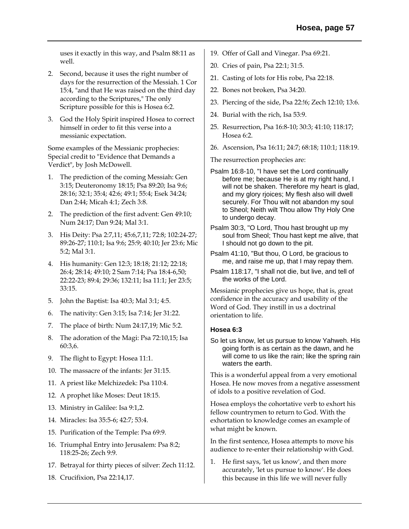uses it exactly in this way, and Psalm 88:11 as well.

- 2. Second, because it uses the right number of days for the resurrection of the Messiah. 1 Cor 15:4, "and that He was raised on the third day according to the Scriptures," The only Scripture possible for this is Hosea 6:2.
- 3. God the Holy Spirit inspired Hosea to correct himself in order to fit this verse into a messianic expectation.

Some examples of the Messianic prophecies: Special credit to "Evidence that Demands a Verdict", by Josh McDowell.

- 1. The prediction of the coming Messiah: Gen 3:15; Deuteronomy 18:15; Psa 89:20; Isa 9:6; 28:16; 32:1; 35:4; 42:6; 49:1; 55:4; Esek 34:24; Dan 2:44; Micah 4:1; Zech 3:8.
- 2. The prediction of the first advent: Gen 49:10; Num 24:17; Dan 9:24; Mal 3:1.
- 3. His Deity: Psa 2:7,11; 45:6,7,11; 72:8; 102:24-27; 89:26-27; 110:1; Isa 9:6; 25:9; 40:10; Jer 23:6; Mic 5:2; Mal 3:1.
- 4. His humanity: Gen 12:3; 18:18; 21:12; 22:18; 26:4; 28:14; 49:10; 2 Sam 7:14; Psa 18:4-6,50; 22:22-23; 89:4; 29:36; 132:11; Isa 11:1; Jer 23:5; 33:15.
- 5. John the Baptist: Isa 40:3; Mal 3:1; 4:5.
- 6. The nativity: Gen 3:15; Isa 7:14; Jer 31:22.
- 7. The place of birth: Num 24:17,19; Mic 5:2.
- 8. The adoration of the Magi: Psa 72:10,15; Isa 60:3,6.
- 9. The flight to Egypt: Hosea 11:1.
- 10. The massacre of the infants: Jer 31:15.
- 11. A priest like Melchizedek: Psa 110:4.
- 12. A prophet like Moses: Deut 18:15.
- 13. Ministry in Galilee: Isa 9:1,2.
- 14. Miracles: Isa 35:5-6; 42:7; 53:4.
- 15. Purification of the Temple: Psa 69:9.
- 16. Triumphal Entry into Jerusalem: Psa 8:2; 118:25-26; Zech 9:9.
- 17. Betrayal for thirty pieces of silver: Zech 11:12.
- 18. Crucifixion, Psa 22:14,17.
- 19. Offer of Gall and Vinegar. Psa 69:21.
- 20. Cries of pain, Psa 22:1; 31:5.
- 21. Casting of lots for His robe, Psa 22:18.
- 22. Bones not broken, Psa 34:20.
- 23. Piercing of the side, Psa 22:!6; Zech 12:10; 13:6.
- 24. Burial with the rich, Isa 53:9.
- 25. Resurrection, Psa 16:8-10; 30:3; 41:10; 118:17; Hosea 6:2.
- 26. Ascension, Psa 16:11; 24:7; 68:18; 110:1; 118:19.

The resurrection prophecies are:

- Psalm 16:8-10, "I have set the Lord continually before me; because He is at my right hand, I will not be shaken. Therefore my heart is glad, and my glory rjoices; My flesh also will dwell securely. For Thou wilt not abandon my soul to Sheol; Neith wilt Thou allow Thy Holy One to undergo decay.
- Psalm 30:3, "O Lord, Thou hast brought up my soul from Sheol; Thou hast kept me alive, that I should not go down to the pit.
- Psalm 41:10, "But thou, O Lord, be gracious to me, and raise me up, that I may repay them.
- Psalm 118:17, "I shall not die, but live, and tell of the works of the Lord.

Messianic prophecies give us hope, that is, great confidence in the accuracy and usability of the Word of God. They instill in us a doctrinal orientation to life.

#### **Hosea 6:3**

So let us know, let us pursue to know Yahweh. His going forth is as certain as the dawn, and he will come to us like the rain; like the spring rain waters the earth.

This is a wonderful appeal from a very emotional Hosea. He now moves from a negative assessment of idols to a positive revelation of God.

Hosea employs the cohortative verb to exhort his fellow countrymen to return to God. With the exhortation to knowledge comes an example of what might be known.

In the first sentence, Hosea attempts to move his audience to re-enter their relationship with God.

1. He first says, 'let us know', and then more accurately, 'let us pursue to know'. He does this because in this life we will never fully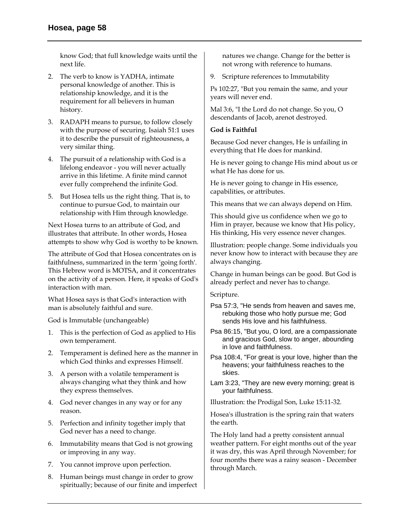know God; that full knowledge waits until the next life.

- 2. The verb to know is YADHA, intimate personal knowledge of another. This is relationship knowledge, and it is the requirement for all believers in human history.
- 3. RADAPH means to pursue, to follow closely with the purpose of securing. Isaiah 51:1 uses it to describe the pursuit of righteousness, a very similar thing.
- 4. The pursuit of a relationship with God is a lifelong endeavor - you will never actually arrive in this lifetime. A finite mind cannot ever fully comprehend the infinite God.
- 5. But Hosea tells us the right thing. That is, to continue to pursue God, to maintain our relationship with Him through knowledge.

Next Hosea turns to an attribute of God, and illustrates that attribute. In other words, Hosea attempts to show why God is worthy to be known.

The attribute of God that Hosea concentrates on is faithfulness, summarized in the term 'going forth'. This Hebrew word is MOTSA, and it concentrates on the activity of a person. Here, it speaks of God's interaction with man.

What Hosea says is that God's interaction with man is absolutely faithful and sure.

God is Immutable (unchangeable)

- 1. This is the perfection of God as applied to His own temperament.
- 2. Temperament is defined here as the manner in which God thinks and expresses Himself.
- 3. A person with a volatile temperament is always changing what they think and how they express themselves.
- 4. God never changes in any way or for any reason.
- 5. Perfection and infinity together imply that God never has a need to change.
- 6. Immutability means that God is not growing or improving in any way.
- 7. You cannot improve upon perfection.
- 8. Human beings must change in order to grow spiritually; because of our finite and imperfect

natures we change. Change for the better is not wrong with reference to humans.

9. Scripture references to Immutability

Ps 102:27, "But you remain the same, and your years will never end.

Mal 3:6, "I the Lord do not change. So you, O descendants of Jacob, arenot destroyed.

## **God is Faithful**

Because God never changes, He is unfailing in everything that He does for mankind.

He is never going to change His mind about us or what He has done for us.

He is never going to change in His essence, capabilities, or attributes.

This means that we can always depend on Him.

This should give us confidence when we go to Him in prayer, because we know that His policy, His thinking, His very essence never changes.

Illustration: people change. Some individuals you never know how to interact with because they are always changing.

Change in human beings can be good. But God is already perfect and never has to change.

Scripture.

```
Psa 57:3, "He sends from heaven and saves me, 
rebuking those who hotly pursue me; God 
sends His love and his faithfulness.
```
- Psa 86:15, "But you, O lord, are a compassionate and gracious God, slow to anger, abounding in love and faithfulness.
- Psa 108:4, "For great is your love, higher than the heavens; your faithfulness reaches to the skies.
- Lam 3:23, "They are new every morning; great is your faithfulness.
- Illustration: the Prodigal Son, Luke 15:11-32.

Hosea's illustration is the spring rain that waters the earth.

The Holy land had a pretty consistent annual weather pattern. For eight months out of the year it was dry, this was April through November; for four months there was a rainy season - December through March.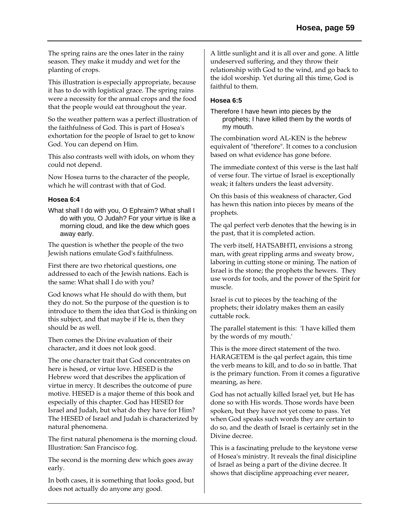The spring rains are the ones later in the rainy season. They make it muddy and wet for the planting of crops.

This illustration is especially appropriate, because it has to do with logistical grace. The spring rains were a necessity for the annual crops and the food that the people would eat throughout the year.

So the weather pattern was a perfect illustration of the faithfulness of God. This is part of Hosea's exhortation for the people of Israel to get to know God. You can depend on Him.

This also contrasts well with idols, on whom they could not depend.

Now Hosea turns to the character of the people, which he will contrast with that of God.

# **Hosea 6:4**

What shall I do with you, O Ephraim? What shall I do with you, O Judah? For your virtue is like a morning cloud, and like the dew which goes away early.

The question is whether the people of the two Jewish nations emulate God's faithfulness.

First there are two rhetorical questions, one addressed to each of the Jewish nations. Each is the same: What shall I do with you?

God knows what He should do with them, but they do not. So the purpose of the question is to introduce to them the idea that God is thinking on this subject, and that maybe if He is, then they should be as well.

Then comes the Divine evaluation of their character, and it does not look good.

The one character trait that God concentrates on here is hesed, or virtue love. HESED is the Hebrew word that describes the application of virtue in mercy. It describes the outcome of pure motive. HESED is a major theme of this book and especially of this chapter. God has HESED for Israel and Judah, but what do they have for Him? The HESED of Israel and Judah is characterized by natural phenomena.

The first natural phenomena is the morning cloud. Illustration: San Francisco fog.

The second is the morning dew which goes away early.

In both cases, it is something that looks good, but does not actually do anyone any good.

A little sunlight and it is all over and gone. A little undeserved suffering, and they throw their relationship with God to the wind, and go back to the idol worship. Yet during all this time, God is faithful to them.

# **Hosea 6:5**

Therefore I have hewn into pieces by the prophets; I have killed them by the words of my mouth.

The combination word AL-KEN is the hebrew equivalent of "therefore". It comes to a conclusion based on what evidence has gone before.

The immediate context of this verse is the last half of verse four. The virtue of Israel is exceptionally weak; it falters unders the least adversity.

On this basis of this weakness of character, God has hewn this nation into pieces by means of the prophets.

The qal perfect verb denotes that the hewing is in the past, that it is completed action.

The verb itself, HATSABHTI, envisions a strong man, with great rippling arms and sweaty brow, laboring in cutting stone or mining. The nation of Israel is the stone; the prophets the hewers. They use words for tools, and the power of the Spirit for muscle.

Israel is cut to pieces by the teaching of the prophets; their idolatry makes them an easily cuttable rock.

The parallel statement is this: 'I have killed them by the words of my mouth.'

This is the more direct statement of the two. HARAGETEM is the qal perfect again, this time the verb means to kill, and to do so in battle. That is the primary function. From it comes a figurative meaning, as here.

God has not actually killed Israel yet, but He has done so with His words. Those words have been spoken, but they have not yet come to pass. Yet when God speaks such words they are certain to do so, and the death of Israel is certainly set in the Divine decree.

This is a fascinating prelude to the keystone verse of Hosea's ministry. It reveals the final disicipline of Israel as being a part of the divine decree. It shows that discipline approaching ever nearer,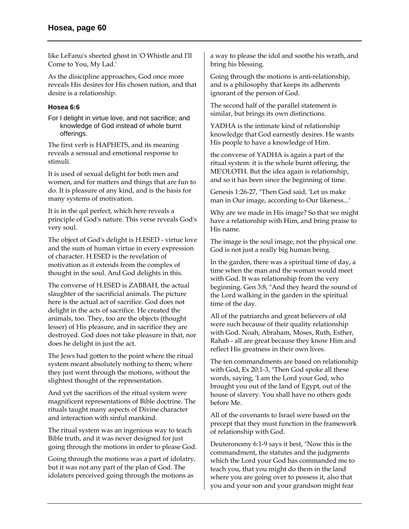like LeFanu's sheeted ghost in 'O Whistle and I'll Come to You, My Lad.'

As the disicipline approaches, God once more reveals His desires for His chosen nation, and that desire is a relationship.

#### **Hosea 6:6**

For I delight in virtue love, and not sacrifice; and knowledge of God instead of whole burnt offerings.

The first verb is HAPHETS, and its meaning reveals a sensual and emotional response to stimuli.

It is used of sexual delight for both men and women, and for matters and things that are fun to do. It is pleasure of any kind, and is the basis for many systems of motivation.

It is in the qal perfect, which here reveals a principle of God's nature. This verse reveals God's very soul.

The object of God's delight is H.ESED - virtue love and the sum of human virtue in every expression of character. H.ESED is the revelation of motivation as it extends from the complex of thought in the soul. And God delights in this.

The converse of H.ESED is ZABBAH, the actual slaughter of the sacrificial animals. The picture here is the actual act of sacrifice. God does not delight in the acts of sacrifice. He created the animals, too. They, too are the objects (thought lesser) of His pleasure, and in sacrifice they are destroyed. God does not take pleasure in that, nor does he delight in just the act.

The Jews had gotten to the point where the ritual system meant absolutely nothing to them; where they just went through the motions, without the slightest thought of the representation.

And yet the sacrifices of the ritual system were magnificent representations of Bible doctrine. The rituals taught many aspects of Divine character and interaction with sinful mankind.

The ritual system was an ingenious way to teach Bible truth, and it was never designed for just going through the motions in order to please God.

Going through the motions was a part of idolatry, but it was not any part of the plan of God. The idolaters perceived going through the motions as

a way to please the idol and soothe his wrath, and bring his blessing.

Going through the motions is anti-relationship, and is a philosophy that keeps its adherents ignorant of the person of God.

The second half of the parallel statement is similar, but brings its own distinctions.

YADHA is the intimate kind of relationship knowledge that God earnestly desires. He wants His people to have a knowledge of Him.

the converse of YADHA is again a part of the ritual system: it is the whole burnt offering, the ME'OLOTH. But the idea again is relationship, and so it has been since the beginning of time.

Genesis 1:26-27, "Then God said, 'Let us make man in Our image, according to Our likeness...'

Why are we made in His image? So that we might have a relationship with Him, and bring praise to His name.

The image is the soul image, not the physical one. God is not just a really big human being.

In the garden, there was a spiritual time of day, a time when the man and the woman would meet with God. It was relationship from the very beginning. Gen 3:8, "And they heard the sound of the Lord walking in the garden in the spiritual time of the day.

All of the patriarchs and great believers of old were such because of their quality relationship with God. Noah, Abraham, Moses, Ruth, Esther, Rahab - all are great because they know Him and reflect His greatness in their own lives.

The ten commandments are based on relationship with God, Ex 20:1-3, "Then God spoke all these words, saying, 'I am the Lord your God, who brought you out of the land of Egypt, out of the house of slavery. You shall have no others gods before Me.

All of the covenants to Israel were based on the precept that they must function in the framework of relationship with God.

Deuteronomy 6:1-9 says it best, "Now this is the commandment, the statutes and the judgments which the Lord your God has commanded me to teach you, that you might do them in the land where you are going over to possess it, also that you and your son and your grandson might fear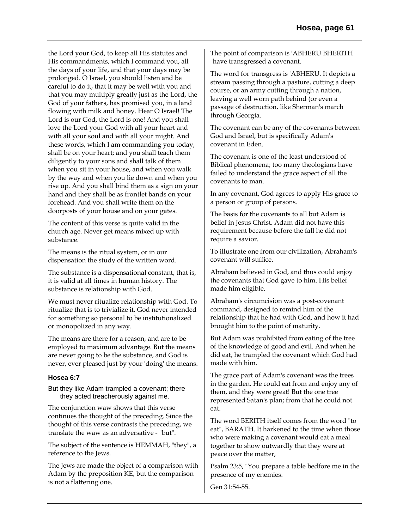the Lord your God, to keep all His statutes and His commandments, which I command you, all the days of your life, and that your days may be prolonged. O Israel, you should listen and be careful to do it, that it may be well with you and that you may multiply greatly just as the Lord, the God of your fathers, has promised you, in a land flowing with milk and honey. Hear O Israel! The Lord is our God, the Lord is one! And you shall love the Lord your God with all your heart and with all your soul and with all your might. And these words, which I am commanding you today, shall be on your heart; and you shall teach them diligently to your sons and shall talk of them when you sit in your house, and when you walk by the way and when you lie down and when you rise up. And you shall bind them as a sign on your hand and they shall be as frontlet bands on your forehead. And you shall write them on the doorposts of your house and on your gates.

The content of this verse is quite valid in the church age. Never get means mixed up with substance.

The means is the ritual system, or in our dispensation the study of the written word.

The substance is a dispensational constant, that is, it is valid at all times in human history. The substance is relationship with God.

We must never ritualize relationship with God. To ritualize that is to trivialize it. God never intended for something so personal to be institutionalized or monopolized in any way.

The means are there for a reason, and are to be employed to maximum advantage. But the means are never going to be the substance, and God is never, ever pleased just by your 'doing' the means.

#### **Hosea 6:7**

But they like Adam trampled a covenant; there they acted treacherously against me.

The conjunction waw shows that this verse continues the thought of the preceding. Since the thought of this verse contrasts the preceding, we translate the waw as an adversative - "but".

The subject of the sentence is HEMMAH, "they", a reference to the Jews.

The Jews are made the object of a comparison with Adam by the preposition KE, but the comparison is not a flattering one.

The point of comparison is 'ABHERU BHERITH "have transgressed a covenant.

The word for transgress is 'ABHERU. It depicts a stream passing through a pasture, cutting a deep course, or an army cutting through a nation, leaving a well worn path behind (or even a passage of destruction, like Sherman's march through Georgia.

The covenant can be any of the covenants between God and Israel, but is specifically Adam's covenant in Eden.

The covenant is one of the least understood of Biblical phenomena; too many theologians have failed to understand the grace aspect of all the covenants to man.

In any covenant, God agrees to apply His grace to a person or group of persons.

The basis for the covenants to all but Adam is belief in Jesus Christ. Adam did not have this requirement because before the fall he did not require a savior.

To illustrate one from our civilization, Abraham's covenant will suffice.

Abraham believed in God, and thus could enjoy the covenants that God gave to him. His belief made him eligible.

Abraham's circumcision was a post-covenant command, designed to remind him of the relationship that he had with God, and how it had brought him to the point of maturity.

But Adam was prohibited from eating of the tree of the knowledge of good and evil. And when he did eat, he trampled the covenant which God had made with him.

The grace part of Adam's covenant was the trees in the garden. He could eat from and enjoy any of them, and they were great! But the one tree represented Satan's plan; from that he could not eat.

The word BERITH itself comes from the word "to eat", BARATH. It harkened to the time when those who were making a covenant would eat a meal together to show outwardly that they were at peace over the matter,

Psalm 23:5, "You prepare a table bedfore me in the presence of my enemies.

Gen 31:54-55.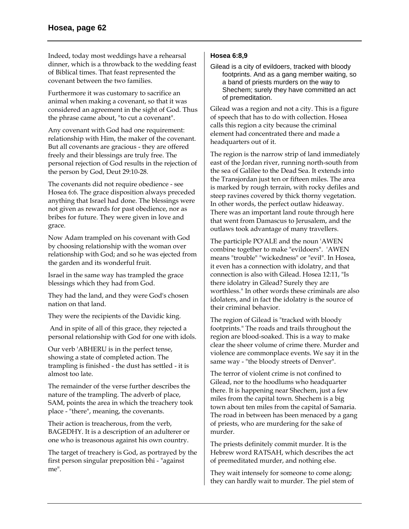Indeed, today most weddings have a rehearsal dinner, which is a throwback to the wedding feast of Biblical times. That feast represented the covenant between the two families.

Furthermore it was customary to sacrifice an animal when making a covenant, so that it was considered an agreement in the sight of God. Thus the phrase came about, "to cut a covenant".

Any covenant with God had one requirement: relationship with Him, the maker of the covenant. But all covenants are gracious - they are offered freely and their blessings are truly free. The personal rejection of God results in the rejection of the person by God, Deut 29:10-28.

The covenants did not require obedience - see Hosea 6:6. The grace disposition always preceded anything that Israel had done. The blessings were not given as rewards for past obedience, nor as bribes for future. They were given in love and grace.

Now Adam trampled on his covenant with God by choosing relationship with the woman over relationship with God; and so he was ejected from the garden and its wonderful fruit.

Israel in the same way has trampled the grace blessings which they had from God.

They had the land, and they were God's chosen nation on that land.

They were the recipients of the Davidic king.

 And in spite of all of this grace, they rejected a personal relationship with God for one with idols.

Our verb 'ABHERU is in the perfect tense, showing a state of completed action. The trampling is finished - the dust has settled - it is almost too late.

The remainder of the verse further describes the nature of the trampling. The adverb of place, SAM, points the area in which the treachery took place - "there", meaning, the covenants.

Their action is treacherous, from the verb, BAGEDHY. It is a description of an adulterer or one who is treasonous against his own country.

The target of treachery is God, as portrayed by the first person singular preposition bhi - "against me".

#### **Hosea 6:8,9**

Gilead is a city of evildoers, tracked with bloody footprints. And as a gang member waiting, so a band of priests murders on the way to Shechem; surely they have committed an act of premeditation.

Gilead was a region and not a city. This is a figure of speech that has to do with collection. Hosea calls this region a city because the criminal element had concentrated there and made a headquarters out of it.

The region is the narrow strip of land immediately east of the Jordan river, running north-south from the sea of Galilee to the Dead Sea. It extends into the Transjordan just ten or fifteen miles. The area is marked by rough terrain, with rocky defiles and steep ravines covered by thick thorny vegetation. In other words, the perfect outlaw hideaway. There was an important land route through here that went from Damascus to Jerusalem, and the outlaws took advantage of many travellers.

The participle PO'ALE and the noun 'AWEN combine together to make "evildoers". 'AWEN means "trouble" "wickedness" or "evil". In Hosea, it even has a connection with idolatry, and that connection is also with Gilead. Hosea 12:11, "Is there idolatry in Gilead? Surely they are worthless." In other words these criminals are also idolaters, and in fact the idolatry is the source of their criminal behavior.

The region of Gilead is "tracked with bloody footprints." The roads and trails throughout the region are blood-soaked. This is a way to make clear the sheer volume of crime there. Murder and violence are commonplace events. We say it in the same way - "the bloody streets of Denver".

The terror of violent crime is not confined to Gilead, nor to the hoodlums who headquarter there. It is happening near Shechem, just a few miles from the capital town. Shechem is a big town about ten miles from the capital of Samaria. The road in between has been menaced by a gang of priests, who are murdering for the sake of murder.

The priests definitely commit murder. It is the Hebrew word RATSAH, which describes the act of premeditated murder, and nothing else.

They wait intensely for someone to come along; they can hardly wait to murder. The piel stem of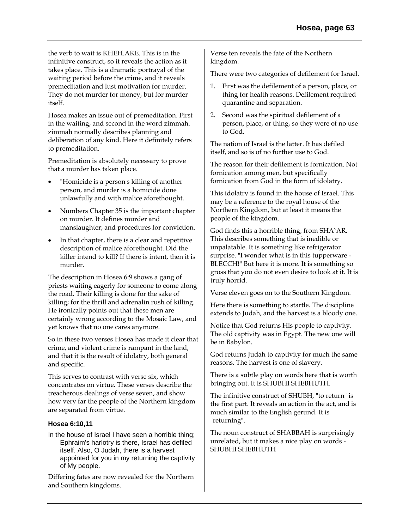the verb to wait is KHEH.AKE. This is in the infinitive construct, so it reveals the action as it takes place. This is a dramatic portrayal of the waiting period before the crime, and it reveals premeditation and lust motivation for murder. They do not murder for money, but for murder itself.

Hosea makes an issue out of premeditation. First in the waiting, and second in the word zimmah. zimmah normally describes planning and deliberation of any kind. Here it definitely refers to premeditation.

Premeditation is absolutely necessary to prove that a murder has taken place.

- "Homicide is a person's killing of another person, and murder is a homicide done unlawfully and with malice aforethought.
- Numbers Chapter 35 is the important chapter on murder. It defines murder and manslaughter; and procedures for conviction.
- In that chapter, there is a clear and repetitive description of malice aforethought. Did the killer intend to kill? If there is intent, then it is murder.

The description in Hosea 6:9 shows a gang of priests waiting eagerly for someone to come along the road. Their killing is done for the sake of killing; for the thrill and adrenalin rush of killing. He ironically points out that these men are certainly wrong according to the Mosaic Law, and yet knows that no one cares anymore.

So in these two verses Hosea has made it clear that crime, and violent crime is rampant in the land, and that it is the result of idolatry, both general and specific.

This serves to contrast with verse six, which concentrates on virtue. These verses describe the treacherous dealings of verse seven, and show how very far the people of the Northern kingdom are separated from virtue.

## **Hosea 6:10,11**

In the house of Israel I have seen a horrible thing; Ephraim's harlotry is there, Israel has defiled itself. Also, O Judah, there is a harvest appointed for you in my returning the captivity of My people.

Differing fates are now revealed for the Northern and Southern kingdoms.

Verse ten reveals the fate of the Northern kingdom.

There were two categories of defilement for Israel.

- 1. First was the defilement of a person, place, or thing for health reasons. Defilement required quarantine and separation.
- 2. Second was the spiritual defilement of a person, place, or thing, so they were of no use to God.

The nation of Israel is the latter. It has defiled itself, and so is of no further use to God.

The reason for their defilement is fornication. Not fornication among men, but specifically fornication from God in the form of idolatry.

This idolatry is found in the house of Israel. This may be a reference to the royal house of the Northern Kingdom, but at least it means the people of the kingdom.

God finds this a horrible thing, from SHA`AR. This describes something that is inedible or unpalatable. It is something like refrigerator surprise. "I wonder what is in this tupperware - BLECCH!" But here it is more. It is something so gross that you do not even desire to look at it. It is truly horrid.

Verse eleven goes on to the Southern Kingdom.

Here there is something to startle. The discipline extends to Judah, and the harvest is a bloody one.

Notice that God returns His people to captivity. The old captivity was in Egypt. The new one will be in Babylon.

God returns Judah to captivity for much the same reasons. The harvest is one of slavery.

There is a subtle play on words here that is worth bringing out. It is SHUBHI SHEBHUTH.

The infinitive construct of SHUBH, "to return" is the first part. It reveals an action in the act, and is much similar to the English gerund. It is "returning".

The noun construct of SHABBAH is surprisingly unrelated, but it makes a nice play on words - SHUBHI SHEBHUTH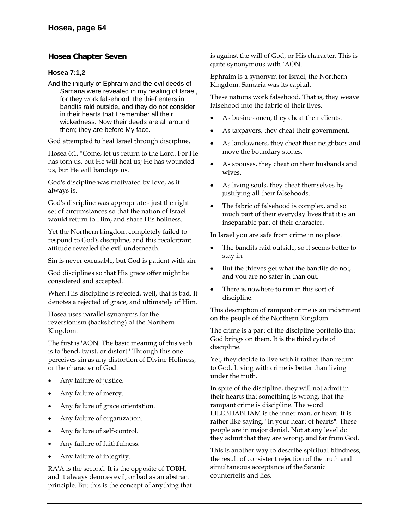# **Hosea Chapter Seven**

## **Hosea 7:1,2**

And the iniquity of Ephraim and the evil deeds of Samaria were revealed in my healing of Israel, for they work falsehood; the thief enters in, bandits raid outside, and they do not consider in their hearts that I remember all their wickedness. Now their deeds are all around them; they are before My face.

God attempted to heal Israel through discipline.

Hosea 6:1, "Come, let us return to the Lord. For He has torn us, but He will heal us; He has wounded us, but He will bandage us.

God's discipline was motivated by love, as it always is.

God's discipline was appropriate - just the right set of circumstances so that the nation of Israel would return to Him, and share His holiness.

Yet the Northern kingdom completely failed to respond to God's discipline, and this recalcitrant attitude revealed the evil underneath.

Sin is never excusable, but God is patient with sin.

God disciplines so that His grace offer might be considered and accepted.

When His discipline is rejected, well, that is bad. It denotes a rejected of grace, and ultimately of Him.

Hosea uses parallel synonyms for the reversionism (backsliding) of the Northern Kingdom.

The first is 'AON. The basic meaning of this verb is to 'bend, twist, or distort.' Through this one perceives sin as any distortion of Divine Holiness, or the character of God.

- Any failure of justice.
- Any failure of mercy.
- Any failure of grace orientation.
- Any failure of organization.
- Any failure of self-control.
- Any failure of faithfulness.
- Any failure of integrity.

RA'A is the second. It is the opposite of TOBH, and it always denotes evil, or bad as an abstract principle. But this is the concept of anything that is against the will of God, or His character. This is quite synonymous with `AON.

Ephraim is a synonym for Israel, the Northern Kingdom. Samaria was its capital.

These nations work falsehood. That is, they weave falsehood into the fabric of their lives.

- As businessmen, they cheat their clients.
- As taxpayers, they cheat their government.
- As landowners, they cheat their neighbors and move the boundary stones.
- As spouses, they cheat on their husbands and wives.
- As living souls, they cheat themselves by justifying all their falsehoods.
- The fabric of falsehood is complex, and so much part of their everyday lives that it is an inseparable part of their character.

In Israel you are safe from crime in no place.

- The bandits raid outside, so it seems better to stay in.
- But the thieves get what the bandits do not, and you are no safer in than out.
- There is nowhere to run in this sort of discipline.

This description of rampant crime is an indictment on the people of the Northern Kingdom.

The crime is a part of the discipline portfolio that God brings on them. It is the third cycle of discipline.

Yet, they decide to live with it rather than return to God. Living with crime is better than living under the truth.

In spite of the discipline, they will not admit in their hearts that something is wrong, that the rampant crime is discipline. The word LILEBHABHAM is the inner man, or heart. It is rather like saying, "in your heart of hearts". These people are in major denial. Not at any level do they admit that they are wrong, and far from God.

This is another way to describe spiritual blindness, the result of consistent rejection of the truth and simultaneous acceptance of the Satanic counterfeits and lies.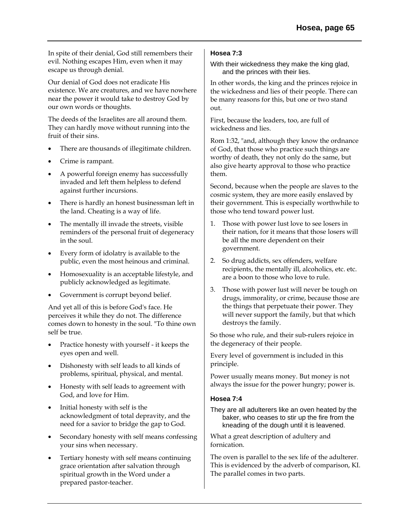In spite of their denial, God still remembers their evil. Nothing escapes Him, even when it may escape us through denial.

Our denial of God does not eradicate His existence. We are creatures, and we have nowhere near the power it would take to destroy God by our own words or thoughts.

The deeds of the Israelites are all around them. They can hardly move without running into the fruit of their sins.

- There are thousands of illegitimate children.
- Crime is rampant.
- A powerful foreign enemy has successfully invaded and left them helpless to defend against further incursions.
- There is hardly an honest businessman left in the land. Cheating is a way of life.
- The mentally ill invade the streets, visible reminders of the personal fruit of degeneracy in the soul.
- Every form of idolatry is available to the public, even the most heinous and criminal.
- Homosexuality is an acceptable lifestyle, and publicly acknowledged as legitimate.
- Government is corrupt beyond belief.

And yet all of this is before God's face. He perceives it while they do not. The difference comes down to honesty in the soul. "To thine own self be true.

- Practice honesty with yourself it keeps the eyes open and well.
- Dishonesty with self leads to all kinds of problems, spiritual, physical, and mental.
- Honesty with self leads to agreement with God, and love for Him.
- Initial honesty with self is the acknowledgment of total depravity, and the need for a savior to bridge the gap to God.
- Secondary honesty with self means confessing your sins when necessary.
- Tertiary honesty with self means continuing grace orientation after salvation through spiritual growth in the Word under a prepared pastor-teacher.

# **Hosea 7:3**

With their wickedness they make the king glad, and the princes with their lies.

In other words, the king and the princes rejoice in the wickedness and lies of their people. There can be many reasons for this, but one or two stand out.

First, because the leaders, too, are full of wickedness and lies.

Rom 1:32, "and, although they know the ordnance of God, that those who practice such things are worthy of death, they not only do the same, but also give hearty approval to those who practice them.

Second, because when the people are slaves to the cosmic system, they are more easily enslaved by their government. This is especially worthwhile to those who tend toward power lust.

- 1. Those with power lust love to see losers in their nation, for it means that those losers will be all the more dependent on their government.
- 2. So drug addicts, sex offenders, welfare recipients, the mentally ill, alcoholics, etc. etc. are a boon to those who love to rule.
- 3. Those with power lust will never be tough on drugs, immorality, or crime, because those are the things that perpetuate their power. They will never support the family, but that which destroys the family.

So those who rule, and their sub-rulers rejoice in the degeneracy of their people.

Every level of government is included in this principle.

Power usually means money. But money is not always the issue for the power hungry; power is.

## **Hosea 7:4**

They are all adulterers like an oven heated by the baker, who ceases to stir up the fire from the kneading of the dough until it is leavened.

What a great description of adultery and fornication.

The oven is parallel to the sex life of the adulterer. This is evidenced by the adverb of comparison, KI. The parallel comes in two parts.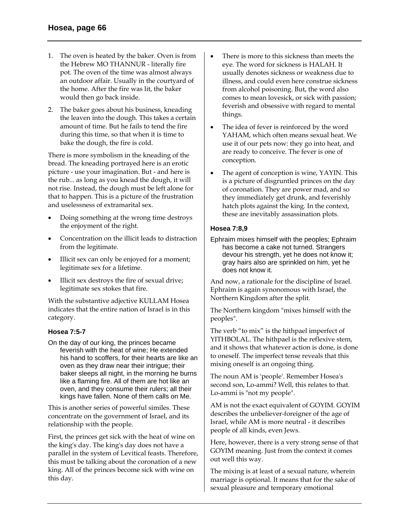- 1. The oven is heated by the baker. Oven is from the Hebrew MO THANNUR - literally fire pot. The oven of the time was almost always an outdoor affair. Usually in the courtyard of the home. After the fire was lit, the baker would then go back inside.
- 2. The baker goes about his business, kneading the leaven into the dough. This takes a certain amount of time. But he fails to tend the fire during this time, so that when it is time to bake the dough, the fire is cold.

There is more symbolism in the kneading of the bread. The kneading portrayed here is an erotic picture - use your imagination. But - and here is the rub... as long as you knead the dough, it will not rise. Instead, the dough must be left alone for that to happen. This is a picture of the frustration and uselessness of extramarital sex.

- Doing something at the wrong time destroys the enjoyment of the right.
- Concentration on the illicit leads to distraction from the legitimate.
- Illicit sex can only be enjoyed for a moment; legitimate sex for a lifetime.
- Illicit sex destroys the fire of sexual drive; legitimate sex stokes that fire.

With the substantive adjective KULLAM Hosea indicates that the entire nation of Israel is in this category.

## **Hosea 7:5-7**

On the day of our king, the princes became feverish with the heat of wine; He extended his hand to scoffers, for their hearts are like an oven as they draw near their intrigue; their baker sleeps all night, in the morning he burns like a flaming fire. All of them are hot like an oven, and they consume their rulers; all their kings have fallen. None of them calls on Me.

This is another series of powerful similes. These concentrate on the government of Israel, and its relationship with the people.

First, the princes get sick with the heat of wine on the king's day. The king's day does not have a parallel in the system of Levitical feasts. Therefore, this must be talking about the coronation of a new king. All of the princes become sick with wine on this day.

- There is more to this sickness than meets the eye. The word for sickness is HALAH. It usually denotes sickness or weakness due to illness, and could even here construe sickness from alcohol poisoning. But, the word also comes to mean lovesick, or sick with passion; feverish and obsessive with regard to mental things.
- The idea of fever is reinforced by the word YAHAM, which often means sexual heat. We use it of our pets now: they go into heat, and are ready to conceive. The fever is one of conception.
- The agent of conception is wine, YAYIN. This is a picture of disgruntled princes on the day of coronation. They are power mad, and so they immediately get drunk, and feverishly hatch plots against the king. In the context, these are inevitably assassination plots.

#### **Hosea 7:8,9**

Ephraim mixes himself with the peoples; Ephraim has become a cake not turned. Strangers devour his strength, yet he does not know it; gray hairs also are sprinkled on him, yet he does not know it.

And now, a rationale for the discipline of Israel. Ephraim is again synonomous with Israel, the Northern Kingdom after the split.

The Northern kingdom "mixes himself with the peoples".

The verb "to mix" is the hithpael imperfect of YITHBOLAL. The hithpael is the reflexive stem, and it shows that whatever action is done, is done to oneself. The imperfect tense reveals that this mixing oneself is an ongoing thing.

The noun AM is 'people'. Remember Hosea's second son, Lo-ammi? Well, this relates to that. Lo-ammi is "not my people".

AM is not the exact equivalent of GOYIM. GOYIM describes the unbeliever-foreigner of the age of Israel, while AM is more neutral - it describes people of all kinds, even Jews.

Here, however, there is a very strong sense of that GOYIM meaning. Just from the context it comes out well this way.

The mixing is at least of a sexual nature, wherein marriage is optional. It means that for the sake of sexual pleasure and temporary emotional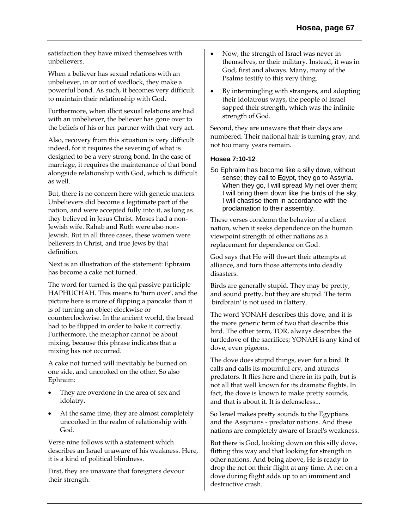satisfaction they have mixed themselves with unbelievers.

When a believer has sexual relations with an unbeliever, in or out of wedlock, they make a powerful bond. As such, it becomes very difficult to maintain their relationship with God.

Furthermore, when illicit sexual relations are had with an unbeliever, the believer has gone over to the beliefs of his or her partner with that very act.

Also, recovery from this situation is very difficult indeed, for it requires the severing of what is designed to be a very strong bond. In the case of marriage, it requires the maintenance of that bond alongside relationship with God, which is difficult as well.

But, there is no concern here with genetic matters. Unbelievers did become a legitimate part of the nation, and were accepted fully into it, as long as they believed in Jesus Christ. Moses had a non-Jewish wife. Rahab and Ruth were also non-Jewish. But in all three cases, these women were believers in Christ, and true Jews by that definition.

Next is an illustration of the statement: Ephraim has become a cake not turned.

The word for turned is the qal passive participle HAPHUCHAH. This means to 'turn over', and the picture here is more of flipping a pancake than it is of turning an object clockwise or counterclockwise. In the ancient world, the bread had to be flipped in order to bake it correctly. Furthermore, the metaphor cannot be about mixing, because this phrase indicates that a mixing has not occurred.

A cake not turned will inevitably be burned on one side, and uncooked on the other. So also Ephraim:

- They are overdone in the area of sex and idolatry.
- At the same time, they are almost completely uncooked in the realm of relationship with God.

Verse nine follows with a statement which describes an Israel unaware of his weakness. Here, it is a kind of political blindness.

First, they are unaware that foreigners devour their strength.

- Now, the strength of Israel was never in themselves, or their military. Instead, it was in God, first and always. Many, many of the Psalms testify to this very thing.
- By intermingling with strangers, and adopting their idolatrous ways, the people of Israel sapped their strength, which was the infinite strength of God.

Second, they are unaware that their days are numbered. Their national hair is turning gray, and not too many years remain.

## **Hosea 7:10-12**

So Ephraim has become like a silly dove, without sense; they call to Egypt, they go to Assyria. When they go, I will spread My net over them; I will bring them down like the birds of the sky. I will chastise them in accordance with the proclamation to their assembly.

These verses condemn the behavior of a client nation, when it seeks dependence on the human viewpoint strength of other nations as a replacement for dependence on God.

God says that He will thwart their attempts at alliance, and turn those attempts into deadly disasters.

Birds are generally stupid. They may be pretty, and sound pretty, but they are stupid. The term 'birdbrain' is not used in flattery.

The word YONAH describes this dove, and it is the more generic term of two that describe this bird. The other term, TOR, always describes the turtledove of the sacrifices; YONAH is any kind of dove, even pigeons.

The dove does stupid things, even for a bird. It calls and calls its mournful cry, and attracts predators. It flies here and there in its path, but is not all that well known for its dramatic flights. In fact, the dove is known to make pretty sounds, and that is about it. It is defenseless...

So Israel makes pretty sounds to the Egyptians and the Assyrians - predator nations. And these nations are completely aware of Israel's weakness.

But there is God, looking down on this silly dove, flitting this way and that looking for strength in other nations. And being above, He is ready to drop the net on their flight at any time. A net on a dove during flight adds up to an imminent and destructive crash.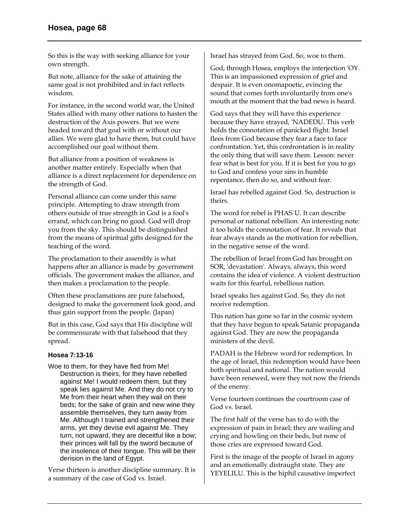So this is the way with seeking alliance for your own strength.

But note, alliance for the sake of attaining the same goal is not prohibited and in fact reflects wisdom.

For instance, in the second world war, the United States allied with many other nations to hasten the destruction of the Axis powers. But we were headed toward that goal with or without our allies. We were glad to have them, but could have accomplished our goal without them.

But alliance from a position of weakness is another matter entirely. Especially when that alliance is a direct replacement for dependence on the strength of God.

Personal alliance can come under this same principle. Attempting to draw strength from others outside of true strength in God is a fool's errand, which can bring no good. God will drop you from the sky. This should be distinguished from the means of spiritual gifts designed for the teaching of the word.

The proclamation to their assembly is what happens after an alliance is made by government officials. The government makes the alliance, and then makes a proclamation to the people.

Often these proclamations are pure falsehood, designed to make the government look good, and thus gain support from the people. (Japan)

But in this case, God says that His discipline will be commensurate with that falsehood that they spread.

#### **Hosea 7:13-16**

Woe to them, for they have fled from Me! Destruction is theirs, for they have rebelled against Me! I would redeem them, but they speak lies against Me. And they do not cry to Me from their heart when they wail on their beds; for the sake of grain and new wine they assemble themselves, they turn away from Me. Although I trained and strengthened their arms, yet they devise evil against Me. They turn, not upward, they are deceitful like a bow; their princes will fall by the sword because of the insolence of their tongue. This will be their derision in the land of Egypt.

Verse thirteen is another discipline summary. It is a summary of the case of God vs. Israel.

Israel has strayed from God. So, woe to them.

God, through Hosea, employs the interjection 'OY. This is an impassioned expression of grief and despair. It is even onomapoetic, evincing the sound that comes forth involuntarily from one's mouth at the moment that the bad news is heard.

God says that they will have this experience because they have strayed, 'NADEDU. This verb holds the connotation of panicked flight. Israel flees from God because they fear a face to face confrontation. Yet, this confrontation is in reality the only thing that will save them. Lesson: never fear what is best for you. If it is best for you to go to God and confess your sins in humble repentance, then do so, and without fear.

Israel has rebelled against God. So, destruction is theirs.

The word for rebel is PHAS`U. It can describe personal or national rebellion. An interesting note: it too holds the connotation of fear. It reveals that fear always stands as the motivation for rebellion, in the negative sense of the word.

The rebellion of Israel from God has brought on SOR, 'devastation'. Always, always, this word contains the idea of violence. A violent destruction waits for this fearful, rebellious nation.

Israel speaks lies against God. So, they do not receive redemption.

This nation has gone so far in the cosmic system that they have begun to speak Satanic propaganda against God. They are now the propaganda ministers of the devil.

PADAH is the Hebrew word for redemption. In the age of Israel, this redemption would have been both spiritual and national. The nation would have been renewed, were they not now the friends of the enemy.

Verse fourteen continues the courtroom case of God vs. Israel.

The first half of the verse has to do with the expression of pain in Israel; they are wailing and crying and howling on their beds, but none of those cries are expressed toward God.

First is the image of the people of Israel in agony and an emotionally distraught state. They are YEYELILU. This is the hiphil causative imperfect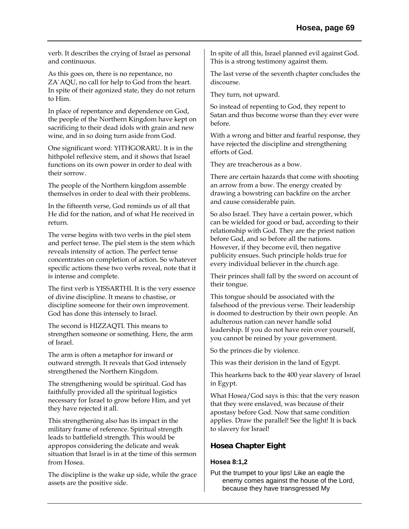verb. It describes the crying of Israel as personal and continuous.

As this goes on, there is no repentance, no ZA`AQU, no call for help to God from the heart. In spite of their agonized state, they do not return to Him.

In place of repentance and dependence on God, the people of the Northern Kingdom have kept on sacrificing to their dead idols with grain and new wine, and in so doing turn aside from God.

One significant word: YITHGORARU. It is in the hithpolel reflexive stem, and it shows that Israel functions on its own power in order to deal with their sorrow.

The people of the Northern kingdom assemble themselves in order to deal with their problems.

In the fifteenth verse, God reminds us of all that He did for the nation, and of what He received in return.

The verse begins with two verbs in the piel stem and perfect tense. The piel stem is the stem which reveals intensity of action. The perfect tense concentrates on completion of action. So whatever specific actions these two verbs reveal, note that it is intense and complete.

The first verb is YISSARTHI. It is the very essence of divine discipline. It means to chastise, or discipline someone for their own improvement. God has done this intensely to Israel.

The second is HIZZAQTI. This means to strengthen someone or something. Here, the arm of Israel.

The arm is often a metaphor for inward or outward strength. It reveals that God intensely strengthened the Northern Kingdom.

The strengthening would be spiritual. God has faithfully provided all the spiritual logistics necessary for Israel to grow before Him, and yet they have rejected it all.

This strengthening also has its impact in the military frame of reference. Spiritual strength leads to battlefield strength. This would be appropos considering the delicate and weak situation that Israel is in at the time of this sermon from Hosea.

The discipline is the wake up side, while the grace assets are the positive side.

In spite of all this, Israel planned evil against God. This is a strong testimony against them.

The last verse of the seventh chapter concludes the discourse.

They turn, not upward.

So instead of repenting to God, they repent to Satan and thus become worse than they ever were before.

With a wrong and bitter and fearful response, they have rejected the discipline and strengthening efforts of God.

They are treacherous as a bow.

There are certain hazards that come with shooting an arrow from a bow. The energy created by drawing a bowstring can backfire on the archer and cause considerable pain.

So also Israel. They have a certain power, which can be wielded for good or bad, according to their relationship with God. They are the priest nation before God, and so before all the nations. However, if they become evil, then negative publicity ensues. Such principle holds true for every individual believer in the church age.

Their princes shall fall by the sword on account of their tongue.

This tongue should be associated with the falsehood of the previous verse. Their leadership is doomed to destruction by their own people. An adulterous nation can never handle solid leadership. If you do not have rein over yourself, you cannot be reined by your government.

So the princes die by violence.

This was their derision in the land of Egypt.

This hearkens back to the 400 year slavery of Israel in Egypt.

What Hosea/God says is this: that the very reason that they were enslaved, was because of their apostasy before God. Now that same condition applies. Draw the parallel! See the light! It is back to slavery for Israel!

# **Hosea Chapter Eight**

# **Hosea 8:1,2**

Put the trumpet to your lips! Like an eagle the enemy comes against the house of the Lord, because they have transgressed My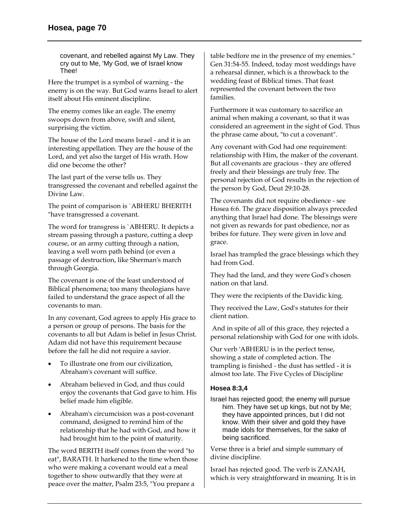covenant, and rebelled against My Law. They cry out to Me, 'My God, we of Israel know Thee!

Here the trumpet is a symbol of warning - the enemy is on the way. But God warns Israel to alert itself about His eminent discipline.

The enemy comes like an eagle. The enemy swoops down from above, swift and silent, surprising the victim.

The house of the Lord means Israel - and it is an interesting appellation. They are the house of the Lord, and yet also the target of His wrath. How did one become the other?

The last part of the verse tells us. They transgressed the covenant and rebelled against the Divine Law.

The point of comparison is `ABHERU BHERITH "have transgressed a covenant.

The word for transgress is `ABHERU. It depicts a stream passing through a pasture, cutting a deep course, or an army cutting through a nation, leaving a well worn path behind (or even a passage of destruction, like Sherman's march through Georgia.

The covenant is one of the least understood of Biblical phenomena; too many theologians have failed to understand the grace aspect of all the covenants to man.

In any covenant, God agrees to apply His grace to a person or group of persons. The basis for the covenants to all but Adam is belief in Jesus Christ. Adam did not have this requirement because before the fall he did not require a savior.

- To illustrate one from our civilization, Abraham's covenant will suffice.
- Abraham believed in God, and thus could enjoy the covenants that God gave to him. His belief made him eligible.
- Abraham's circumcision was a post-covenant command, designed to remind him of the relationship that he had with God, and how it had brought him to the point of maturity.

The word BERITH itself comes from the word "to eat", BARATH. It harkened to the time when those who were making a covenant would eat a meal together to show outwardly that they were at peace over the matter, Psalm 23:5, "You prepare a

table bedfore me in the presence of my enemies." Gen 31:54-55. Indeed, today most weddings have a rehearsal dinner, which is a throwback to the wedding feast of Biblical times. That feast represented the covenant between the two families.

Furthermore it was customary to sacrifice an animal when making a covenant, so that it was considered an agreement in the sight of God. Thus the phrase came about, "to cut a covenant".

Any covenant with God had one requirement: relationship with Him, the maker of the covenant. But all covenants are gracious - they are offered freely and their blessings are truly free. The personal rejection of God results in the rejection of the person by God, Deut 29:10-28.

The covenants did not require obedience - see Hosea 6:6. The grace disposition always preceded anything that Israel had done. The blessings were not given as rewards for past obedience, nor as bribes for future. They were given in love and grace.

Israel has trampled the grace blessings which they had from God.

They had the land, and they were God's chosen nation on that land.

They were the recipients of the Davidic king.

They received the Law, God's statutes for their client nation.

 And in spite of all of this grace, they rejected a personal relationship with God for one with idols.

Our verb 'ABHERU is in the perfect tense, showing a state of completed action. The trampling is finished - the dust has settled - it is almost too late. The Five Cycles of Discipline

## **Hosea 8:3,4**

Israel has rejected good; the enemy will pursue him. They have set up kings, but not by Me; they have appointed princes, but I did not know. With their silver and gold they have made idols for themselves, for the sake of being sacrificed.

Verse three is a brief and simple summary of divine discipline.

Israel has rejected good. The verb is ZANAH, which is very straightforward in meaning. It is in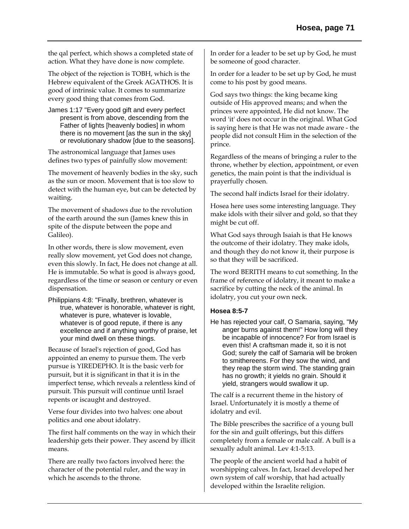the qal perfect, which shows a completed state of action. What they have done is now complete.

The object of the rejection is TOBH, which is the Hebrew equivalent of the Greek AGATHOS. It is good of intrinsic value. It comes to summarize every good thing that comes from God.

James 1:17 "Every good gift and every perfect present is from above, descending from the Father of lights [heavenly bodies] in whom there is no movement [as the sun in the sky] or revolutionary shadow [due to the seasons].

The astronomical language that James uses defines two types of painfully slow movement:

The movement of heavenly bodies in the sky, such as the sun or moon. Movement that is too slow to detect with the human eye, but can be detected by waiting.

The movement of shadows due to the revolution of the earth around the sun (James knew this in spite of the dispute between the pope and Galileo).

In other words, there is slow movement, even really slow movement, yet God does not change, even this slowly. In fact, He does not change at all. He is immutable. So what is good is always good, regardless of the time or season or century or even dispensation.

Philippians 4:8: "Finally, brethren, whatever is true, whatever is honorable, whatever is right, whatever is pure, whatever is lovable, whatever is of good repute, if there is any excellence and if anything worthy of praise, let your mind dwell on these things.

Because of Israel's rejection of good, God has appointed an enemy to pursue them. The verb pursue is YIREDEPHO. It is the basic verb for pursuit, but it is significant in that it is in the imperfect tense, which reveals a relentless kind of pursuit. This pursuit will continue until Israel repents or iscaught and destroyed.

Verse four divides into two halves: one about politics and one about idolatry.

The first half comments on the way in which their leadership gets their power. They ascend by illicit means.

There are really two factors involved here: the character of the potential ruler, and the way in which he ascends to the throne.

In order for a leader to be set up by God, he must be someone of good character.

In order for a leader to be set up by God, he must come to his post by good means.

God says two things: the king became king outside of His approved means; and when the princes were appointed, He did not know. The word 'it' does not occur in the original. What God is saying here is that He was not made aware - the people did not consult Him in the selection of the prince.

Regardless of the means of bringing a ruler to the throne, whether by election, appointment, or even genetics, the main point is that the individual is prayerfully chosen.

The second half indicts Israel for their idolatry.

Hosea here uses some interesting language. They make idols with their silver and gold, so that they might be cut off.

What God says through Isaiah is that He knows the outcome of their idolatry. They make idols, and though they do not know it, their purpose is so that they will be sacrificed.

The word BERITH means to cut something. In the frame of reference of idolatry, it meant to make a sacrifice by cutting the neck of the animal. In idolatry, you cut your own neck.

#### **Hosea 8:5-7**

He has rejected your calf, O Samaria, saying, "My anger burns against them!" How long will they be incapable of innocence? For from Israel is even this! A craftsman made it, so it is not God; surely the calf of Samaria will be broken to smithereens. For they sow the wind, and they reap the storm wind. The standing grain has no growth; it yields no grain. Should it yield, strangers would swallow it up.

The calf is a recurrent theme in the history of Israel. Unfortunately it is mostly a theme of idolatry and evil.

The Bible prescribes the sacrifice of a young bull for the sin and guilt offerings, but this differs completely from a female or male calf. A bull is a sexually adult animal. Lev 4:1-5:13.

The people of the ancient world had a habit of worshipping calves. In fact, Israel developed her own system of calf worship, that had actually developed within the Israelite religion.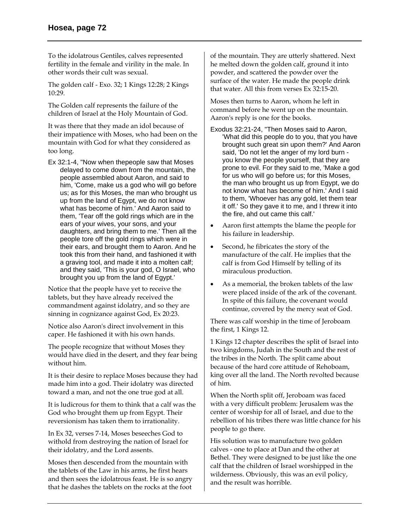To the idolatrous Gentiles, calves represented fertility in the female and virility in the male. In other words their cult was sexual.

The golden calf - Exo. 32; 1 Kings 12:28; 2 Kings 10:29.

The Golden calf represents the failure of the children of Israel at the Holy Mountain of God.

It was there that they made an idol because of their impatience with Moses, who had been on the mountain with God for what they considered as too long.

Ex 32:1-4, "Now when thepeople saw that Moses delayed to come down from the mountain, the people assembled about Aaron, and said to him, 'Come, make us a god who will go before us; as for this Moses, the man who brought us up from the land of Egypt, we do not know what has become of him.' And Aaron said to them, 'Tear off the gold rings which are in the ears of your wives, your sons, and your daughters, and bring them to me.' Then all the people tore off the gold rings which were in their ears, and brought them to Aaron. And he took this from their hand, and fashioned it with a graving tool, and made it into a molten calf; and they said, 'This is your god, O Israel, who brought you up from the land of Egypt.'

Notice that the people have yet to receive the tablets, but they have already received the commandment against idolatry, and so they are sinning in cognizance against God, Ex 20:23.

Notice also Aaron's direct involvement in this caper. He fashioned it with his own hands.

The people recognize that without Moses they would have died in the desert, and they fear being without him.

It is their desire to replace Moses because they had made him into a god. Their idolatry was directed toward a man, and not the one true god at all.

It is ludicrous for them to think that a calf was the God who brought them up from Egypt. Their reversionism has taken them to irrationality.

In Ex 32, verses 7-14, Moses beseeches God to withold from destroying the nation of Israel for their idolatry, and the Lord assents.

Moses then descended from the mountain with the tablets of the Law in his arms, he first hears and then sees the idolatrous feast. He is so angry that he dashes the tablets on the rocks at the foot of the mountain. They are utterly shattered. Next he melted down the golden calf, ground it into powder, and scattered the powder over the surface of the water. He made the people drink that water. All this from verses Ex 32:15-20.

Moses then turns to Aaron, whom he left in command before he went up on the mountain. Aaron's reply is one for the books.

- Exodus 32:21-24, "Then Moses said to Aaron, 'What did this people do to you, that you have brought such great sin upon them?' And Aaron said, 'Do not let the anger of my lord burn you know the people yourself, that they are prone to evil. For they said to me, 'Make a god for us who will go before us; for this Moses, the man who brought us up from Egypt, we do not know what has become of him.' And I said to them, 'Whoever has any gold, let them tear it off.' So they gave it to me, and I threw it into the fire, ahd out came this calf.'
- Aaron first attempts the blame the people for his failure in leadership.
- Second, he fibricates the story of the manufacture of the calf. He implies that the calf is from God Himself by telling of its miraculous production.
- As a memorial, the broken tablets of the law were placed inside of the ark of the covenant. In spite of this failure, the covenant would continue, covered by the mercy seat of God.

There was calf worship in the time of Jeroboam the first, 1 Kings 12.

1 Kings 12 chapter describes the split of Israel into two kingdoms, Judah in the South and the rest of the tribes in the North. The split came about because of the hard core attitude of Rehoboam, king over all the land. The North revolted because of him.

When the North split off, Jeroboam was faced with a very difficult problem: Jerusalem was the center of worship for all of Israel, and due to the rebellion of his tribes there was little chance for his people to go there.

His solution was to manufacture two golden calves - one to place at Dan and the other at Bethel. They were designed to be just like the one calf that the children of Israel worshipped in the wilderness. Obviously, this was an evil policy, and the result was horrible.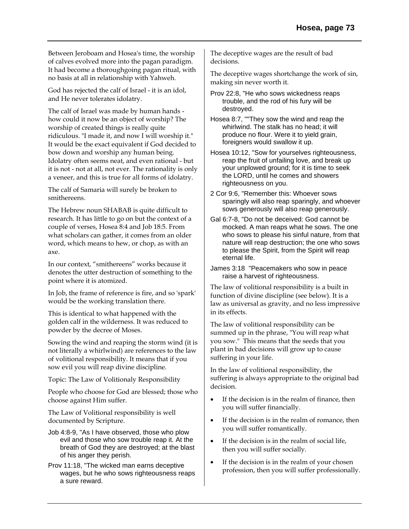Between Jeroboam and Hosea's time, the worship of calves evolved more into the pagan paradigm. It had become a thoroughgoing pagan ritual, with no basis at all in relationship with Yahweh.

God has rejected the calf of Israel - it is an idol, and He never tolerates idolatry.

The calf of Israel was made by human hands how could it now be an object of worship? The worship of created things is really quite ridiculous. "I made it, and now I will worship it." It would be the exact equivalent if God decided to bow down and worship any human being. Idolatry often seems neat, and even rational - but it is not - not at all, not ever. The rationality is only a veneer, and this is true for all forms of idolatry.

The calf of Samaria will surely be broken to smithereens.

The Hebrew noun SHABAB is quite difficult to research. It has little to go on but the context of a couple of verses, Hosea 8:4 and Job 18:5. From what scholars can gather, it comes from an older word, which means to hew, or chop, as with an axe.

In our context, "smithereens" works because it denotes the utter destruction of something to the point where it is atomized.

In Job, the frame of reference is fire, and so 'spark' would be the working translation there.

This is identical to what happened with the golden calf in the wilderness. It was reduced to powder by the decree of Moses.

Sowing the wind and reaping the storm wind (it is not literally a whirlwind) are references to the law of volitional responsibility. It means that if you sow evil you will reap divine discipline.

Topic: The Law of Volitionaly Responsibility

People who choose for God are blessed; those who choose against Him suffer.

The Law of Volitional responsibility is well documented by Scripture.

- Job 4:8-9, "As I have observed, those who plow evil and those who sow trouble reap it. At the breath of God they are destroyed; at the blast of his anger they perish.
- Prov 11:18, "The wicked man earns deceptive wages, but he who sows righteousness reaps a sure reward.

The deceptive wages are the result of bad decisions.

The deceptive wages shortchange the work of sin, making sin never worth it.

Prov 22:8, "He who sows wickedness reaps trouble, and the rod of his fury will be destroyed.

Hosea 8:7, ""They sow the wind and reap the whirlwind. The stalk has no head; it will produce no flour. Were it to yield grain, foreigners would swallow it up.

Hosea 10:12, "Sow for yourselves righteousness, reap the fruit of unfailing love, and break up your unplowed ground; for it is time to seek the LORD, until he comes and showers righteousness on you.

2 Cor 9:6, "Remember this: Whoever sows sparingly will also reap sparingly, and whoever sows generously will also reap generously.

- Gal 6:7-8, "Do not be deceived: God cannot be mocked. A man reaps what he sows. The one who sows to please his sinful nature, from that nature will reap destruction; the one who sows to please the Spirit, from the Spirit will reap eternal life.
- James 3:18 "Peacemakers who sow in peace raise a harvest of righteousness.

The law of volitional responsibility is a built in function of divine discipline (see below). It is a law as universal as gravity, and no less impressive in its effects.

The law of volitional responsibility can be summed up in the phrase, "You will reap what you sow." This means that the seeds that you plant in bad decisions will grow up to cause suffering in your life.

In the law of volitional responsibility, the suffering is always appropriate to the original bad decision.

- If the decision is in the realm of finance, then you will suffer financially.
- If the decision is in the realm of romance, then you will suffer romantically.
- If the decision is in the realm of social life, then you will suffer socially.
- If the decision is in the realm of your chosen profession, then you will suffer professionally.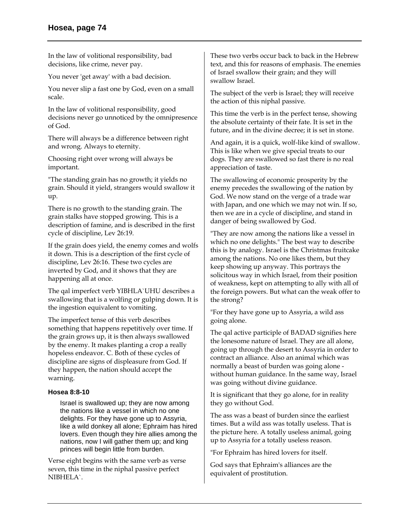In the law of volitional responsibility, bad decisions, like crime, never pay.

You never 'get away' with a bad decision.

You never slip a fast one by God, even on a small scale.

In the law of volitional responsibility, good decisions never go unnoticed by the omnipresence of God.

There will always be a difference between right and wrong. Always to eternity.

Choosing right over wrong will always be important.

"The standing grain has no growth; it yields no grain. Should it yield, strangers would swallow it up.

There is no growth to the standing grain. The grain stalks have stopped growing. This is a description of famine, and is described in the first cycle of discipline, Lev 26:19.

If the grain does yield, the enemy comes and wolfs it down. This is a description of the first cycle of discipline, Lev 26:16. These two cycles are inverted by God, and it shows that they are happening all at once.

The qal imperfect verb YIBHLA`UHU describes a swallowing that is a wolfing or gulping down. It is the ingestion equivalent to vomiting.

The imperfect tense of this verb describes something that happens repetitively over time. If the grain grows up, it is then always swallowed by the enemy. It makes planting a crop a really hopeless endeavor. C. Both of these cycles of discipline are signs of displeasure from God. If they happen, the nation should accept the warning.

#### **Hosea 8:8-10**

 Israel is swallowed up; they are now among the nations like a vessel in which no one delights. For they have gone up to Assyria, like a wild donkey all alone; Ephraim has hired lovers. Even though they hire allies among the nations, now I will gather them up; and king princes will begin little from burden.

Verse eight begins with the same verb as verse seven, this time in the niphal passive perfect NIBHELA`.

These two verbs occur back to back in the Hebrew text, and this for reasons of emphasis. The enemies of Israel swallow their grain; and they will swallow Israel.

The subject of the verb is Israel; they will receive the action of this niphal passive.

This time the verb is in the perfect tense, showing the absolute certainty of their fate. It is set in the future, and in the divine decree; it is set in stone.

And again, it is a quick, wolf-like kind of swallow. This is like when we give special treats to our dogs. They are swallowed so fast there is no real appreciation of taste.

The swallowing of economic prosperity by the enemy precedes the swallowing of the nation by God. We now stand on the verge of a trade war with Japan, and one which we may not win. If so, then we are in a cycle of discipline, and stand in danger of being swallowed by God.

"They are now among the nations like a vessel in which no one delights." The best way to describe this is by analogy. Israel is the Christmas fruitcake among the nations. No one likes them, but they keep showing up anyway. This portrays the solicitous way in which Israel, from their position of weakness, kept on attempting to ally with all of the foreign powers. But what can the weak offer to the strong?

"For they have gone up to Assyria, a wild ass going alone.

The qal active participle of BADAD signifies here the lonesome nature of Israel. They are all alone, going up through the desert to Assyria in order to contract an alliance. Also an animal which was normally a beast of burden was going alone without human guidance. In the same way, Israel was going without divine guidance.

It is significant that they go alone, for in reality they go without God.

The ass was a beast of burden since the earliest times. But a wild ass was totally useless. That is the picture here. A totally useless animal, going up to Assyria for a totally useless reason.

"For Ephraim has hired lovers for itself.

God says that Ephraim's alliances are the equivalent of prostitution.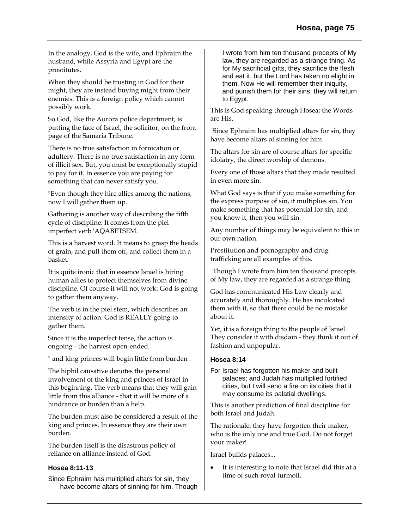In the analogy, God is the wife, and Ephraim the husband, while Assyria and Egypt are the prostitutes.

When they should be trusting in God for their might, they are instead buying might from their enemies. This is a foreign policy which cannot possibly work.

So God, like the Aurora police department, is putting the face of Israel, the solicitor, on the front page of the Samaria Tribune.

There is no true satisfaction in fornication or adultery. There is no true satisfaction in any form of illicit sex. But, you must be exceptionally stupid to pay for it. In essence you are paying for something that can never satisfy you.

"Even though they hire allies among the nations, now I will gather them up.

Gathering is another way of describing the fifth cycle of discipline. It comes from the piel imperfect verb 'AQABETSEM.

This is a harvest word. It means to grasp the heads of grain, and pull them off, and collect them in a basket.

It is quite ironic that in essence Israel is hiring human allies to protect themselves from divine discipline. Of course it will not work: God is going to gather them anyway.

The verb is in the piel stem, which describes an intensity of action. God is REALLY going to gather them.

Since it is the imperfect tense, the action is ongoing - the harvest open-ended.

" and king princes will begin little from burden .

The hiphil causative denotes the personal involvement of the king and princes of Israel in this beginning. The verb means that they will gain little from this alliance - that it will be more of a hindrance or burden than a help.

The burden must also be considered a result of the king and princes. In essence they are their own burden.

The burden itself is the disastrous policy of reliance on alliance instead of God.

## **Hosea 8:11-13**

Since Ephraim has multiplied altars for sin, they have become altars of sinning for him. Though I wrote from him ten thousand precepts of My law, they are regarded as a strange thing. As for My sacrificial gifts, they sacrifice the flesh and eat it, but the Lord has taken no elight in them. Now He will remember their iniquity, and punish them for their sins; they will return to Egypt.

This is God speaking through Hosea; the Words are His.

"Since Ephraim has multiplied altars for sin, they have become altars of sinning for him

The altars for sin are of course altars for specific idolatry, the direct worship of demons.

Every one of those altars that they made resulted in even more sin.

What God says is that if you make something for the express purpose of sin, it multiplies sin. You make something that has potential for sin, and you know it, then you will sin.

Any number of things may be equivalent to this in our own nation.

Prostitution and pornography and drug trafficking are all examples of this.

"Though I wrote from him ten thousand precepts of My law, they are regarded as a strange thing.

God has communicated His Law clearly and accurately and thoroughly. He has inculcated them with it, so that there could be no mistake about it.

Yet, it is a foreign thing to the people of Israel. They consider it with disdain - they think it out of fashion and unpopular.

## **Hosea 8:14**

For Israel has forgotten his maker and built palaces; and Judah has multiplied fortified cities, but I will send a fire on its cities that it may consume its palatial dwellings.

This is another prediction of final discipline for both Israel and Judah.

The rationale: they have forgotten their maker, who is the only one and true God. Do not forget your maker!

Israel builds palaces...

It is interesting to note that Israel did this at a time of such royal turmoil.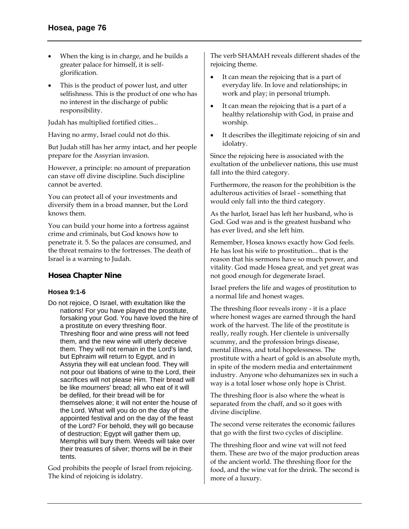- When the king is in charge, and he builds a greater palace for himself, it is selfglorification.
- This is the product of power lust, and utter selfishness. This is the product of one who has no interest in the discharge of public responsibility.

Judah has multiplied fortified cities...

Having no army, Israel could not do this.

But Judah still has her army intact, and her people prepare for the Assyrian invasion.

However, a principle: no amount of preparation can stave off divine discipline. Such discipline cannot be averted.

You can protect all of your investments and diversify them in a broad manner, but the Lord knows them.

You can build your home into a fortress against crime and criminals, but God knows how to penetrate it. 5. So the palaces are consumed, and the threat remains to the fortresses. The death of Israel is a warning to Judah.

# **Hosea Chapter Nine**

## **Hosea 9:1-6**

Do not rejoice, O Israel, with exultation like the nations! For you have played the prostitute, forsaking your God. You have loved the hire of a prostitute on every threshing floor. Threshing floor and wine press will not feed them, and the new wine will utterly deceive them. They will not remain in the Lord's land, but Ephraim will return to Egypt, and in Assyria they will eat unclean food. They will not pour out libations of wine to the Lord, their sacrifices will not please Him. Their bread will be like mourners' bread; all who eat of it will be defiled, for their bread will be for themselves alone; it will not enter the house of the Lord. What will you do on the day of the appointed festival and on the day of the feast of the Lord? For behold, they will go because of destruction; Egypt will gather them up, Memphis will bury them. Weeds will take over their treasures of silver; thorns will be in their tents.

God prohibits the people of Israel from rejoicing. The kind of rejoicing is idolatry.

The verb SHAMAH reveals different shades of the rejoicing theme.

- It can mean the rejoicing that is a part of everyday life. In love and relationships; in work and play; in personal triumph.
- It can mean the rejoicing that is a part of a healthy relationship with God, in praise and worship.
- It describes the illegitimate rejoicing of sin and idolatry.

Since the rejoicing here is associated with the exultation of the unbeliever nations, this use must fall into the third category.

Furthermore, the reason for the prohibition is the adulterous activities of Israel - something that would only fall into the third category.

As the harlot, Israel has left her husband, who is God. God was and is the greatest husband who has ever lived, and she left him.

Remember, Hosea knows exactly how God feels. He has lost his wife to prostitution... that is the reason that his sermons have so much power, and vitality. God made Hosea great, and yet great was not good enough for degenerate Israel.

Israel prefers the life and wages of prostitution to a normal life and honest wages.

The threshing floor reveals irony - it is a place where honest wages are earned through the hard work of the harvest. The life of the prostitute is really, really rough. Her clientele is universally scummy, and the profession brings disease, mental illness, and total hopelessness. The prostitute with a heart of gold is an absolute myth, in spite of the modern media and entertainment industry. Anyone who dehumanizes sex in such a way is a total loser whose only hope is Christ.

The threshing floor is also where the wheat is separated from the chaff, and so it goes with divine discipline.

The second verse reiterates the economic failures that go with the first two cycles of discipline.

The threshing floor and wine vat will not feed them. These are two of the major production areas of the ancient world. The threshing floor for the food, and the wine vat for the drink. The second is more of a luxury.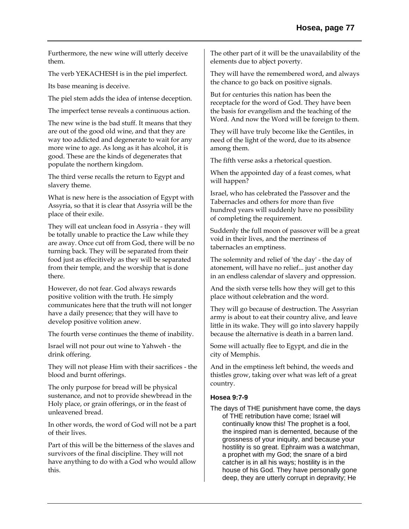Furthermore, the new wine will utterly deceive them.

The verb YEKACHESH is in the piel imperfect.

Its base meaning is deceive.

The piel stem adds the idea of intense deception.

The imperfect tense reveals a continuous action.

The new wine is the bad stuff. It means that they are out of the good old wine, and that they are way too addicted and degenerate to wait for any more wine to age. As long as it has alcohol, it is good. These are the kinds of degenerates that populate the northern kingdom.

The third verse recalls the return to Egypt and slavery theme.

What is new here is the association of Egypt with Assyria, so that it is clear that Assyria will be the place of their exile.

They will eat unclean food in Assyria - they will be totally unable to practice the Law while they are away. Once cut off from God, there will be no turning back. They will be separated from their food just as effecitively as they will be separated from their temple, and the worship that is done there.

However, do not fear. God always rewards positive volition with the truth. He simply communicates here that the truth will not longer have a daily presence; that they will have to develop positive volition anew.

The fourth verse continues the theme of inability.

Israel will not pour out wine to Yahweh - the drink offering.

They will not please Him with their sacrifices - the blood and burnt offerings.

The only purpose for bread will be physical sustenance, and not to provide shewbread in the Holy place, or grain offerings, or in the feast of unleavened bread.

In other words, the word of God will not be a part of their lives.

Part of this will be the bitterness of the slaves and survivors of the final discipline. They will not have anything to do with a God who would allow this.

The other part of it will be the unavailability of the elements due to abject poverty.

They will have the remembered word, and always the chance to go back on positive signals.

But for centuries this nation has been the receptacle for the word of God. They have been the basis for evangelism and the teaching of the Word. And now the Word will be foreign to them.

They will have truly become like the Gentiles, in need of the light of the word, due to its absence among them.

The fifth verse asks a rhetorical question.

When the appointed day of a feast comes, what will happen?

Israel, who has celebrated the Passover and the Tabernacles and others for more than five hundred years will suddenly have no possibility of completing the requirement.

Suddenly the full moon of passover will be a great void in their lives, and the merriness of tabernacles an emptiness.

The solemnity and relief of 'the day' - the day of atonement, will have no relief... just another day in an endless calendar of slavery and oppression.

And the sixth verse tells how they will get to this place without celebration and the word.

They will go because of destruction. The Assyrian army is about to eat their country alive, and leave little in its wake. They will go into slavery happily because the alternative is death in a barren land.

Some will actually flee to Egypt, and die in the city of Memphis.

And in the emptiness left behind, the weeds and thistles grow, taking over what was left of a great country.

#### **Hosea 9:7-9**

The days of THE punishment have come, the days of THE retribution have come; Israel will continually know this! The prophet is a fool, the inspired man is demented, because of the grossness of your iniquity, and because your hostility is so great. Ephraim was a watchman, a prophet with my God; the snare of a bird catcher is in all his ways; hostility is in the house of his God. They have personally gone deep, they are utterly corrupt in depravity; He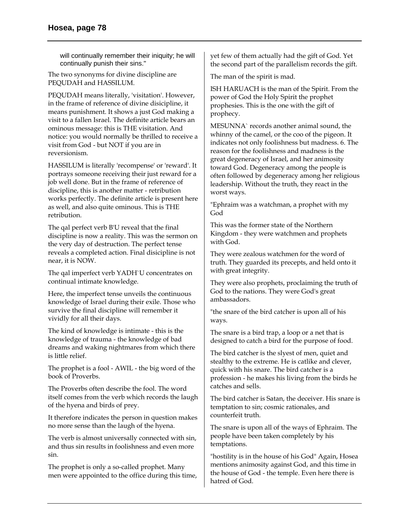will continually remember their iniquity; he will continually punish their sins."

The two synonyms for divine discipline are PEQUDAH and HASSILUM.

PEQUDAH means literally, 'visitation'. However, in the frame of reference of divine disicipline, it means punishment. It shows a just God making a visit to a fallen Israel. The definite article bears an ominous message: this is THE visitation. And notice: you would normally be thrilled to receive a visit from God - but NOT if you are in reversionism.

HASSILUM is literally 'recompense' or 'reward'. It portrays someone receiving their just reward for a job well done. But in the frame of reference of discipline, this is another matter - retribution works perfectly. The definite article is present here as well, and also quite ominous. This is THE retribution.

The qal perfect verb B'U reveal that the final discipline is now a reality. This was the sermon on the very day of destruction. The perfect tense reveals a completed action. Final disicipline is not near, it is NOW.

The qal imperfect verb YADH`U concentrates on continual intimate knowledge.

Here, the imperfect tense unveils the continuous knowledge of Israel during their exile. Those who survive the final discipline will remember it vividly for all their days.

The kind of knowledge is intimate - this is the knowledge of trauma - the knowledge of bad dreams and waking nightmares from which there is little relief.

The prophet is a fool - AWIL - the big word of the book of Proverbs.

The Proverbs often describe the fool. The word itself comes from the verb which records the laugh of the hyena and birds of prey.

It therefore indicates the person in question makes no more sense than the laugh of the hyena.

The verb is almost universally connected with sin, and thus sin results in foolishness and even more sin.

The prophet is only a so-called prophet. Many men were appointed to the office during this time, yet few of them actually had the gift of God. Yet the second part of the parallelism records the gift.

The man of the spirit is mad.

ISH HARUACH is the man of the Spirit. From the power of God the Holy Spirit the prophet prophesies. This is the one with the gift of prophecy.

MESUNNA` records another animal sound, the whinny of the camel, or the coo of the pigeon. It indicates not only foolishness but madness. 6. The reason for the foolishness and madness is the great degeneracy of Israel, and her animosity toward God. Degeneracy among the people is often followed by degeneracy among her religious leadership. Without the truth, they react in the worst ways.

"Ephraim was a watchman, a prophet with my God

This was the former state of the Northern Kingdom - they were watchmen and prophets with God.

They were zealous watchmen for the word of truth. They guarded its precepts, and held onto it with great integrity.

They were also prophets, proclaiming the truth of God to the nations. They were God's great ambassadors.

"the snare of the bird catcher is upon all of his ways.

The snare is a bird trap, a loop or a net that is designed to catch a bird for the purpose of food.

The bird catcher is the slyest of men, quiet and stealthy to the extreme. He is catlike and clever, quick with his snare. The bird catcher is a profession - he makes his living from the birds he catches and sells.

The bird catcher is Satan, the deceiver. His snare is temptation to sin; cosmic rationales, and counterfeit truth.

The snare is upon all of the ways of Ephraim. The people have been taken completely by his temptations.

"hostility is in the house of his God" Again, Hosea mentions animosity against God, and this time in the house of God - the temple. Even here there is hatred of God.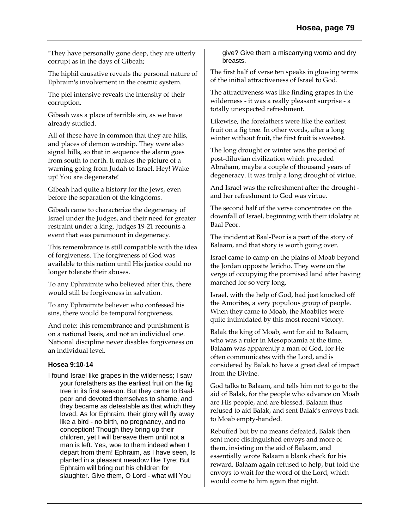"They have personally gone deep, they are utterly corrupt as in the days of Gibeah;

The hiphil causative reveals the personal nature of Ephraim's involvement in the cosmic system.

The piel intensive reveals the intensity of their corruption.

Gibeah was a place of terrible sin, as we have already studied.

All of these have in common that they are hills, and places of demon worship. They were also signal hills, so that in sequence the alarm goes from south to north. It makes the picture of a warning going from Judah to Israel. Hey! Wake up! You are degenerate!

Gibeah had quite a history for the Jews, even before the separation of the kingdoms.

Gibeah came to characterize the degeneracy of Israel under the Judges, and their need for greater restraint under a king. Judges 19-21 recounts a event that was paramount in degeneracy.

This remembrance is still compatible with the idea of forgiveness. The forgiveness of God was available to this nation until His justice could no longer tolerate their abuses.

To any Ephraimite who believed after this, there would still be forgiveness in salvation.

To any Ephraimite believer who confessed his sins, there would be temporal forgiveness.

And note: this remembrance and punishment is on a national basis, and not an individual one. National discipline never disables forgiveness on an individual level.

## **Hosea 9:10-14**

I found Israel like grapes in the wilderness; I saw your forefathers as the earliest fruit on the fig tree in its first season. But they came to Baalpeor and devoted themselves to shame, and they became as detestable as that which they loved. As for Ephraim, their glory will fly away like a bird - no birth, no pregnancy, and no conception! Though they bring up their children, yet I will bereave them until not a man is left. Yes, woe to them indeed when I depart from them! Ephraim, as I have seen, Is planted in a pleasant meadow like Tyre; But Ephraim will bring out his children for slaughter. Give them, O Lord - what will You

give? Give them a miscarrying womb and dry breasts.

The first half of verse ten speaks in glowing terms of the initial attractiveness of Israel to God.

The attractiveness was like finding grapes in the wilderness - it was a really pleasant surprise - a totally unexpected refreshment.

Likewise, the forefathers were like the earliest fruit on a fig tree. In other words, after a long winter without fruit, the first fruit is sweetest.

The long drought or winter was the period of post-diluvian civilization which preceded Abraham, maybe a couple of thousand years of degeneracy. It was truly a long drought of virtue.

And Israel was the refreshment after the drought and her refreshment to God was virtue.

The second half of the verse concentrates on the downfall of Israel, beginning with their idolatry at Baal Peor.

The incident at Baal-Peor is a part of the story of Balaam, and that story is worth going over.

Israel came to camp on the plains of Moab beyond the Jordan opposite Jericho. They were on the verge of occupying the promised land after having marched for so very long.

Israel, with the help of God, had just knocked off the Amorites, a very populous group of people. When they came to Moab, the Moabites were quite intimidated by this most recent victory.

Balak the king of Moab, sent for aid to Balaam, who was a ruler in Mesopotamia at the time. Balaam was apparently a man of God, for He often communicates with the Lord, and is considered by Balak to have a great deal of impact from the Divine.

God talks to Balaam, and tells him not to go to the aid of Balak, for the people who advance on Moab are His people, and are blessed. Balaam thus refused to aid Balak, and sent Balak's envoys back to Moab empty-handed.

Rebuffed but by no means defeated, Balak then sent more distinguished envoys and more of them, insisting on the aid of Balaam, and essentially wrote Balaam a blank check for his reward. Balaam again refused to help, but told the envoys to wait for the word of the Lord, which would come to him again that night.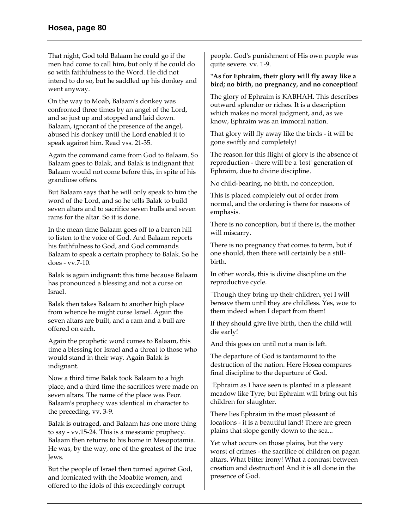That night, God told Balaam he could go if the men had come to call him, but only if he could do so with faithfulness to the Word. He did not intend to do so, but he saddled up his donkey and went anyway.

On the way to Moab, Balaam's donkey was confronted three times by an angel of the Lord, and so just up and stopped and laid down. Balaam, ignorant of the presence of the angel, abused his donkey until the Lord enabled it to speak against him. Read vss. 21-35.

Again the command came from God to Balaam. So Balaam goes to Balak, and Balak is indignant that Balaam would not come before this, in spite of his grandiose offers.

But Balaam says that he will only speak to him the word of the Lord, and so he tells Balak to build seven altars and to sacrifice seven bulls and seven rams for the altar. So it is done.

In the mean time Balaam goes off to a barren hill to listen to the voice of God. And Balaam reports his faithfulness to God, and God commands Balaam to speak a certain prophecy to Balak. So he does - vv.7-10.

Balak is again indignant: this time because Balaam has pronounced a blessing and not a curse on Israel.

Balak then takes Balaam to another high place from whence he might curse Israel. Again the seven altars are built, and a ram and a bull are offered on each.

Again the prophetic word comes to Balaam, this time a blessing for Israel and a threat to those who would stand in their way. Again Balak is indignant.

Now a third time Balak took Balaam to a high place, and a third time the sacrifices were made on seven altars. The name of the place was Peor. Balaam's prophecy was identical in character to the preceding, vv. 3-9.

Balak is outraged, and Balaam has one more thing to say - vv.15-24. This is a messianic prophecy. Balaam then returns to his home in Mesopotamia. He was, by the way, one of the greatest of the true Jews.

But the people of Israel then turned against God, and fornicated with the Moabite women, and offered to the idols of this exceedingly corrupt

people. God's punishment of His own people was quite severe. vv. 1-9.

#### **"As for Ephraim, their glory will fly away like a bird; no birth, no pregnancy, and no conception!**

The glory of Ephraim is KABHAH. This describes outward splendor or riches. It is a description which makes no moral judgment, and, as we know, Ephraim was an immoral nation.

That glory will fly away like the birds - it will be gone swiftly and completely!

The reason for this flight of glory is the absence of reproduction - there will be a 'lost' generation of Ephraim, due to divine discipline.

No child-bearing, no birth, no conception.

This is placed completely out of order from normal, and the ordering is there for reasons of emphasis.

There is no conception, but if there is, the mother will miscarry.

There is no pregnancy that comes to term, but if one should, then there will certainly be a stillbirth.

In other words, this is divine discipline on the reproductive cycle.

"Though they bring up their children, yet I will bereave them until they are childless. Yes, woe to them indeed when I depart from them!

If they should give live birth, then the child will die early!

And this goes on until not a man is left.

The departure of God is tantamount to the destruction of the nation. Here Hosea compares final discipline to the departure of God.

"Ephraim as I have seen is planted in a pleasant meadow like Tyre; but Ephraim will bring out his children for slaughter.

There lies Ephraim in the most pleasant of locations - it is a beautiful land! There are green plains that slope gently down to the sea...

Yet what occurs on those plains, but the very worst of crimes - the sacrifice of children on pagan altars. What bitter irony! What a contrast between creation and destruction! And it is all done in the presence of God.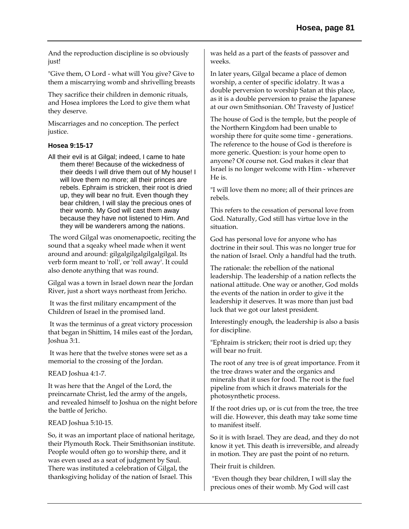And the reproduction discipline is so obviously just!

"Give them, O Lord - what will You give? Give to them a miscarrying womb and shrivelling breasts

They sacrifice their children in demonic rituals, and Hosea implores the Lord to give them what they deserve.

Miscarriages and no conception. The perfect justice.

#### **Hosea 9:15-17**

All their evil is at Gilgal; indeed, I came to hate them there! Because of the wickedness of their deeds I will drive them out of My house! I will love them no more; all their princes are rebels. Ephraim is stricken, their root is dried up, they will bear no fruit. Even though they bear children, I will slay the precious ones of their womb. My God will cast them away because they have not listened to Him. And they will be wanderers among the nations.

 The word Gilgal was onomenapoetic, reciting the sound that a sqeaky wheel made when it went around and around: gilgalgilgalgilgalgilgal. Its verb form meant to 'roll', or 'roll away'. It could also denote anything that was round.

Gilgal was a town in Israel down near the Jordan River, just a short ways northeast from Jericho.

 It was the first military encampment of the Children of Israel in the promised land.

 It was the terminus of a great victory procession that began in Shittim, 14 miles east of the Jordan, Joshua 3:1.

 It was here that the twelve stones were set as a memorial to the crossing of the Jordan.

READ Joshua 4:1-7.

It was here that the Angel of the Lord, the preincarnate Christ, led the army of the angels, and revealed himself to Joshua on the night before the battle of Jericho.

#### READ Joshua 5:10-15.

So, it was an important place of national heritage, their Plymouth Rock. Their Smithsonian institute. People would often go to worship there, and it was even used as a seat of judgment by Saul. There was instituted a celebration of Gilgal, the thanksgiving holiday of the nation of Israel. This

was held as a part of the feasts of passover and weeks.

In later years, Gilgal became a place of demon worship, a center of specific idolatry. It was a double perversion to worship Satan at this place, as it is a double perversion to praise the Japanese at our own Smithsonian. Oh! Travesty of Justice!

The house of God is the temple, but the people of the Northern Kingdom had been unable to worship there for quite some time - generations. The reference to the house of God is therefore is more generic. Question: is your home open to anyone? Of course not. God makes it clear that Israel is no longer welcome with Him - wherever He is.

"I will love them no more; all of their princes are rebels.

This refers to the cessation of personal love from God. Naturally, God still has virtue love in the situation.

God has personal love for anyone who has doctrine in their soul. This was no longer true for the nation of Israel. Only a handful had the truth.

The rationale: the rebellion of the national leadership. The leadership of a nation reflects the national attitude. One way or another, God molds the events of the nation in order to give it the leadership it deserves. It was more than just bad luck that we got our latest president.

Interestingly enough, the leadership is also a basis for discipline.

"Ephraim is stricken; their root is dried up; they will bear no fruit.

The root of any tree is of great importance. From it the tree draws water and the organics and minerals that it uses for food. The root is the fuel pipeline from which it draws materials for the photosynthetic process.

If the root dries up, or is cut from the tree, the tree will die. However, this death may take some time to manifest itself.

So it is with Israel. They are dead, and they do not know it yet. This death is irreversible, and already in motion. They are past the point of no return.

Their fruit is children.

 "Even though they bear children, I will slay the precious ones of their womb. My God will cast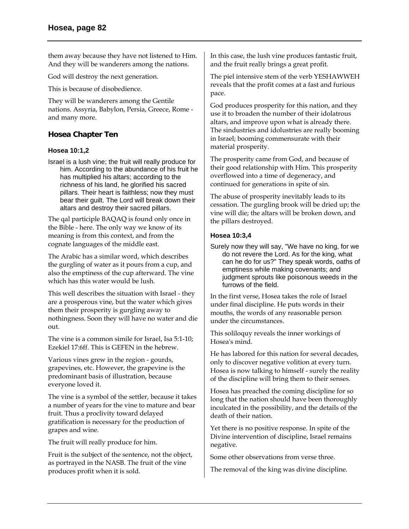them away because they have not listened to Him. And they will be wanderers among the nations.

God will destroy the next generation.

This is because of disobedience.

They will be wanderers among the Gentile nations. Assyria, Babylon, Persia, Greece, Rome and many more.

# **Hosea Chapter Ten**

## **Hosea 10:1,2**

Israel is a lush vine; the fruit will really produce for him. According to the abundance of his fruit he has multiplied his altars; according to the richness of his land, he glorified his sacred pillars. Their heart is faithless; now they must bear their guilt. The Lord will break down their altars and destroy their sacred pillars.

The qal participle BAQAQ is found only once in the Bible - here. The only way we know of its meaning is from this context, and from the cognate languages of the middle east.

The Arabic has a similar word, which describes the gurgling of water as it pours from a cup, and also the emptiness of the cup afterward. The vine which has this water would be lush.

This well describes the situation with Israel - they are a prosperous vine, but the water which gives them their prosperity is gurgling away to nothingness. Soon they will have no water and die out.

The vine is a common simile for Israel, Isa 5:1-10; Ezekiel 17:6ff. This is GEFEN in the hebrew.

Various vines grew in the region - gourds, grapevines, etc. However, the grapevine is the predominant basis of illustration, because everyone loved it.

The vine is a symbol of the settler, because it takes a number of years for the vine to mature and bear fruit. Thus a proclivity toward delayed gratification is necessary for the production of grapes and wine.

The fruit will really produce for him.

Fruit is the subject of the sentence, not the object, as portrayed in the NASB. The fruit of the vine produces profit when it is sold.

In this case, the lush vine produces fantastic fruit, and the fruit really brings a great profit.

The piel intensive stem of the verb YESHAWWEH reveals that the profit comes at a fast and furious pace.

God produces prosperity for this nation, and they use it to broaden the number of their idolatrous altars, and improve upon what is already there. The sindustries and idolustries are really booming in Israel; booming commensurate with their material prosperity.

The prosperity came from God, and because of their good relationship with Him. This prosperity overflowed into a time of degeneracy, and continued for generations in spite of sin.

The abuse of prosperity inevitably leads to its cessation. The gurgling brook will be dried up; the vine will die; the altars will be broken down, and the pillars destroyed.

#### **Hosea 10:3,4**

Surely now they will say, "We have no king, for we do not revere the Lord. As for the king, what can he do for us?" They speak words, oaths of emptiness while making covenants; and judgment sprouts like poisonous weeds in the furrows of the field.

In the first verse, Hosea takes the role of Israel under final discipline. He puts words in their mouths, the words of any reasonable person under the circumstances.

This soliloquy reveals the inner workings of Hosea's mind.

He has labored for this nation for several decades, only to discover negative volition at every turn. Hosea is now talking to himself - surely the reality of the discipline will bring them to their senses.

Hosea has preached the coming discipline for so long that the nation should have been thoroughly inculcated in the possibility, and the details of the death of their nation.

Yet there is no positive response. In spite of the Divine intervention of discipline, Israel remains negative.

Some other observations from verse three.

The removal of the king was divine discipline.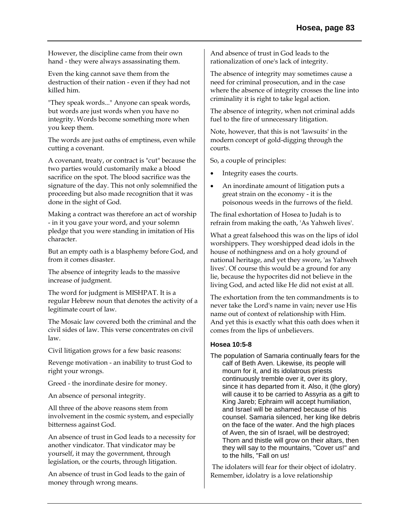However, the discipline came from their own hand - they were always assassinating them.

Even the king cannot save them from the destruction of their nation - even if they had not killed him.

"They speak words..." Anyone can speak words, but words are just words when you have no integrity. Words become something more when you keep them.

The words are just oaths of emptiness, even while cutting a covenant.

A covenant, treaty, or contract is "cut" because the two parties would customarily make a blood sacrifice on the spot. The blood sacrifice was the signature of the day. This not only solemnified the proceeding but also made recognition that it was done in the sight of God.

Making a contract was therefore an act of worship - in it you gave your word, and your solemn pledge that you were standing in imitation of His character.

But an empty oath is a blasphemy before God, and from it comes disaster.

The absence of integrity leads to the massive increase of judgment.

The word for judgment is MISHPAT. It is a regular Hebrew noun that denotes the activity of a legitimate court of law.

The Mosaic law covered both the criminal and the civil sides of law. This verse concentrates on civil law.

Civil litigation grows for a few basic reasons:

Revenge motivation - an inability to trust God to right your wrongs.

Greed - the inordinate desire for money.

An absence of personal integrity.

All three of the above reasons stem from involvement in the cosmic system, and especially bitterness against God.

An absence of trust in God leads to a necessity for another vindicator. That vindicator may be yourself, it may the government, through legislation, or the courts, through litigation.

An absence of trust in God leads to the gain of money through wrong means.

And absence of trust in God leads to the rationalization of one's lack of integrity.

The absence of integrity may sometimes cause a need for criminal prosecution, and in the case where the absence of integrity crosses the line into criminality it is right to take legal action.

The absence of integrity, when not criminal adds fuel to the fire of unnecessary litigation.

Note, however, that this is not 'lawsuits' in the modern concept of gold-digging through the courts.

So, a couple of principles:

- Integrity eases the courts.
- An inordinate amount of litigation puts a great strain on the economy - it is the poisonous weeds in the furrows of the field.

The final exhortation of Hosea to Judah is to refrain from making the oath, 'As Yahweh lives'.

What a great falsehood this was on the lips of idol worshippers. They worshipped dead idols in the house of nothingness and on a holy ground of national heritage, and yet they swore, 'as Yahweh lives'. Of course this would be a ground for any lie, because the hypocrites did not believe in the living God, and acted like He did not exist at all.

The exhortation from the ten commandments is to never take the Lord's name in vain; never use His name out of context of relationship with Him. And yet this is exactly what this oath does when it comes from the lips of unbelievers.

#### **Hosea 10:5-8**

The population of Samaria continually fears for the calf of Beth Aven. Likewise, its people will mourn for it, and its idolatrous priests continuously tremble over it, over its glory, since it has departed from it. Also, it (the glory) will cause it to be carried to Assyria as a gift to King Jareb; Ephraim will accept humiliation, and Israel will be ashamed because of his counsel. Samaria silenced, her king like debris on the face of the water. And the high places of Aven, the sin of Israel, will be destroyed; Thorn and thistle will grow on their altars, then they will say to the mountains, "Cover us!" and to the hills, "Fall on us!

 The idolaters will fear for their object of idolatry. Remember, idolatry is a love relationship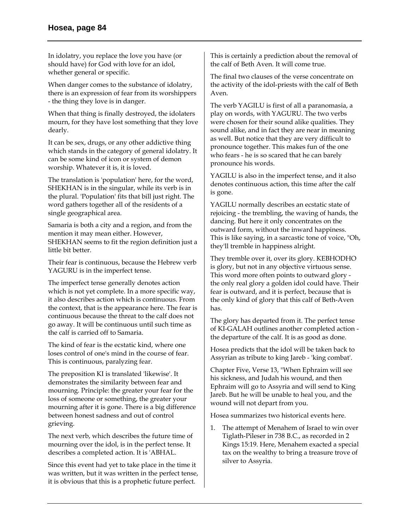In idolatry, you replace the love you have (or should have) for God with love for an idol, whether general or specific.

When danger comes to the substance of idolatry, there is an expression of fear from its worshippers - the thing they love is in danger.

When that thing is finally destroyed, the idolaters mourn, for they have lost something that they love dearly.

It can be sex, drugs, or any other addictive thing which stands in the category of general idolatry. It can be some kind of icon or system of demon worship. Whatever it is, it is loved.

The translation is 'population' here, for the word, SHEKHAN is in the singular, while its verb is in the plural. 'Population' fits that bill just right. The word gathers together all of the residents of a single geographical area.

Samaria is both a city and a region, and from the mention it may mean either. However, SHEKHAN seems to fit the region definition just a little bit better.

Their fear is continuous, because the Hebrew verb YAGURU is in the imperfect tense.

The imperfect tense generally denotes action which is not yet complete. In a more specific way, it also describes action which is continuous. From the context, that is the appearance here. The fear is continuous because the threat to the calf does not go away. It will be continuous until such time as the calf is carried off to Samaria.

The kind of fear is the ecstatic kind, where one loses control of one's mind in the course of fear. This is continuous, paralyzing fear.

The preposition KI is translated 'likewise'. It demonstrates the similarity between fear and mourning. Principle: the greater your fear for the loss of someone or something, the greater your mourning after it is gone. There is a big difference between honest sadness and out of control grieving.

The next verb, which describes the future time of mourning over the idol, is in the perfect tense. It describes a completed action. It is 'ABHAL.

Since this event had yet to take place in the time it was written, but it was written in the perfect tense, it is obvious that this is a prophetic future perfect.

This is certainly a prediction about the removal of the calf of Beth Aven. It will come true.

The final two clauses of the verse concentrate on the activity of the idol-priests with the calf of Beth Aven.

The verb YAGILU is first of all a paranomasia, a play on words, with YAGURU. The two verbs were chosen for their sound alike qualities. They sound alike, and in fact they are near in meaning as well. But notice that they are very difficult to pronounce together. This makes fun of the one who fears - he is so scared that he can barely pronounce his words.

YAGILU is also in the imperfect tense, and it also denotes continuous action, this time after the calf is gone.

YAGILU normally describes an ecstatic state of rejoicing - the trembling, the waving of hands, the dancing. But here it only concentrates on the outward form, without the inward happiness. This is like saying, in a sarcastic tone of voice, "Oh, they'll tremble in happiness alright.

They tremble over it, over its glory. KEBHODHO is glory, but not in any objective virtuous sense. This word more often points to outward glory the only real glory a golden idol could have. Their fear is outward, and it is perfect, because that is the only kind of glory that this calf of Beth-Aven has.

The glory has departed from it. The perfect tense of KI-GALAH outlines another completed action the departure of the calf. It is as good as done.

Hosea predicts that the idol will be taken back to Assyrian as tribute to king Jareb - 'king combat'.

Chapter Five, Verse 13, "When Ephraim will see his sickness, and Judah his wound, and then Ephraim will go to Assyria and will send to King Jareb. But he will be unable to heal you, and the wound will not depart from you.

Hosea summarizes two historical events here.

1. The attempt of Menahem of Israel to win over Tiglath-Pileser in 738 B.C., as recorded in 2 Kings 15:19. Here, Menahem exacted a special tax on the wealthy to bring a treasure trove of silver to Assyria.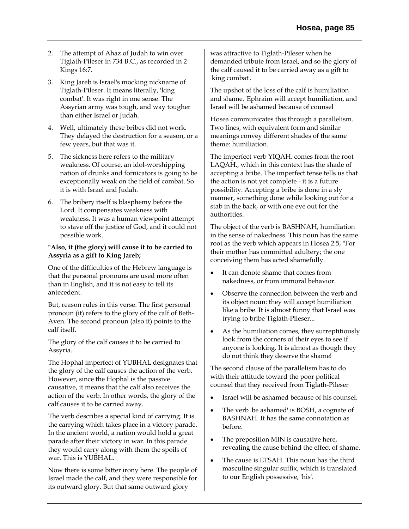- 2. The attempt of Ahaz of Judah to win over Tiglath-Pileser in 734 B.C., as recorded in 2 Kings 16:7.
- 3. King Jareb is Israel's mocking nickname of Tiglath-Pileser. It means literally, 'king combat'. It was right in one sense. The Assyrian army was tough, and way tougher than either Israel or Judah.
- 4. Well, ultimately these bribes did not work. They delayed the destruction for a season, or a few years, but that was it.
- 5. The sickness here refers to the military weakness. Of course, an idol-worshipping nation of drunks and fornicators is going to be exceptionally weak on the field of combat. So it is with Israel and Judah.
- 6. The bribery itself is blasphemy before the Lord. It compensates weakness with weakness. It was a human viewpoint attempt to stave off the justice of God, and it could not possible work.

#### **"Also, it (the glory) will cause it to be carried to Assyria as a gift to King Jareb;**

One of the difficulties of the Hebrew language is that the personal pronouns are used more often than in English, and it is not easy to tell its antecedent.

But, reason rules in this verse. The first personal pronoun (it) refers to the glory of the calf of Beth-Aven. The second pronoun (also it) points to the calf itself.

The glory of the calf causes it to be carried to Assyria.

The Hophal imperfect of YUBHAL designates that the glory of the calf causes the action of the verb. However, since the Hophal is the passive causative, it means that the calf also receives the action of the verb. In other words, the glory of the calf causes it to be carried away.

The verb describes a special kind of carrying. It is the carrying which takes place in a victory parade. In the ancient world, a nation would hold a great parade after their victory in war. In this parade they would carry along with them the spoils of war. This is YUBHAL.

Now there is some bitter irony here. The people of Israel made the calf, and they were responsible for its outward glory. But that same outward glory

was attractive to Tiglath-Pileser when he demanded tribute from Israel, and so the glory of the calf caused it to be carried away as a gift to 'king combat'.

The upshot of the loss of the calf is humiliation and shame."Ephraim will accept humiliation, and Israel will be ashamed because of counsel

Hosea communicates this through a parallelism. Two lines, with equivalent form and similar meanings convey different shades of the same theme: humiliation.

The imperfect verb YIQAH. comes from the root LAQAH., which in this context has the shade of accepting a bribe. The imperfect tense tells us that the action is not yet complete - it is a future possibility. Accepting a bribe is done in a sly manner, something done while looking out for a stab in the back, or with one eye out for the authorities.

The object of the verb is BASHNAH, humiliation in the sense of nakedness. This noun has the same root as the verb which appears in Hosea 2:5, "For their mother has committed adultery; the one conceiving them has acted shamefully.

- It can denote shame that comes from nakedness, or from immoral behavior.
- Observe the connection between the verb and its object noun: they will accept humiliation like a bribe. It is almost funny that Israel was trying to bribe Tiglath-Pileser...
- As the humiliation comes, they surreptitiously look from the corners of their eyes to see if anyone is looking. It is almost as though they do not think they deserve the shame!

The second clause of the parallelism has to do with their attitude toward the poor political counsel that they received from Tiglath-Pileser

- Israel will be ashamed because of his counsel.
- The verb 'be ashamed' is BOSH, a cognate of BASHNAH. It has the same connotation as before.
- The preposition MIN is causative here, revealing the cause behind the effect of shame.
- The cause is ETSAH. This noun has the third masculine singular suffix, which is translated to our English possessive, 'his'.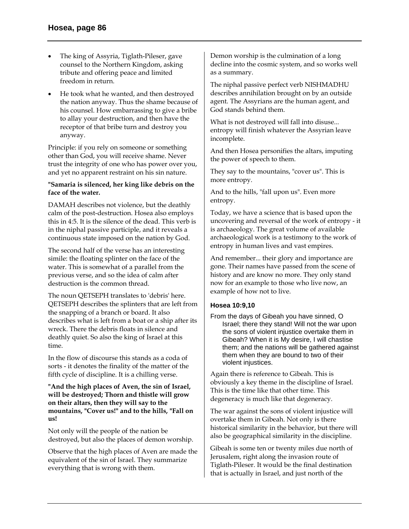- The king of Assyria, Tiglath-Pileser, gave counsel to the Northern Kingdom, asking tribute and offering peace and limited freedom in return.
- He took what he wanted, and then destroyed the nation anyway. Thus the shame because of his counsel. How embarrassing to give a bribe to allay your destruction, and then have the receptor of that bribe turn and destroy you anyway.

Principle: if you rely on someone or something other than God, you will receive shame. Never trust the integrity of one who has power over you, and yet no apparent restraint on his sin nature.

#### **"Samaria is silenced, her king like debris on the face of the water.**

DAMAH describes not violence, but the deathly calm of the post-destruction. Hosea also employs this in 4:5. It is the silence of the dead. This verb is in the niphal passive participle, and it reveals a continuous state imposed on the nation by God.

The second half of the verse has an interesting simile: the floating splinter on the face of the water. This is somewhat of a parallel from the previous verse, and so the idea of calm after destruction is the common thread.

The noun QETSEPH translates to 'debris' here. QETSEPH describes the splinters that are left from the snapping of a branch or board. It also describes what is left from a boat or a ship after its wreck. There the debris floats in silence and deathly quiet. So also the king of Israel at this time.

In the flow of discourse this stands as a coda of sorts - it denotes the finality of the matter of the fifth cycle of discipline. It is a chilling verse.

**"And the high places of Aven, the sin of Israel, will be destroyed; Thorn and thistle will grow on their altars, then they will say to the mountains, "Cover us!" and to the hills, "Fall on us!** 

Not only will the people of the nation be destroyed, but also the places of demon worship.

Observe that the high places of Aven are made the equivalent of the sin of Israel. They summarize everything that is wrong with them.

Demon worship is the culmination of a long decline into the cosmic system, and so works well as a summary.

The niphal passive perfect verb NISHMADHU describes annihilation brought on by an outside agent. The Assyrians are the human agent, and God stands behind them.

What is not destroyed will fall into disuse... entropy will finish whatever the Assyrian leave incomplete.

And then Hosea personifies the altars, imputing the power of speech to them.

They say to the mountains, "cover us". This is more entropy.

And to the hills, "fall upon us". Even more entropy.

Today, we have a science that is based upon the uncovering and reversal of the work of entropy - it is archaeology. The great volume of available archaeological work is a testimony to the work of entropy in human lives and vast empires.

And remember... their glory and importance are gone. Their names have passed from the scene of history and are know no more. They only stand now for an example to those who live now, an example of how not to live.

## **Hosea 10:9,10**

From the days of Gibeah you have sinned, O Israel; there they stand! Will not the war upon the sons of violent injustice overtake them in Gibeah? When it is My desire, I will chastise them; and the nations will be gathered against them when they are bound to two of their violent injustices.

Again there is reference to Gibeah. This is obviously a key theme in the discipline of Israel. This is the time like that other time. This degeneracy is much like that degeneracy.

The war against the sons of violent injustice will overtake them in Gibeah. Not only is there historical similarity in the behavior, but there will also be geographical similarity in the discipline.

Gibeah is some ten or twenty miles due north of Jerusalem, right along the invasion route of Tiglath-Pileser. It would be the final destination that is actually in Israel, and just north of the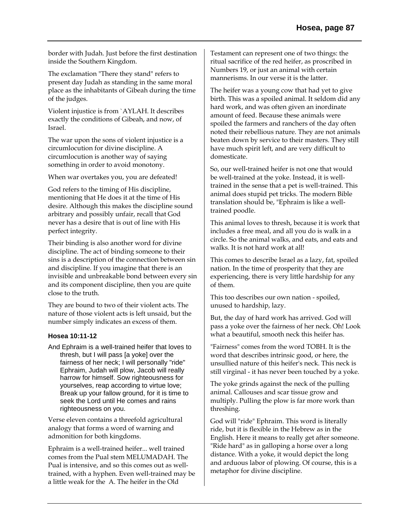border with Judah. Just before the first destination inside the Southern Kingdom.

The exclamation "There they stand" refers to present day Judah as standing in the same moral place as the inhabitants of Gibeah during the time of the judges.

Violent injustice is from `AYLAH. It describes exactly the conditions of Gibeah, and now, of Israel.

The war upon the sons of violent injustice is a circumlocution for divine discipline. A circumlocution is another way of saying something in order to avoid monotony.

When war overtakes you, you are defeated!

God refers to the timing of His discipline, mentioning that He does it at the time of His desire. Although this makes the discipline sound arbitrary and possibly unfair, recall that God never has a desire that is out of line with His perfect integrity.

Their binding is also another word for divine discipline. The act of binding someone to their sins is a description of the connection between sin and discipline. If you imagine that there is an invisible and unbreakable bond between every sin and its component discipline, then you are quite close to the truth.

They are bound to two of their violent acts. The nature of those violent acts is left unsaid, but the number simply indicates an excess of them.

#### **Hosea 10:11-12**

And Ephraim is a well-trained heifer that loves to thresh, but I will pass [a yoke] over the fairness of her neck; I will personally "ride" Ephraim, Judah will plow, Jacob will really harrow for himself. Sow righteousness for yourselves, reap according to virtue love; Break up your fallow ground, for it is time to seek the Lord until He comes and rains righteousness on you.

Verse eleven contains a threefold agricultural analogy that forms a word of warning and admonition for both kingdoms.

Ephraim is a well-trained heifer... well trained comes from the Pual stem MELUMADAH. The Pual is intensive, and so this comes out as welltrained, with a hyphen. Even well-trained may be a little weak for the A. The heifer in the Old

Testament can represent one of two things: the ritual sacrifice of the red heifer, as proscribed in Numbers 19, or just an animal with certain mannerisms. In our verse it is the latter.

The heifer was a young cow that had yet to give birth. This was a spoiled animal. It seldom did any hard work, and was often given an inordinate amount of feed. Because these animals were spoiled the farmers and ranchers of the day often noted their rebellious nature. They are not animals beaten down by service to their masters. They still have much spirit left, and are very difficult to domesticate.

So, our well-trained heifer is not one that would be well-trained at the yoke. Instead, it is welltrained in the sense that a pet is well-trained. This animal does stupid pet tricks. The modern Bible translation should be, "Ephraim is like a welltrained poodle.

This animal loves to thresh, because it is work that includes a free meal, and all you do is walk in a circle. So the animal walks, and eats, and eats and walks. It is not hard work at all!

This comes to describe Israel as a lazy, fat, spoiled nation. In the time of prosperity that they are experiencing, there is very little hardship for any of them.

This too describes our own nation - spoiled, unused to hardship, lazy.

But, the day of hard work has arrived. God will pass a yoke over the fairness of her neck. Oh! Look what a beautiful, smooth neck this heifer has.

"Fairness" comes from the word TOBH. It is the word that describes intrinsic good, or here, the unsullied nature of this heifer's neck. This neck is still virginal - it has never been touched by a yoke.

The yoke grinds against the neck of the pulling animal. Callouses and scar tissue grow and multiply. Pulling the plow is far more work than threshing.

God will "ride" Ephraim. This word is literally ride, but it is flexible in the Hebrew as in the English. Here it means to really get after someone. "Ride hard" as in galloping a horse over a long distance. With a yoke, it would depict the long and arduous labor of plowing. Of course, this is a metaphor for divine discipline.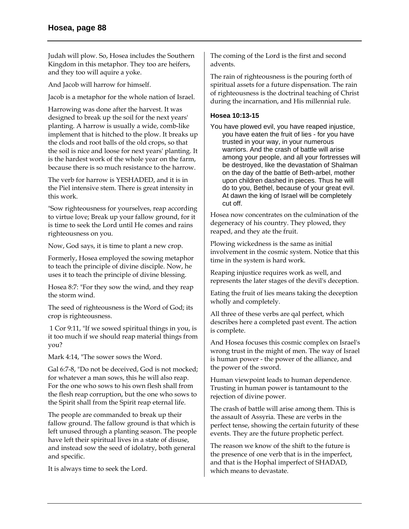Judah will plow. So, Hosea includes the Southern Kingdom in this metaphor. They too are heifers, and they too will aquire a yoke.

And Jacob will harrow for himself.

Jacob is a metaphor for the whole nation of Israel.

Harrowing was done after the harvest. It was designed to break up the soil for the next years' planting. A harrow is usually a wide, comb-like implement that is hitched to the plow. It breaks up the clods and root balls of the old crops, so that the soil is nice and loose for next years' planting. It is the hardest work of the whole year on the farm, because there is so much resistance to the harrow.

The verb for harrow is YESHADED, and it is in the Piel intensive stem. There is great intensity in this work.

"Sow righteousness for yourselves, reap according to virtue love; Break up your fallow ground, for it is time to seek the Lord until He comes and rains righteousness on you.

Now, God says, it is time to plant a new crop.

Formerly, Hosea employed the sowing metaphor to teach the principle of divine disciple. Now, he uses it to teach the principle of divine blessing.

Hosea 8:7: "For they sow the wind, and they reap the storm wind.

The seed of righteousness is the Word of God; its crop is righteousness.

 1 Cor 9:11, "If we sowed spiritual things in you, is it too much if we should reap material things from you?

Mark 4:14, "The sower sows the Word.

Gal 6:7-8, "Do not be deceived, God is not mocked; for whatever a man sows, this he will also reap. For the one who sows to his own flesh shall from the flesh reap corruption, but the one who sows to the Spirit shall from the Spirit reap eternal life.

The people are commanded to break up their fallow ground. The fallow ground is that which is left unused through a planting season. The people have left their spiritual lives in a state of disuse, and instead sow the seed of idolatry, both general and specific.

It is always time to seek the Lord.

The coming of the Lord is the first and second advents.

The rain of righteousness is the pouring forth of spiritual assets for a future dispensation. The rain of righteousness is the doctrinal teaching of Christ during the incarnation, and His millennial rule.

#### **Hosea 10:13-15**

You have plowed evil, you have reaped injustice, you have eaten the fruit of lies - for you have trusted in your way, in your numerous warriors. And the crash of battle will arise among your people, and all your fortresses will be destroyed, like the devastation of Shalman on the day of the battle of Beth-arbel, mother upon children dashed in pieces. Thus he will do to you, Bethel, because of your great evil. At dawn the king of Israel will be completely cut off.

Hosea now concentrates on the culmination of the degeneracy of his country. They plowed, they reaped, and they ate the fruit.

Plowing wickedness is the same as initial involvement in the cosmic system. Notice that this time in the system is hard work.

Reaping injustice requires work as well, and represents the later stages of the devil's deception.

Eating the fruit of lies means taking the deception wholly and completely.

All three of these verbs are qal perfect, which describes here a completed past event. The action is complete.

And Hosea focuses this cosmic complex on Israel's wrong trust in the might of men. The way of Israel is human power - the power of the alliance, and the power of the sword.

Human viewpoint leads to human dependence. Trusting in human power is tantamount to the rejection of divine power.

The crash of battle will arise among them. This is the assault of Assyria. These are verbs in the perfect tense, showing the certain futurity of these events. They are the future prophetic perfect.

The reason we know of the shift to the future is the presence of one verb that is in the imperfect, and that is the Hophal imperfect of SHADAD, which means to devastate.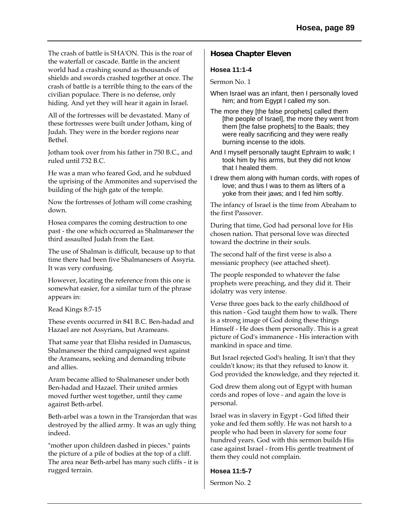The crash of battle is SHA'ON. This is the roar of the waterfall or cascade. Battle in the ancient world had a crashing sound as thousands of shields and swords crashed together at once. The crash of battle is a terrible thing to the ears of the civilian populace. There is no defense, only hiding. And yet they will hear it again in Israel.

All of the fortresses will be devastated. Many of these fortresses were built under Jotham, king of Judah. They were in the border regions near Bethel.

Jotham took over from his father in 750 B.C., and ruled until 732 B.C.

He was a man who feared God, and he subdued the uprising of the Ammonites and supervised the building of the high gate of the temple.

Now the fortresses of Jotham will come crashing down.

Hosea compares the coming destruction to one past - the one which occurred as Shalmaneser the third assaulted Judah from the East.

The use of Shalman is difficult, because up to that time there had been five Shalmanesers of Assyria. It was very confusing.

However, locating the reference from this one is somewhat easier, for a similar turn of the phrase appears in:

Read Kings 8:7-15

These events occurred in 841 B.C. Ben-hadad and Hazael are not Assyrians, but Arameans.

That same year that Elisha resided in Damascus, Shalmaneser the third campaigned west against the Arameans, seeking and demanding tribute and allies.

Aram became allied to Shalmaneser under both Ben-hadad and Hazael. Their united armies moved further west together, until they came against Beth-arbel.

Beth-arbel was a town in the Transjordan that was destroyed by the allied army. It was an ugly thing indeed.

"mother upon children dashed in pieces." paints the picture of a pile of bodies at the top of a cliff. The area near Beth-arbel has many such cliffs - it is rugged terrain.

## **Hosea Chapter Eleven**

#### **Hosea 11:1-4**

Sermon No. 1

- When Israel was an infant, then I personally loved him; and from Egypt I called my son.
- The more they [the false prophets] called them [the people of Israel], the more they went from them [the false prophets] to the Baals; they were really sacrificing and they were really burning incense to the idols.
- And I myself personally taught Ephraim to walk; I took him by his arms, but they did not know that I healed them.
- I drew them along with human cords, with ropes of love; and thus I was to them as lifters of a yoke from their jaws; and I fed him softly.

The infancy of Israel is the time from Abraham to the first Passover.

During that time, God had personal love for His chosen nation. That personal love was directed toward the doctrine in their souls.

The second half of the first verse is also a messianic prophecy (see attached sheet).

The people responded to whatever the false prophets were preaching, and they did it. Their idolatry was very intense.

Verse three goes back to the early childhood of this nation - God taught them how to walk. There is a strong image of God doing these things Himself - He does them personally. This is a great picture of God's immanence - His interaction with mankind in space and time.

But Israel rejected God's healing. It isn't that they couldn't know; its that they refused to know it. God provided the knowledge, and they rejected it.

God drew them along out of Egypt with human cords and ropes of love - and again the love is personal.

Israel was in slavery in Egypt - God lifted their yoke and fed them softly. He was not harsh to a people who had been in slavery for some four hundred years. God with this sermon builds His case against Israel - from His gentle treatment of them they could not complain.

#### **Hosea 11:5-7**

Sermon No. 2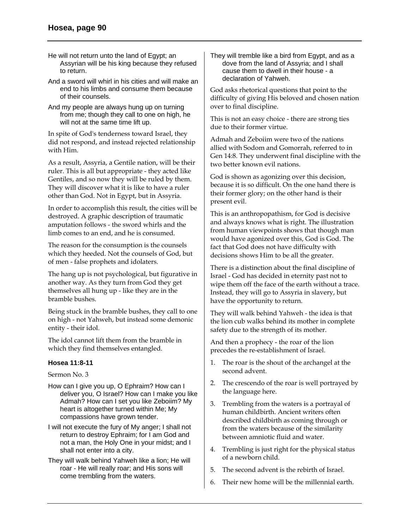He will not return unto the land of Egypt; an Assyrian will be his king because they refused to return.

And a sword will whirl in his cities and will make an end to his limbs and consume them because of their counsels.

And my people are always hung up on turning from me; though they call to one on high, he will not at the same time lift up.

In spite of God's tenderness toward Israel, they did not respond, and instead rejected relationship with Him.

As a result, Assyria, a Gentile nation, will be their ruler. This is all but appropriate - they acted like Gentiles, and so now they will be ruled by them. They will discover what it is like to have a ruler other than God. Not in Egypt, but in Assyria.

In order to accomplish this result, the cities will be destroyed. A graphic description of traumatic amputation follows - the sword whirls and the limb comes to an end, and he is consumed.

The reason for the consumption is the counsels which they heeded. Not the counsels of God, but of men - false prophets and idolaters.

The hang up is not psychological, but figurative in another way. As they turn from God they get themselves all hung up - like they are in the bramble bushes.

Being stuck in the bramble bushes, they call to one on high - not Yahweh, but instead some demonic entity - their idol.

The idol cannot lift them from the bramble in which they find themselves entangled.

#### **Hosea 11:8-11**

Sermon No. 3

- How can I give you up, O Ephraim? How can I deliver you, O Israel? How can I make you like Admah? How can I set you like Zeboiim? My heart is altogether turned within Me; My compassions have grown tender.
- I will not execute the fury of My anger; I shall not return to destroy Ephraim; for I am God and not a man, the Holy One in your midst; and I shall not enter into a city.
- They will walk behind Yahweh like a lion; He will roar - He will really roar; and His sons will come trembling from the waters.

They will tremble like a bird from Egypt, and as a dove from the land of Assyria; and I shall cause them to dwell in their house - a declaration of Yahweh.

God asks rhetorical questions that point to the difficulty of giving His beloved and chosen nation over to final discipline.

This is not an easy choice - there are strong ties due to their former virtue.

Admah and Zeboiim were two of the nations allied with Sodom and Gomorrah, referred to in Gen 14:8. They underwent final discipline with the two better known evil nations.

God is shown as agonizing over this decision, because it is so difficult. On the one hand there is their former glory; on the other hand is their present evil.

This is an anthropopathism, for God is decisive and always knows what is right. The illustration from human viewpoints shows that though man would have agonized over this, God is God. The fact that God does not have difficulty with decisions shows Him to be all the greater.

There is a distinction about the final discipline of Israel - God has decided in eternity past not to wipe them off the face of the earth without a trace. Instead, they will go to Assyria in slavery, but have the opportunity to return.

They will walk behind Yahweh - the idea is that the lion cub walks behind its mother in complete safety due to the strength of its mother.

And then a prophecy - the roar of the lion precedes the re-establishment of Israel.

- 1. The roar is the shout of the archangel at the second advent.
- 2. The crescendo of the roar is well portrayed by the language here.
- 3. Trembling from the waters is a portrayal of human childbirth. Ancient writers often described childbirth as coming through or from the waters because of the similarity between amniotic fluid and water.
- 4. Trembling is just right for the physical status of a newborn child.
- 5. The second advent is the rebirth of Israel.
- 6. Their new home will be the millennial earth.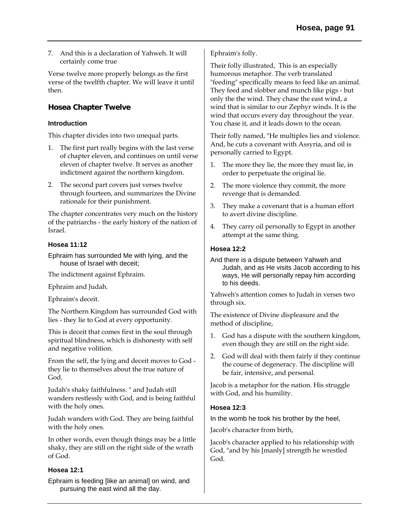7. And this is a declaration of Yahweh. It will certainly come true

Verse twelve more properly belongs as the first verse of the twelfth chapter. We will leave it until then.

# **Hosea Chapter Twelve**

## **Introduction**

This chapter divides into two unequal parts.

- 1. The first part really begins with the last verse of chapter eleven, and continues on until verse eleven of chapter twelve. It serves as another indictment against the northern kingdom.
- 2. The second part covers just verses twelve through fourteen, and summarizes the Divine rationale for their punishment.

The chapter concentrates very much on the history of the patriarchs - the early history of the nation of Israel.

## **Hosea 11:12**

Ephraim has surrounded Me with lying, and the house of Israel with deceit;

The indictment against Ephraim.

Ephraim and Judah.

Ephraim's deceit.

The Northern Kingdom has surrounded God with lies - they lie to God at every opportunity.

This is deceit that comes first in the soul through spiritual blindness, which is dishonesty with self and negative volition.

From the self, the lying and deceit moves to God they lie to themselves about the true nature of God.

Judah's shaky faithfulness. " and Judah still wanders restlessly with God, and is being faithful with the holy ones.

Judah wanders with God. They are being faithful with the holy ones.

In other words, even though things may be a little shaky, they are still on the right side of the wrath of God.

## **Hosea 12:1**

Ephraim is feeding [like an animal] on wind, and pursuing the east wind all the day.

Ephraim's folly.

Their folly illustrated, This is an especially humorous metaphor. The verb translated "feeding" specifically means to feed like an animal. They feed and slobber and munch like pigs - but only the the wind. They chase the east wind, a wind that is similar to our Zephyr winds. It is the wind that occurs every day throughout the year. You chase it, and it leads down to the ocean.

Their folly named, "He multiples lies and violence. And, he cuts a covenant with Assyria, and oil is personally carried to Egypt.

- 1. The more they lie, the more they must lie, in order to perpetuate the original lie.
- 2. The more violence they commit, the more revenge that is demanded.
- 3. They make a covenant that is a human effort to avert divine discipline.
- 4. They carry oil personally to Egypt in another attempt at the same thing.

# **Hosea 12:2**

And there is a dispute between Yahweh and Judah, and as He visits Jacob according to his ways, He will personally repay him according to his deeds.

Yahweh's attention comes to Judah in verses two through six.

The existence of Divine displeasure and the method of discipline,

- 1. God has a dispute with the southern kingdom, even though they are still on the right side.
- 2. God will deal with them fairly if they continue the course of degeneracy. The discipline will be fair, intensive, and personal.

Jacob is a metaphor for the nation. His struggle with God, and his humility.

## **Hosea 12:3**

In the womb he took his brother by the heel,

Jacob's character from birth,

Jacob's character applied to his relationship with God, "and by his [manly] strength he wrestled God.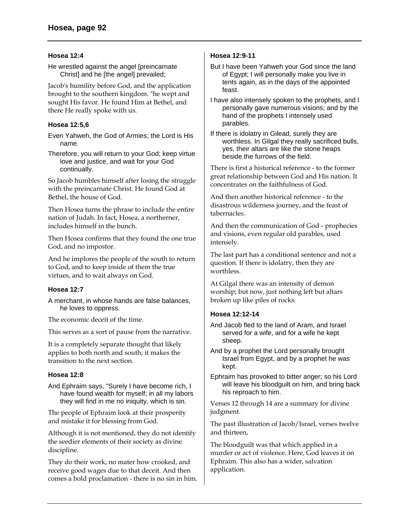#### **Hosea 12:4**

He wrestled against the angel [preincarnate Christ] and he [the angel] prevailed;

Jacob's humility before God, and the application brought to the southern kingdom. "he wept and sought His favor. He found Him at Bethel, and there He really spoke with us.

## **Hosea 12:5,6**

Even Yahweh, the God of Armies; the Lord is His name.

Therefore, you will return to your God; keep virtue love and justice, and wait for your God continually.

So Jacob humbles himself after losing the struggle with the preincarnate Christ. He found God at Bethel, the house of God.

Then Hosea turns the phrase to include the entire nation of Judah. In fact, Hosea, a northerner, includes himself in the bunch.

Then Hosea confirms that they found the one true God, and no impostor.

And he implores the people of the south to return to God, and to keep inside of them the true virtues, and to wait always on God.

## **Hosea 12:7**

A merchant, in whose hands are false balances, he loves to oppress.

The economic deceit of the time.

This serves as a sort of pause from the narrative.

It is a completely separate thought that likely applies to both north and south; it makes the transition to the next section.

# **Hosea 12:8**

And Ephraim says, "Surely I have become rich, I have found wealth for myself; in all my labors they will find in me no iniquity, which is sin.

The people of Ephraim look at their prosperity and mistake it for blessing from God.

Although it is not mentioned, they do not identify the seedier elements of their society as divine discipline.

They do their work, no mater how crooked, and receive good wages due to that deceit. And then comes a bold proclamation - there is no sin in him.

# **Hosea 12:9-11**

- But I have been Yahweh your God since the land of Egypt; I will personally make you live in tents again, as in the days of the appointed feast.
- I have also intensely spoken to the prophets, and I personally gave numerous visions; and by the hand of the prophets I intensely used parables.
- If there is idolatry in Gilead, surely they are worthless. In Gilgal they really sacrificed bulls, yes, their altars are like the stone heaps beside the furrows of the field.

There is first a historical reference - to the former great relationship between God and His nation. It concentrates on the faithfulness of God.

And then another historical reference - to the disastrous wilderness journey, and the feast of tabernacles.

And then the communication of God - prophecies and visions, even regular old parables, used intensely.

The last part has a conditional sentence and not a question. If there is idolatry, then they are worthless.

At Gilgal there was an intensity of demon worship; but now, just nothing left but altars broken up like piles of rocks.

## **Hosea 12:12-14**

- And Jacob fled to the land of Aram, and Israel served for a wife, and for a wife he kept sheep.
- And by a prophet the Lord personally brought Israel from Egypt, and by a prophet he was kept.
- Ephraim has provoked to bitter anger; so his Lord will leave his bloodguilt on him, and bring back his reproach to him.

Verses 12 through 14 are a summary for divine judgment.

The past illustration of Jacob/Israel, verses twelve and thirteen,

The bloodguilt was that which applied in a murder or act of violence. Here, God leaves it on Ephraim. This also has a wider, salvation application.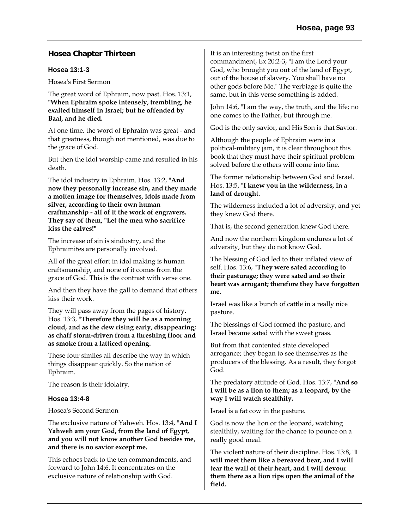# **Hosea Chapter Thirteen**

#### **Hosea 13:1-3**

Hosea's First Sermon

The great word of Ephraim, now past. Hos. 13:1, **"When Ephraim spoke intensely, trembling, he exalted himself in Israel; but he offended by Baal, and he died.**

At one time, the word of Ephraim was great - and that greatness, though not mentioned, was due to the grace of God.

But then the idol worship came and resulted in his death.

The idol industry in Ephraim. Hos. 13:2, "**And now they personally increase sin, and they made a molten image for themselves, idols made from silver, according to their own human craftmanship - all of it the work of engravers. They say of them, "Let the men who sacrifice kiss the calves!"**

The increase of sin is sindustry, and the Ephraimites are personally involved.

All of the great effort in idol making is human craftsmanship, and none of it comes from the grace of God. This is the contrast with verse one.

And then they have the gall to demand that others kiss their work.

They will pass away from the pages of history. Hos. 13:3, "**Therefore they will be as a morning cloud, and as the dew rising early, disappearing; as chaff storm-driven from a threshing floor and as smoke from a latticed opening.**

These four similes all describe the way in which things disappear quickly. So the nation of Ephraim.

The reason is their idolatry.

## **Hosea 13:4-8**

Hosea's Second Sermon

The exclusive nature of Yahweh. Hos. 13:4, "**And I Yahweh am your God, from the land of Egypt, and you will not know another God besides me, and there is no savior except me.**

This echoes back to the ten commandments, and forward to John 14:6. It concentrates on the exclusive nature of relationship with God.

It is an interesting twist on the first commandment, Ex 20:2-3, "I am the Lord your God, who brought you out of the land of Egypt, out of the house of slavery. You shall have no other gods before Me." The verbiage is quite the same, but in this verse something is added.

John 14:6, "I am the way, the truth, and the life; no one comes to the Father, but through me.

God is the only savior, and His Son is that Savior.

Although the people of Ephraim were in a political-military jam, it is clear throughout this book that they must have their spiritual problem solved before the others will come into line.

The former relationship between God and Israel. Hos. 13:5, "**I knew you in the wilderness, in a land of drought.**

The wilderness included a lot of adversity, and yet they knew God there.

That is, the second generation knew God there.

And now the northern kingdom endures a lot of adversity, but they do not know God.

The blessing of God led to their inflated view of self. Hos. 13:6, "**They were sated according to their pasturage; they were sated and so their heart was arrogant; therefore they have forgotten me.**

Israel was like a bunch of cattle in a really nice pasture.

The blessings of God formed the pasture, and Israel became sated with the sweet grass.

But from that contented state developed arrogance; they began to see themselves as the producers of the blessing. As a result, they forgot God.

The predatory attitude of God. Hos. 13:7, "**And so I will be as a lion to them; as a leopard, by the way I will watch stealthily.**

Israel is a fat cow in the pasture.

God is now the lion or the leopard, watching stealthily, waiting for the chance to pounce on a really good meal.

The violent nature of their discipline. Hos. 13:8, "**I will meet them like a bereaved bear, and I will tear the wall of their heart, and I will devour them there as a lion rips open the animal of the field.**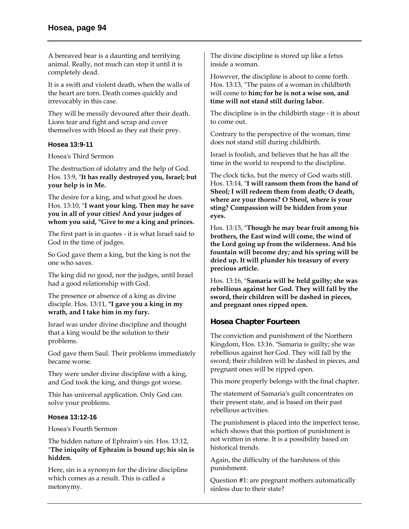A bereaved bear is a daunting and terrifying animal. Really, not much can stop it until it is completely dead.

It is a swift and violent death, when the walls of the heart are torn. Death comes quickly and irrevocably in this case.

They will be messily devoured after their death. Lions tear and fight and scrap and cover themselves with blood as they eat their prey.

#### **Hosea 13:9-11**

Hosea's Third Sermon

The destruction of idolatry and the help of God. Hos. 13:9, "**It has really destroyed you, Israel; but your help is in Me.**

The desire for a king, and what good he does. Hos. 13:10, "**I want your king. Then may he save you in all of your cities! And your judges of whom you said, "Give to me a king and princes.**

The first part is in quotes - it is what Israel said to God in the time of judges.

So God gave them a king, but the king is not the one who saves.

The king did no good, nor the judges, until Israel had a good relationship with God.

The presence or absence of a king as divine disciple. Hos. 13:11, **"I gave you a king in my wrath, and I take him in my fury.**

Israel was under divine discipline and thought that a king would be the solution to their problems.

God gave them Saul. Their problems immediately became worse.

They were under divine discipline with a king, and God took the king, and things got worse.

This has universal application. Only God can solve your problems.

#### **Hosea 13:12-16**

Hosea's Fourth Sermon

The hidden nature of Ephraim's sin. Hos. 13:12, "**The iniquity of Ephraim is bound up; his sin is hidden.**

Here, sin is a synonym for the divine discipline which comes as a result. This is called a metonymy.

The divine discipline is stored up like a fetus inside a woman.

However, the discipline is about to come forth. Hos. 13:13, "The pains of a woman in childbirth will come to **him; for he is not a wise son, and time will not stand still during labor.**

The discipline is in the childbirth stage - it is about to come out.

Contrary to the perspective of the woman, time does not stand still during childbirth.

Israel is foolish, and believes that he has all the time in the world to respond to the discipline.

The clock ticks, but the mercy of God waits still. Hos. 13:14, "**I will ransom them from the hand of Sheol; I will redeem them from death; O death, where are your thorns? O Sheol, where is your sting? Compassion will be hidden from your eyes.**

Hos. 13:15, "**Though he may bear fruit among his brothers, the East wind will come, the wind of the Lord going up from the wilderness. And his fountain will become dry; and his spring will be dried up. It will plunder his treasury of every precious article.**

Hos. 13:16, "**Samaria will be held guilty; she was rebellious against her God. They will fall by the sword, their children will be dashed in pieces, and pregnant ones ripped open.**

## **Hosea Chapter Fourteen**

The conviction and punishment of the Northern Kingdom, Hos. 13:16. "Samaria is guilty; she was rebellious against her God. They will fall by the sword; their children will be dashed in pieces, and pregnant ones will be ripped open.

This more properly belongs with the final chapter.

The statement of Samaria's guilt concentrates on their present state, and is based on their past rebellious activities.

The punishment is placed into the imperfect tense, which shows that this portion of punishment is not written in stone. It is a possibility based on historical trends.

Again, the difficulty of the harshness of this punishment.

Question #1: are pregnant mothers automatically sinless due to their state?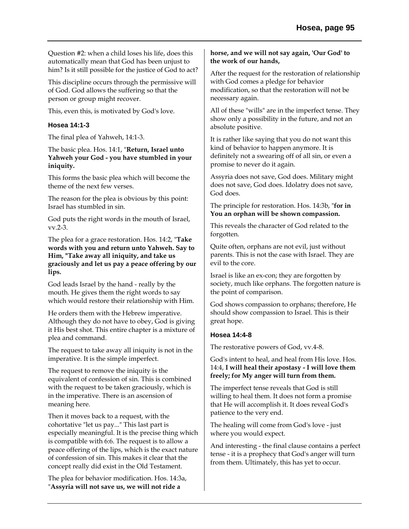Question #2: when a child loses his life, does this automatically mean that God has been unjust to him? Is it still possible for the justice of God to act?

This discipline occurs through the permissive will of God. God allows the suffering so that the person or group might recover.

This, even this, is motivated by God's love.

# **Hosea 14:1-3**

The final plea of Yahweh, 14:1-3.

The basic plea. Hos. 14:1, "**Return, Israel unto Yahweh your God - you have stumbled in your iniquity.** 

This forms the basic plea which will become the theme of the next few verses.

The reason for the plea is obvious by this point: Israel has stumbled in sin.

God puts the right words in the mouth of Israel, vv.2-3.

The plea for a grace restoration. Hos. 14:2, "**Take words with you and return unto Yahweh. Say to Him, "Take away all iniquity, and take us graciously and let us pay a peace offering by our lips.** 

God leads Israel by the hand - really by the mouth. He gives them the right words to say which would restore their relationship with Him.

He orders them with the Hebrew imperative. Although they do not have to obey, God is giving it His best shot. This entire chapter is a mixture of plea and command.

The request to take away all iniquity is not in the imperative. It is the simple imperfect.

The request to remove the iniquity is the equivalent of confession of sin. This is combined with the request to be taken graciously, which is in the imperative. There is an ascension of meaning here.

Then it moves back to a request, with the cohortative "let us pay..." This last part is especially meaningful. It is the precise thing which is compatible with 6:6. The request is to allow a peace offering of the lips, which is the exact nature of confession of sin. This makes it clear that the concept really did exist in the Old Testament.

The plea for behavior modification. Hos. 14:3a, "**Assyria will not save us, we will not ride a** 

# **horse, and we will not say again, 'Our God' to the work of our hands,**

After the request for the restoration of relationship with God comes a pledge for behavior modification, so that the restoration will not be necessary again.

All of these "wills" are in the imperfect tense. They show only a possibility in the future, and not an absolute positive.

It is rather like saying that you do not want this kind of behavior to happen anymore. It is definitely not a swearing off of all sin, or even a promise to never do it again.

Assyria does not save, God does. Military might does not save, God does. Idolatry does not save, God does.

The principle for restoration. Hos. 14:3b, "**for in You an orphan will be shown compassion.** 

This reveals the character of God related to the forgotten.

Quite often, orphans are not evil, just without parents. This is not the case with Israel. They are evil to the core.

Israel is like an ex-con; they are forgotten by society, much like orphans. The forgotten nature is the point of comparison.

God shows compassion to orphans; therefore, He should show compassion to Israel. This is their great hope.

## **Hosea 14:4-8**

The restorative powers of God, vv.4-8.

## God's intent to heal, and heal from His love. Hos. 14:4, **I will heal their apostasy - I will love them freely; for My anger will turn from them.**

The imperfect tense reveals that God is still willing to heal them. It does not form a promise that He will accomplish it. It does reveal God's patience to the very end.

The healing will come from God's love - just where you would expect.

And interesting - the final clause contains a perfect tense - it is a prophecy that God's anger will turn from them. Ultimately, this has yet to occur.